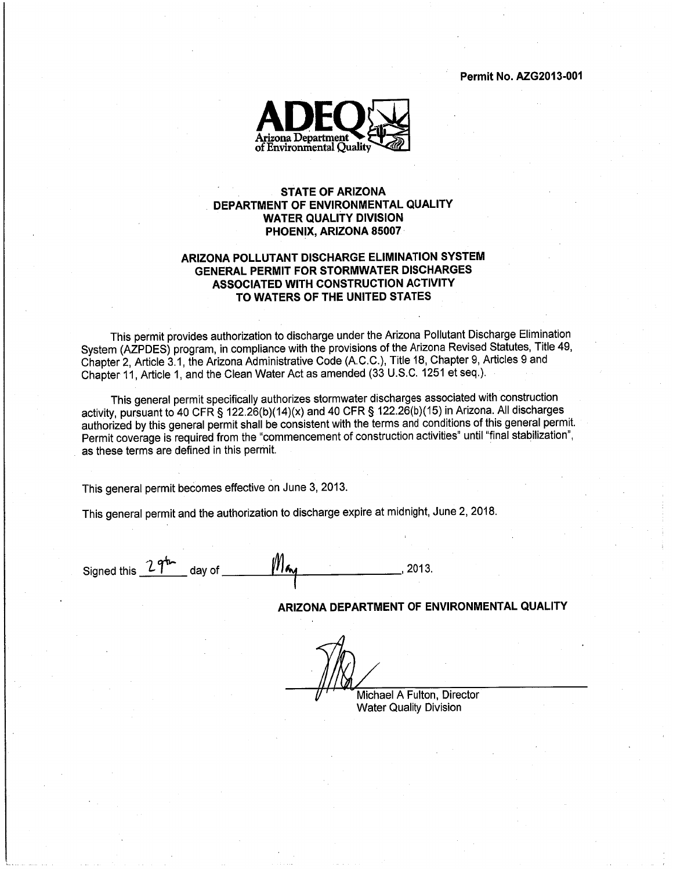**Permit No. AZG2013-001** 



# **STATE OF ARIZONA** DEPARTMENT OF ENVIRONMENTAL QUALITY **WATER QUALITY DIVISION** PHOENIX, ARIZONA 85007

# ARIZONA POLLUTANT DISCHARGE ELIMINATION SYSTEM **GENERAL PERMIT FOR STORMWATER DISCHARGES** ASSOCIATED WITH CONSTRUCTION ACTIVITY TO WATERS OF THE UNITED STATES

This permit provides authorization to discharge under the Arizona Pollutant Discharge Elimination System (AZPDES) program, in compliance with the provisions of the Arizona Revised Statutes, Title 49, Chapter 2, Article 3.1, the Arizona Administrative Code (A.C.C.), Title 18, Chapter 9, Articles 9 and Chapter 11, Article 1, and the Clean Water Act as amended (33 U.S.C. 1251 et seq.).

This general permit specifically authorizes stormwater discharges associated with construction activity, pursuant to 40 CFR § 122.26(b)(14)(x) and 40 CFR § 122.26(b)(15) in Arizona. All discharges authorized by this general permit shall be consistent with the terms and conditions of this general permit. Permit coverage is required from the "commencement of construction activities" until "final stabilization", as these terms are defined in this permit.

This general permit becomes effective on June 3, 2013.

This general permit and the authorization to discharge expire at midnight, June 2, 2018.

 $M_{\boldsymbol{\kappa}}$ Signed this  $27^{\frac{1}{2}}$  day of \_\_\_  $.2013.$ 

ARIZONA DEPARTMENT OF ENVIRONMENTAL QUALITY

Michael A Fulton, Director **Water Quality Division**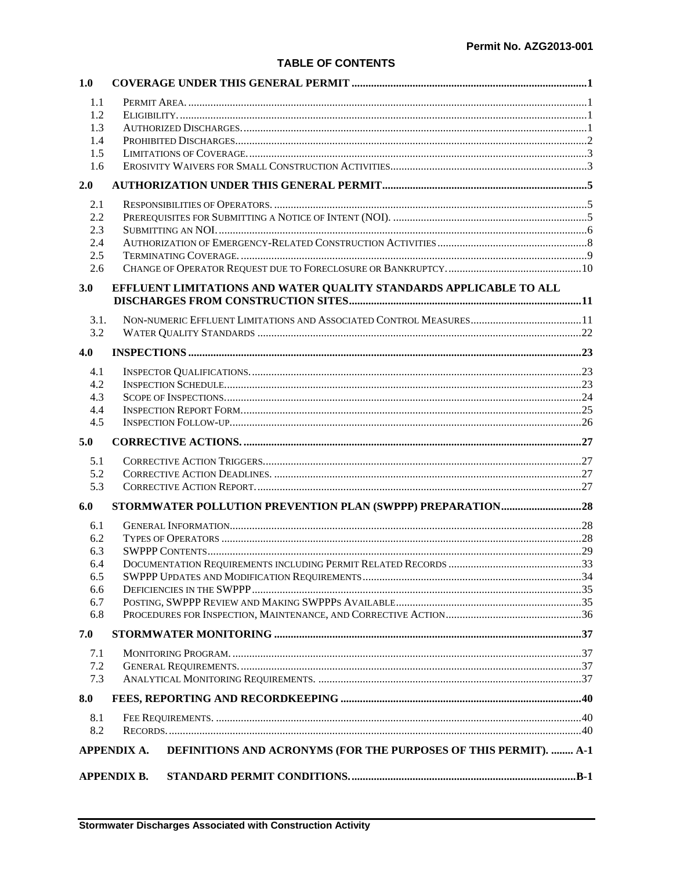# **TABLE OF CONTENTS**

| 1.0        |                                                                                        |  |
|------------|----------------------------------------------------------------------------------------|--|
| 1.1        |                                                                                        |  |
| 1.2        |                                                                                        |  |
| 1.3        |                                                                                        |  |
| 1.4        |                                                                                        |  |
| 1.5        |                                                                                        |  |
| 1.6        |                                                                                        |  |
| 2.0        |                                                                                        |  |
| 2.1        |                                                                                        |  |
| 2.2        |                                                                                        |  |
| 2.3        |                                                                                        |  |
| 2.4        |                                                                                        |  |
| 2.5        |                                                                                        |  |
| 2.6        |                                                                                        |  |
| 3.0        | EFFLUENT LIMITATIONS AND WATER QUALITY STANDARDS APPLICABLE TO ALL                     |  |
| 3.1.       |                                                                                        |  |
| 3.2        |                                                                                        |  |
|            |                                                                                        |  |
| 4.0        |                                                                                        |  |
| 4.1        |                                                                                        |  |
| 4.2        |                                                                                        |  |
| 4.3        |                                                                                        |  |
| 4.4        |                                                                                        |  |
| 4.5        |                                                                                        |  |
| 5.0        |                                                                                        |  |
|            |                                                                                        |  |
| 5.1        |                                                                                        |  |
| 5.2        |                                                                                        |  |
| 5.3        |                                                                                        |  |
| 6.0        |                                                                                        |  |
|            |                                                                                        |  |
| 6.1<br>6.2 |                                                                                        |  |
| 6.3        |                                                                                        |  |
| 6.4        |                                                                                        |  |
| 6.5        |                                                                                        |  |
| 6.6        |                                                                                        |  |
| 6.7        |                                                                                        |  |
| 6.8        |                                                                                        |  |
| 7.0        |                                                                                        |  |
|            |                                                                                        |  |
| 7.1        |                                                                                        |  |
| 7.2        |                                                                                        |  |
| 7.3<br>8.0 |                                                                                        |  |
|            |                                                                                        |  |
| 8.1<br>8.2 |                                                                                        |  |
|            | DEFINITIONS AND ACRONYMS (FOR THE PURPOSES OF THIS PERMIT).  A-1<br><b>APPENDIX A.</b> |  |
|            | <b>APPENDIX B.</b>                                                                     |  |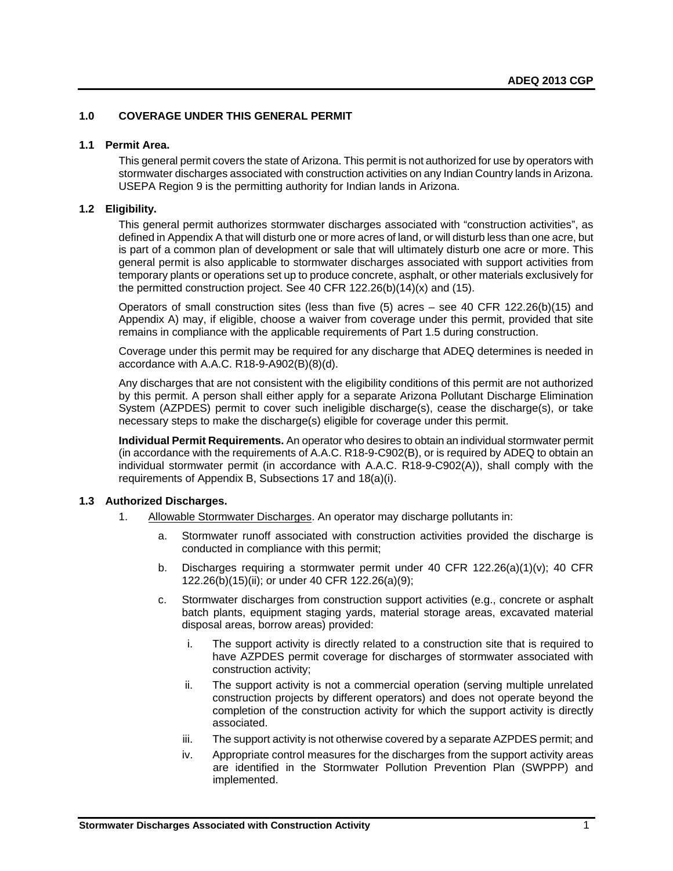# <span id="page-2-0"></span>**1.0 COVERAGE UNDER THIS GENERAL PERMIT**

#### <span id="page-2-1"></span>**1.1 Permit Area.**

This general permit covers the state of Arizona. This permit is not authorized for use by operators with stormwater discharges associated with construction activities on any Indian Country lands in Arizona. USEPA Region 9 is the permitting authority for Indian lands in Arizona.

#### <span id="page-2-2"></span>**1.2 Eligibility.**

This general permit authorizes stormwater discharges associated with "construction activities", as defined in Appendix A that will disturb one or more acres of land, or will disturb less than one acre, but is part of a common plan of development or sale that will ultimately disturb one acre or more. This general permit is also applicable to stormwater discharges associated with support activities from temporary plants or operations set up to produce concrete, asphalt, or other materials exclusively for the permitted construction project. See 40 CFR  $122.26(b)(14)(x)$  and  $(15)$ .

Operators of small construction sites (less than five  $(5)$  acres – see 40 CFR 122.26(b)(15) and Appendix A) may, if eligible, choose a waiver from coverage under this permit, provided that site remains in compliance with the applicable requirements of Part 1.5 during construction.

Coverage under this permit may be required for any discharge that ADEQ determines is needed in accordance with A.A.C. R18-9-A902(B)(8)(d).

Any discharges that are not consistent with the eligibility conditions of this permit are not authorized by this permit. A person shall either apply for a separate Arizona Pollutant Discharge Elimination System (AZPDES) permit to cover such ineligible discharge(s), cease the discharge(s), or take necessary steps to make the discharge(s) eligible for coverage under this permit.

**Individual Permit Requirements.** An operator who desires to obtain an individual stormwater permit (in accordance with the requirements of A.A.C. R18-9-C902(B), or is required by ADEQ to obtain an individual stormwater permit (in accordance with A.A.C. R18-9-C902(A)), shall comply with the requirements of Appendix B, Subsections 17 and 18(a)(i).

#### <span id="page-2-3"></span>**1.3 Authorized Discharges.**

- 1. Allowable Stormwater Discharges. An operator may discharge pollutants in:
	- a. Stormwater runoff associated with construction activities provided the discharge is conducted in compliance with this permit;
	- b. Discharges requiring a stormwater permit under 40 CFR 122.26(a)(1)(v); 40 CFR 122.26(b)(15)(ii); or under 40 CFR 122.26(a)(9);
	- c. Stormwater discharges from construction support activities (e.g., concrete or asphalt batch plants, equipment staging yards, material storage areas, excavated material disposal areas, borrow areas) provided:
		- i. The support activity is directly related to a construction site that is required to have AZPDES permit coverage for discharges of stormwater associated with construction activity;
		- ii. The support activity is not a commercial operation (serving multiple unrelated construction projects by different operators) and does not operate beyond the completion of the construction activity for which the support activity is directly associated.
		- iii. The support activity is not otherwise covered by a separate AZPDES permit; and
		- iv. Appropriate control measures for the discharges from the support activity areas are identified in the Stormwater Pollution Prevention Plan (SWPPP) and implemented.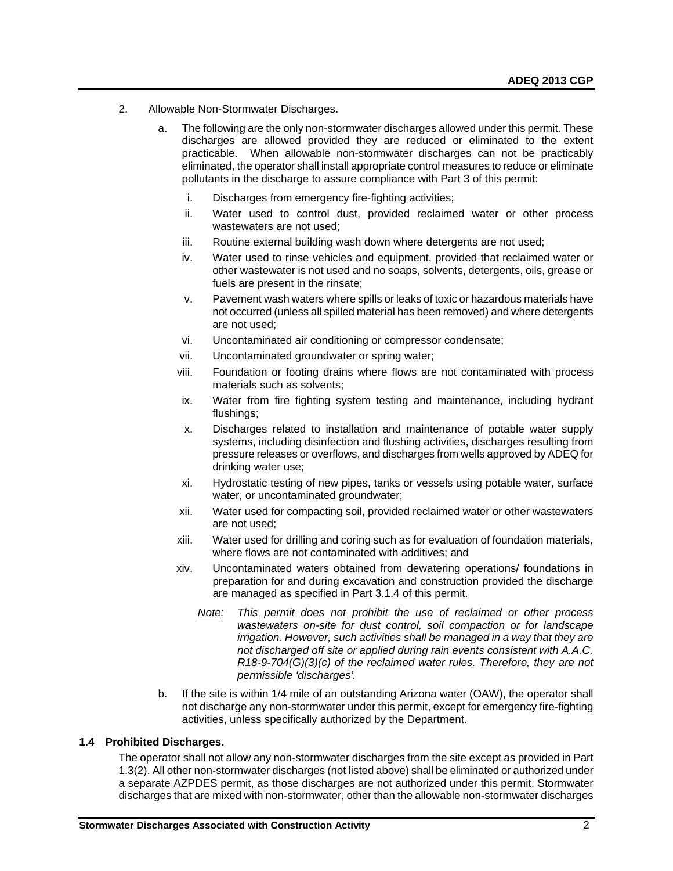- 2. Allowable Non-Stormwater Discharges.
	- a. The following are the only non-stormwater discharges allowed under this permit. These discharges are allowed provided they are reduced or eliminated to the extent practicable. When allowable non-stormwater discharges can not be practicably eliminated, the operator shall install appropriate control measures to reduce or eliminate pollutants in the discharge to assure compliance with Part 3 of this permit:
		- i. Discharges from emergency fire-fighting activities;
		- ii. Water used to control dust, provided reclaimed water or other process wastewaters are not used;
		- iii. Routine external building wash down where detergents are not used;
		- iv. Water used to rinse vehicles and equipment, provided that reclaimed water or other wastewater is not used and no soaps, solvents, detergents, oils, grease or fuels are present in the rinsate;
		- v. Pavement wash waters where spills or leaks of toxic or hazardous materials have not occurred (unless all spilled material has been removed) and where detergents are not used;
		- vi. Uncontaminated air conditioning or compressor condensate;
		- vii. Uncontaminated groundwater or spring water;
		- viii. Foundation or footing drains where flows are not contaminated with process materials such as solvents;
		- ix. Water from fire fighting system testing and maintenance, including hydrant flushings;
		- x. Discharges related to installation and maintenance of potable water supply systems, including disinfection and flushing activities, discharges resulting from pressure releases or overflows, and discharges from wells approved by ADEQ for drinking water use;
		- xi. Hydrostatic testing of new pipes, tanks or vessels using potable water, surface water, or uncontaminated groundwater;
		- xii. Water used for compacting soil, provided reclaimed water or other wastewaters are not used;
		- xiii. Water used for drilling and coring such as for evaluation of foundation materials, where flows are not contaminated with additives; and
		- xiv. Uncontaminated waters obtained from dewatering operations/ foundations in preparation for and during excavation and construction provided the discharge are managed as specified in Part 3.1.4 of this permit.
			- *Note: This permit does not prohibit the use of reclaimed or other process wastewaters on-site for dust control, soil compaction or for landscape irrigation. However, such activities shall be managed in a way that they are not discharged off site or applied during rain events consistent with A.A.C. R18-9-704(G)(3)(c) of the reclaimed water rules. Therefore, they are not permissible 'discharges'.*
	- b. If the site is within 1/4 mile of an outstanding Arizona water (OAW), the operator shall not discharge any non-stormwater under this permit, except for emergency fire-fighting activities, unless specifically authorized by the Department.

# <span id="page-3-0"></span>**1.4 Prohibited Discharges.**

The operator shall not allow any non-stormwater discharges from the site except as provided in Part 1.3(2). All other non-stormwater discharges (not listed above) shall be eliminated or authorized under a separate AZPDES permit, as those discharges are not authorized under this permit. Stormwater discharges that are mixed with non-stormwater, other than the allowable non-stormwater discharges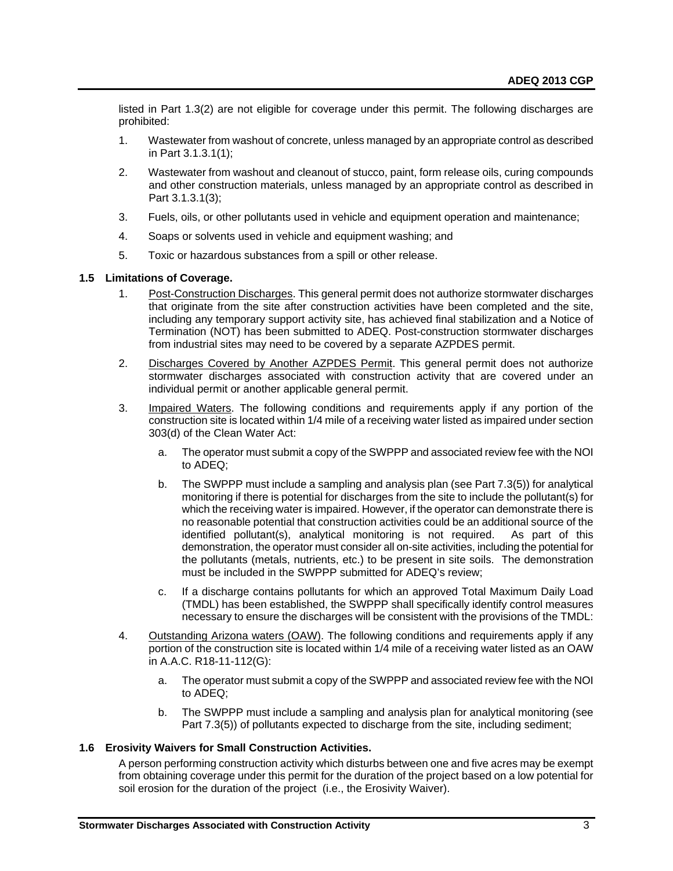listed in Part 1.3(2) are not eligible for coverage under this permit. The following discharges are prohibited:

- 1. Wastewater from washout of concrete, unless managed by an appropriate control as described in Part 3.1.3.1(1);
- 2. Wastewater from washout and cleanout of stucco, paint, form release oils, curing compounds and other construction materials, unless managed by an appropriate control as described in Part 3.1.3.1(3);
- 3. Fuels, oils, or other pollutants used in vehicle and equipment operation and maintenance;
- 4. Soaps or solvents used in vehicle and equipment washing; and
- 5. Toxic or hazardous substances from a spill or other release.

# <span id="page-4-0"></span>**1.5 Limitations of Coverage.**

- 1. Post-Construction Discharges. This general permit does not authorize stormwater discharges that originate from the site after construction activities have been completed and the site, including any temporary support activity site, has achieved final stabilization and a Notice of Termination (NOT) has been submitted to ADEQ. Post-construction stormwater discharges from industrial sites may need to be covered by a separate AZPDES permit.
- 2. Discharges Covered by Another AZPDES Permit. This general permit does not authorize stormwater discharges associated with construction activity that are covered under an individual permit or another applicable general permit.
- 3. Impaired Waters. The following conditions and requirements apply if any portion of the construction site is located within 1/4 mile of a receiving water listed as impaired under section 303(d) of the Clean Water Act:
	- a. The operator must submit a copy of the SWPPP and associated review fee with the NOI to ADEQ;
	- b. The SWPPP must include a sampling and analysis plan (see Part 7.3(5)) for analytical monitoring if there is potential for discharges from the site to include the pollutant(s) for which the receiving water is impaired. However, if the operator can demonstrate there is no reasonable potential that construction activities could be an additional source of the identified pollutant(s), analytical monitoring is not required. As part of this demonstration, the operator must consider all on-site activities, including the potential for the pollutants (metals, nutrients, etc.) to be present in site soils. The demonstration must be included in the SWPPP submitted for ADEQ's review;
	- c. If a discharge contains pollutants for which an approved Total Maximum Daily Load (TMDL) has been established, the SWPPP shall specifically identify control measures necessary to ensure the discharges will be consistent with the provisions of the TMDL:
- 4. Outstanding Arizona waters (OAW). The following conditions and requirements apply if any portion of the construction site is located within 1/4 mile of a receiving water listed as an OAW in A.A.C. R18-11-112(G):
	- a. The operator must submit a copy of the SWPPP and associated review fee with the NOI to ADEQ;
	- b. The SWPPP must include a sampling and analysis plan for analytical monitoring (see Part 7.3(5)) of pollutants expected to discharge from the site, including sediment;

#### <span id="page-4-1"></span>**1.6 Erosivity Waivers for Small Construction Activities.**

A person performing construction activity which disturbs between one and five acres may be exempt from obtaining coverage under this permit for the duration of the project based on a low potential for soil erosion for the duration of the project (i.e., the Erosivity Waiver).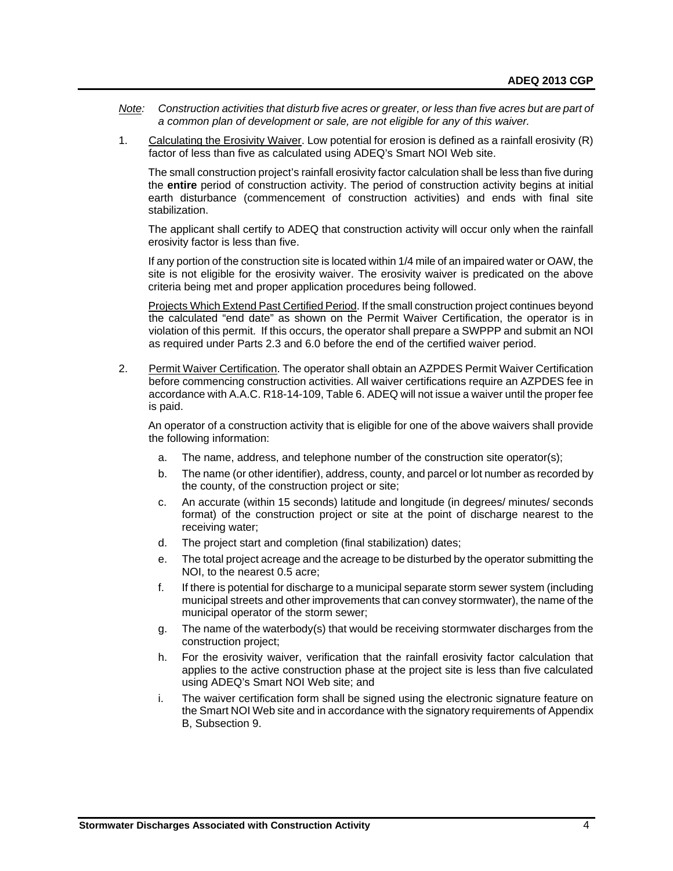- *Note: Construction activities that disturb five acres or greater, or less than five acres but are part of a common plan of development or sale, are not eligible for any of this waiver.*
- 1. Calculating the Erosivity Waiver. Low potential for erosion is defined as a rainfall erosivity (R) factor of less than five as calculated using ADEQ's Smart NOI Web site.

The small construction project's rainfall erosivity factor calculation shall be less than five during the **entire** period of construction activity. The period of construction activity begins at initial earth disturbance (commencement of construction activities) and ends with final site stabilization.

The applicant shall certify to ADEQ that construction activity will occur only when the rainfall erosivity factor is less than five.

If any portion of the construction site is located within 1/4 mile of an impaired water or OAW, the site is not eligible for the erosivity waiver. The erosivity waiver is predicated on the above criteria being met and proper application procedures being followed.

Projects Which Extend Past Certified Period. If the small construction project continues beyond the calculated "end date" as shown on the Permit Waiver Certification, the operator is in violation of this permit. If this occurs, the operator shall prepare a SWPPP and submit an NOI as required under Parts 2.3 and 6.0 before the end of the certified waiver period.

2. Permit Waiver Certification. The operator shall obtain an AZPDES Permit Waiver Certification before commencing construction activities. All waiver certifications require an AZPDES fee in accordance with A.A.C. R18-14-109, Table 6. ADEQ will not issue a waiver until the proper fee is paid.

An operator of a construction activity that is eligible for one of the above waivers shall provide the following information:

- a. The name, address, and telephone number of the construction site operator(s);
- b. The name (or other identifier), address, county, and parcel or lot number as recorded by the county, of the construction project or site;
- c. An accurate (within 15 seconds) latitude and longitude (in degrees/ minutes/ seconds format) of the construction project or site at the point of discharge nearest to the receiving water;
- d. The project start and completion (final stabilization) dates;
- e. The total project acreage and the acreage to be disturbed by the operator submitting the NOI, to the nearest 0.5 acre;
- f. If there is potential for discharge to a municipal separate storm sewer system (including municipal streets and other improvements that can convey stormwater), the name of the municipal operator of the storm sewer;
- g. The name of the waterbody(s) that would be receiving stormwater discharges from the construction project;
- h. For the erosivity waiver, verification that the rainfall erosivity factor calculation that applies to the active construction phase at the project site is less than five calculated using ADEQ's Smart NOI Web site; and
- i. The waiver certification form shall be signed using the electronic signature feature on the Smart NOI Web site and in accordance with the signatory requirements of Appendix B, Subsection 9.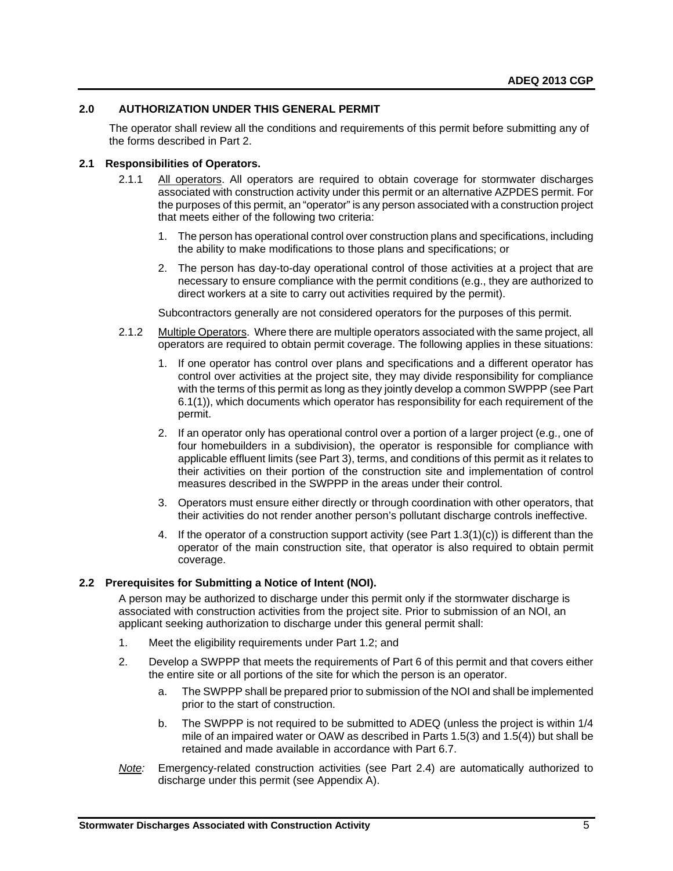# <span id="page-6-0"></span>**2.0 AUTHORIZATION UNDER THIS GENERAL PERMIT**

The operator shall review all the conditions and requirements of this permit before submitting any of the forms described in Part 2.

#### <span id="page-6-1"></span>**2.1 Responsibilities of Operators.**

- 2.1.1 All operators. All operators are required to obtain coverage for stormwater discharges associated with construction activity under this permit or an alternative AZPDES permit. For the purposes of this permit, an "operator" is any person associated with a construction project that meets either of the following two criteria:
	- 1. The person has operational control over construction plans and specifications, including the ability to make modifications to those plans and specifications; or
	- 2. The person has day-to-day operational control of those activities at a project that are necessary to ensure compliance with the permit conditions (e.g., they are authorized to direct workers at a site to carry out activities required by the permit).

Subcontractors generally are not considered operators for the purposes of this permit.

- 2.1.2 Multiple Operators. Where there are multiple operators associated with the same project, all operators are required to obtain permit coverage. The following applies in these situations:
	- 1. If one operator has control over plans and specifications and a different operator has control over activities at the project site, they may divide responsibility for compliance with the terms of this permit as long as they jointly develop a common SWPPP (see Part 6.1(1)), which documents which operator has responsibility for each requirement of the permit.
	- 2. If an operator only has operational control over a portion of a larger project (e.g., one of four homebuilders in a subdivision), the operator is responsible for compliance with applicable effluent limits (see Part 3), terms, and conditions of this permit as it relates to their activities on their portion of the construction site and implementation of control measures described in the SWPPP in the areas under their control.
	- 3. Operators must ensure either directly or through coordination with other operators, that their activities do not render another person's pollutant discharge controls ineffective.
	- 4. If the operator of a construction support activity (see Part 1.3(1)(c)) is different than the operator of the main construction site, that operator is also required to obtain permit coverage.

# <span id="page-6-2"></span>**2.2 Prerequisites for Submitting a Notice of Intent (NOI).**

A person may be authorized to discharge under this permit only if the stormwater discharge is associated with construction activities from the project site. Prior to submission of an NOI, an applicant seeking authorization to discharge under this general permit shall:

- 1. Meet the eligibility requirements under Part 1.2; and
- 2. Develop a SWPPP that meets the requirements of Part 6 of this permit and that covers either the entire site or all portions of the site for which the person is an operator.
	- a. The SWPPP shall be prepared prior to submission of the NOI and shall be implemented prior to the start of construction.
	- b. The SWPPP is not required to be submitted to ADEQ (unless the project is within 1/4 mile of an impaired water or OAW as described in Parts 1.5(3) and 1.5(4)) but shall be retained and made available in accordance with Part 6.7.
- *Note:* Emergency-related construction activities (see Part 2.4) are automatically authorized to discharge under this permit (see Appendix A).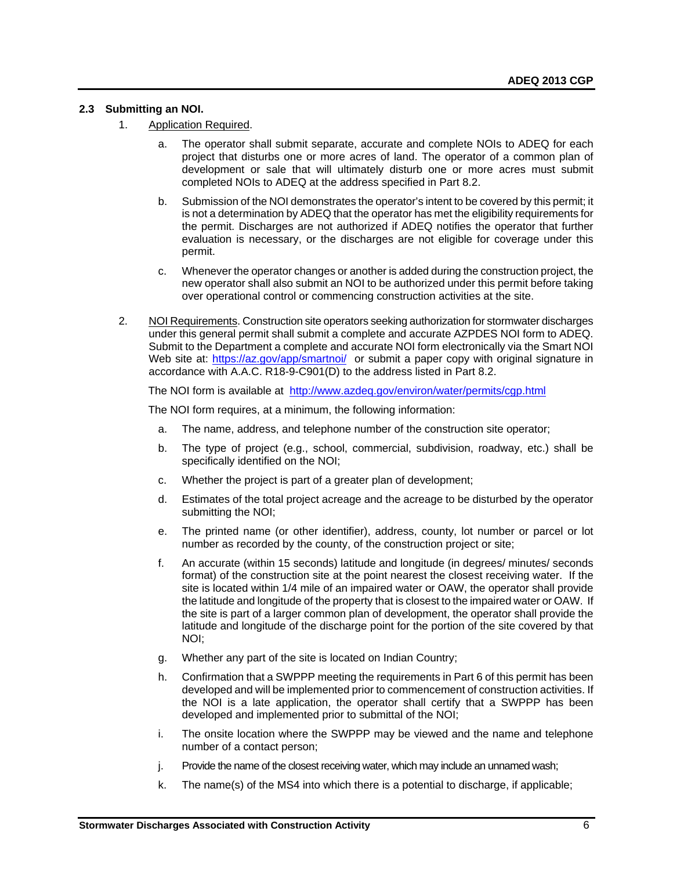# <span id="page-7-0"></span>**2.3 Submitting an NOI.**

- 1. Application Required.
	- a. The operator shall submit separate, accurate and complete NOIs to ADEQ for each project that disturbs one or more acres of land. The operator of a common plan of development or sale that will ultimately disturb one or more acres must submit completed NOIs to ADEQ at the address specified in Part 8.2.
	- b. Submission of the NOI demonstrates the operator's intent to be covered by this permit; it is not a determination by ADEQ that the operator has met the eligibility requirements for the permit. Discharges are not authorized if ADEQ notifies the operator that further evaluation is necessary, or the discharges are not eligible for coverage under this permit.
	- c. Whenever the operator changes or another is added during the construction project, the new operator shall also submit an NOI to be authorized under this permit before taking over operational control or commencing construction activities at the site.
- 2. NOI Requirements. Construction site operators seeking authorization for stormwater discharges under this general permit shall submit a complete and accurate AZPDES NOI form to ADEQ. Submit to the Department a complete and accurate NOI form electronically via the Smart NOI Web site at: <https://az.gov/app/smartnoi/> or submit a paper copy with original signature in accordance with A.A.C. R18-9-C901(D) to the address listed in Part 8.2.

The NOI form is available at <http://www.azdeq.gov/environ/water/permits/cgp.html>

The NOI form requires, at a minimum, the following information:

- a. The name, address, and telephone number of the construction site operator;
- b. The type of project (e.g., school, commercial, subdivision, roadway, etc.) shall be specifically identified on the NOI;
- c. Whether the project is part of a greater plan of development;
- d. Estimates of the total project acreage and the acreage to be disturbed by the operator submitting the NOI;
- e. The printed name (or other identifier), address, county, lot number or parcel or lot number as recorded by the county, of the construction project or site;
- f. An accurate (within 15 seconds) latitude and longitude (in degrees/ minutes/ seconds format) of the construction site at the point nearest the closest receiving water. If the site is located within 1/4 mile of an impaired water or OAW, the operator shall provide the latitude and longitude of the property that is closest to the impaired water or OAW. If the site is part of a larger common plan of development, the operator shall provide the latitude and longitude of the discharge point for the portion of the site covered by that NOI;
- g. Whether any part of the site is located on Indian Country;
- h. Confirmation that a SWPPP meeting the requirements in Part 6 of this permit has been developed and will be implemented prior to commencement of construction activities. If the NOI is a late application, the operator shall certify that a SWPPP has been developed and implemented prior to submittal of the NOI;
- i. The onsite location where the SWPPP may be viewed and the name and telephone number of a contact person;
- j. Provide the name of the closest receiving water, which may include an unnamed wash;
- k. The name(s) of the MS4 into which there is a potential to discharge, if applicable;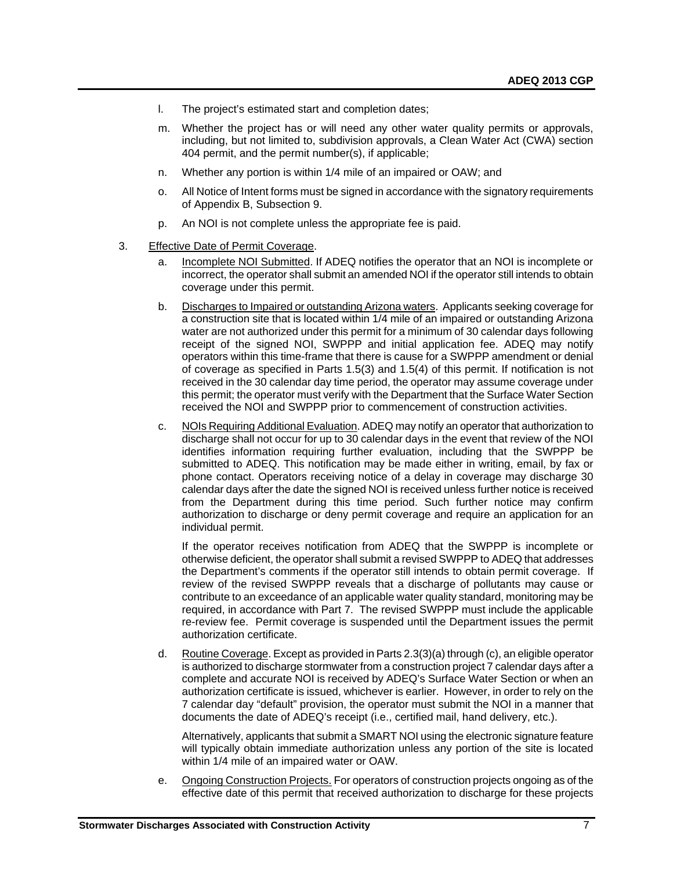- l. The project's estimated start and completion dates;
- m. Whether the project has or will need any other water quality permits or approvals, including, but not limited to, subdivision approvals, a Clean Water Act (CWA) section 404 permit, and the permit number(s), if applicable;
- n. Whether any portion is within 1/4 mile of an impaired or OAW; and
- o. All Notice of Intent forms must be signed in accordance with the signatory requirements of Appendix B, Subsection 9.
- p. An NOI is not complete unless the appropriate fee is paid.
- 3. Effective Date of Permit Coverage.
	- a. Incomplete NOI Submitted. If ADEQ notifies the operator that an NOI is incomplete or incorrect, the operator shall submit an amended NOI if the operator still intends to obtain coverage under this permit.
	- b. Discharges to Impaired or outstanding Arizona waters. Applicants seeking coverage for a construction site that is located within 1/4 mile of an impaired or outstanding Arizona water are not authorized under this permit for a minimum of 30 calendar days following receipt of the signed NOI, SWPPP and initial application fee. ADEQ may notify operators within this time-frame that there is cause for a SWPPP amendment or denial of coverage as specified in Parts 1.5(3) and 1.5(4) of this permit. If notification is not received in the 30 calendar day time period, the operator may assume coverage under this permit; the operator must verify with the Department that the Surface Water Section received the NOI and SWPPP prior to commencement of construction activities.
	- c. NOIs Requiring Additional Evaluation. ADEQ may notify an operator that authorization to discharge shall not occur for up to 30 calendar days in the event that review of the NOI identifies information requiring further evaluation, including that the SWPPP be submitted to ADEQ. This notification may be made either in writing, email, by fax or phone contact. Operators receiving notice of a delay in coverage may discharge 30 calendar days after the date the signed NOI is received unless further notice is received from the Department during this time period. Such further notice may confirm authorization to discharge or deny permit coverage and require an application for an individual permit.

If the operator receives notification from ADEQ that the SWPPP is incomplete or otherwise deficient, the operator shall submit a revised SWPPP to ADEQ that addresses the Department's comments if the operator still intends to obtain permit coverage. If review of the revised SWPPP reveals that a discharge of pollutants may cause or contribute to an exceedance of an applicable water quality standard, monitoring may be required, in accordance with Part 7. The revised SWPPP must include the applicable re-review fee. Permit coverage is suspended until the Department issues the permit authorization certificate.

d. Routine Coverage. Except as provided in Parts 2.3(3)(a) through (c), an eligible operator is authorized to discharge stormwater from a construction project 7 calendar days after a complete and accurate NOI is received by ADEQ's Surface Water Section or when an authorization certificate is issued, whichever is earlier. However, in order to rely on the 7 calendar day "default" provision, the operator must submit the NOI in a manner that documents the date of ADEQ's receipt (i.e., certified mail, hand delivery, etc.).

Alternatively, applicants that submit a SMART NOI using the electronic signature feature will typically obtain immediate authorization unless any portion of the site is located within 1/4 mile of an impaired water or OAW.

e. Ongoing Construction Projects. For operators of construction projects ongoing as of the effective date of this permit that received authorization to discharge for these projects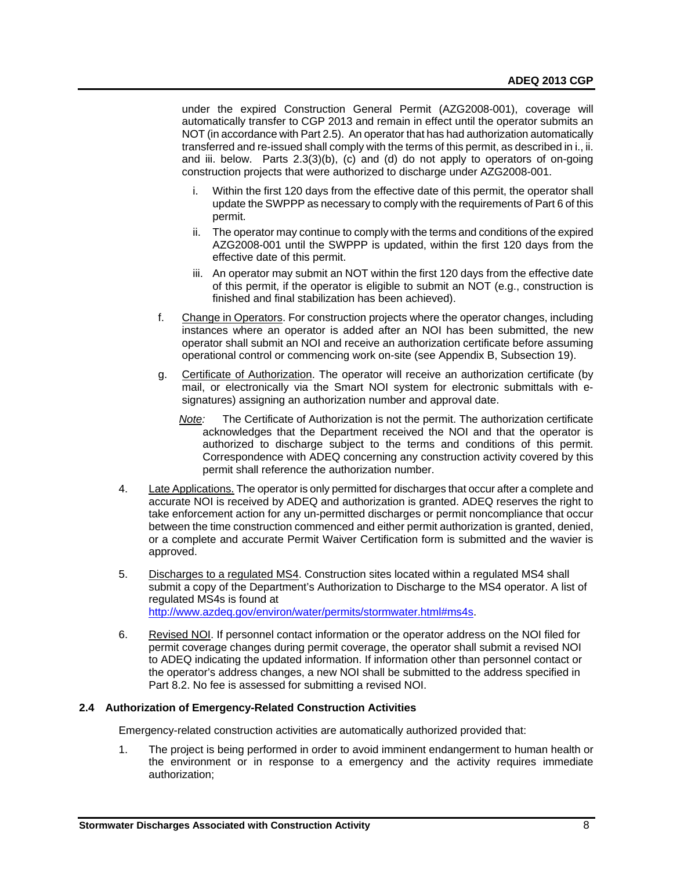under the expired Construction General Permit (AZG2008-001), coverage will automatically transfer to CGP 2013 and remain in effect until the operator submits an NOT (in accordance with Part 2.5). An operator that has had authorization automatically transferred and re-issued shall comply with the terms of this permit, as described in i., ii. and iii. below. Parts 2.3(3)(b), (c) and (d) do not apply to operators of on-going construction projects that were authorized to discharge under AZG2008-001.

- i. Within the first 120 days from the effective date of this permit, the operator shall update the SWPPP as necessary to comply with the requirements of Part 6 of this permit.
- ii. The operator may continue to comply with the terms and conditions of the expired AZG2008-001 until the SWPPP is updated, within the first 120 days from the effective date of this permit.
- iii. An operator may submit an NOT within the first 120 days from the effective date of this permit, if the operator is eligible to submit an NOT (e.g., construction is finished and final stabilization has been achieved).
- f. Change in Operators. For construction projects where the operator changes, including instances where an operator is added after an NOI has been submitted, the new operator shall submit an NOI and receive an authorization certificate before assuming operational control or commencing work on-site (see Appendix B, Subsection 19).
- g. Certificate of Authorization. The operator will receive an authorization certificate (by mail, or electronically via the Smart NOI system for electronic submittals with esignatures) assigning an authorization number and approval date.
	- *Note:* The Certificate of Authorization is not the permit. The authorization certificate acknowledges that the Department received the NOI and that the operator is authorized to discharge subject to the terms and conditions of this permit. Correspondence with ADEQ concerning any construction activity covered by this permit shall reference the authorization number.
- 4. Late Applications. The operator is only permitted for discharges that occur after a complete and accurate NOI is received by ADEQ and authorization is granted. ADEQ reserves the right to take enforcement action for any un-permitted discharges or permit noncompliance that occur between the time construction commenced and either permit authorization is granted, denied, or a complete and accurate Permit Waiver Certification form is submitted and the wavier is approved.
- 5. Discharges to a regulated MS4. Construction sites located within a regulated MS4 shall submit a copy of the Department's Authorization to Discharge to the MS4 operator. A list of regulated MS4s is found at [http://www.azdeq.gov/environ/water/permits/stormwater.html#ms4s.](http://www.azdeq.gov/environ/water/permits/stormwater.html#ms4s)
- 6. Revised NOI. If personnel contact information or the operator address on the NOI filed for permit coverage changes during permit coverage, the operator shall submit a revised NOI to ADEQ indicating the updated information. If information other than personnel contact or the operator's address changes, a new NOI shall be submitted to the address specified in Part 8.2. No fee is assessed for submitting a revised NOI.

# <span id="page-9-0"></span>**2.4 Authorization of Emergency-Related Construction Activities**

Emergency-related construction activities are automatically authorized provided that:

1. The project is being performed in order to avoid imminent endangerment to human health or the environment or in response to a emergency and the activity requires immediate authorization;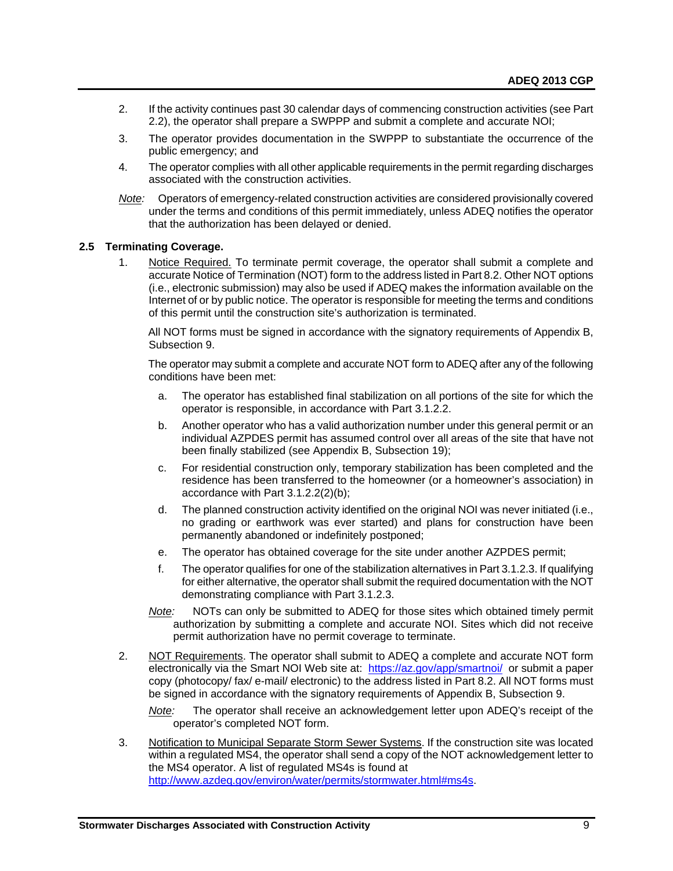- 2. If the activity continues past 30 calendar days of commencing construction activities (see Part 2.2), the operator shall prepare a SWPPP and submit a complete and accurate NOI;
- 3. The operator provides documentation in the SWPPP to substantiate the occurrence of the public emergency; and
- 4. The operator complies with all other applicable requirements in the permit regarding discharges associated with the construction activities.
- *Note:* Operators of emergency-related construction activities are considered provisionally covered under the terms and conditions of this permit immediately, unless ADEQ notifies the operator that the authorization has been delayed or denied.

#### <span id="page-10-0"></span>**2.5 Terminating Coverage.**

1. Notice Required. To terminate permit coverage, the operator shall submit a complete and accurate Notice of Termination (NOT) form to the address listed in Part 8.2. Other NOT options (i.e., electronic submission) may also be used if ADEQ makes the information available on the Internet of or by public notice. The operator is responsible for meeting the terms and conditions of this permit until the construction site's authorization is terminated.

All NOT forms must be signed in accordance with the signatory requirements of Appendix B, Subsection 9.

The operator may submit a complete and accurate NOT form to ADEQ after any of the following conditions have been met:

- a. The operator has established final stabilization on all portions of the site for which the operator is responsible, in accordance with Part 3.1.2.2.
- b. Another operator who has a valid authorization number under this general permit or an individual AZPDES permit has assumed control over all areas of the site that have not been finally stabilized (see Appendix B, Subsection 19);
- c. For residential construction only, temporary stabilization has been completed and the residence has been transferred to the homeowner (or a homeowner's association) in accordance with Part 3.1.2.2(2)(b);
- d. The planned construction activity identified on the original NOI was never initiated (i.e., no grading or earthwork was ever started) and plans for construction have been permanently abandoned or indefinitely postponed;
- e. The operator has obtained coverage for the site under another AZPDES permit;
- f. The operator qualifies for one of the stabilization alternatives in Part 3.1.2.3. If qualifying for either alternative, the operator shall submit the required documentation with the NOT demonstrating compliance with Part 3.1.2.3.
- *Note:* NOTs can only be submitted to ADEQ for those sites which obtained timely permit authorization by submitting a complete and accurate NOI. Sites which did not receive permit authorization have no permit coverage to terminate.
- 2. NOT Requirements. The operator shall submit to ADEQ a complete and accurate NOT form electronically via the Smart NOI Web site at: <https://az.gov/app/smartnoi/> or submit a paper copy (photocopy/ fax/ e-mail/ electronic) to the address listed in Part 8.2. All NOT forms must be signed in accordance with the signatory requirements of Appendix B, Subsection 9.
	- *Note:* The operator shall receive an acknowledgement letter upon ADEQ's receipt of the operator's completed NOT form.
- 3. Notification to Municipal Separate Storm Sewer Systems. If the construction site was located within a regulated MS4, the operator shall send a copy of the NOT acknowledgement letter to the MS4 operator. A list of regulated MS4s is found at [http://www.azdeq.gov/environ/water/permits/stormwater.html#ms4s.](http://www.azdeq.gov/environ/water/permits/stormwater.html#ms4s)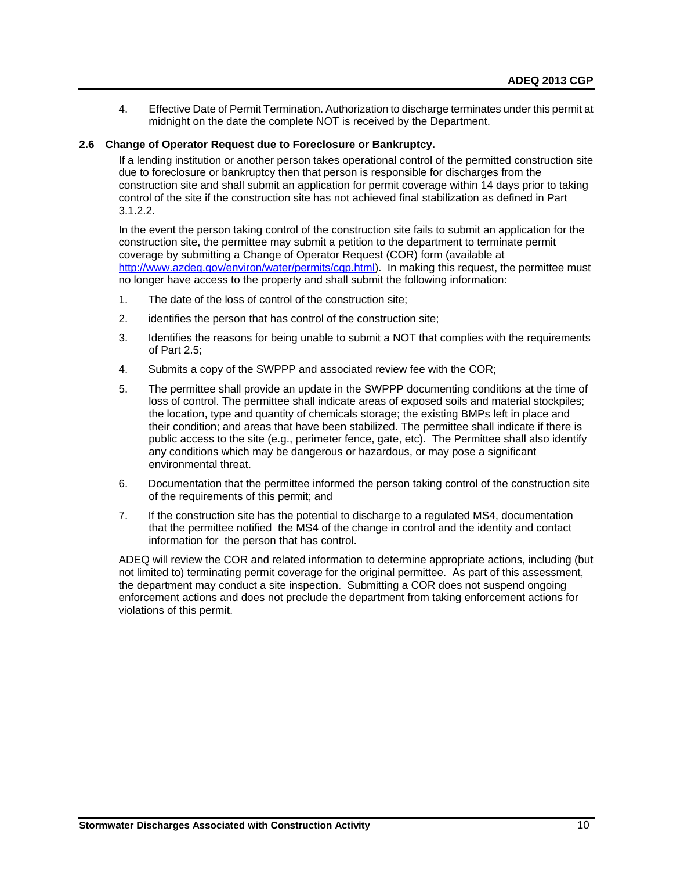4. Effective Date of Permit Termination. Authorization to discharge terminates under this permit at midnight on the date the complete NOT is received by the Department.

# <span id="page-11-0"></span>**2.6 Change of Operator Request due to Foreclosure or Bankruptcy.**

If a lending institution or another person takes operational control of the permitted construction site due to foreclosure or bankruptcy then that person is responsible for discharges from the construction site and shall submit an application for permit coverage within 14 days prior to taking control of the site if the construction site has not achieved final stabilization as defined in Part 3.1.2.2.

In the event the person taking control of the construction site fails to submit an application for the construction site, the permittee may submit a petition to the department to terminate permit coverage by submitting a Change of Operator Request (COR) form (available at <http://www.azdeq.gov/environ/water/permits/cgp.html>). In making this request, the permittee must no longer have access to the property and shall submit the following information:

- 1. The date of the loss of control of the construction site;
- 2. identifies the person that has control of the construction site;
- 3. Identifies the reasons for being unable to submit a NOT that complies with the requirements of Part 2.5;
- 4. Submits a copy of the SWPPP and associated review fee with the COR;
- 5. The permittee shall provide an update in the SWPPP documenting conditions at the time of loss of control. The permittee shall indicate areas of exposed soils and material stockpiles; the location, type and quantity of chemicals storage; the existing BMPs left in place and their condition; and areas that have been stabilized. The permittee shall indicate if there is public access to the site (e.g., perimeter fence, gate, etc). The Permittee shall also identify any conditions which may be dangerous or hazardous, or may pose a significant environmental threat.
- 6. Documentation that the permittee informed the person taking control of the construction site of the requirements of this permit; and
- 7. If the construction site has the potential to discharge to a regulated MS4, documentation that the permittee notified the MS4 of the change in control and the identity and contact information for the person that has control.

ADEQ will review the COR and related information to determine appropriate actions, including (but not limited to) terminating permit coverage for the original permittee. As part of this assessment, the department may conduct a site inspection. Submitting a COR does not suspend ongoing enforcement actions and does not preclude the department from taking enforcement actions for violations of this permit.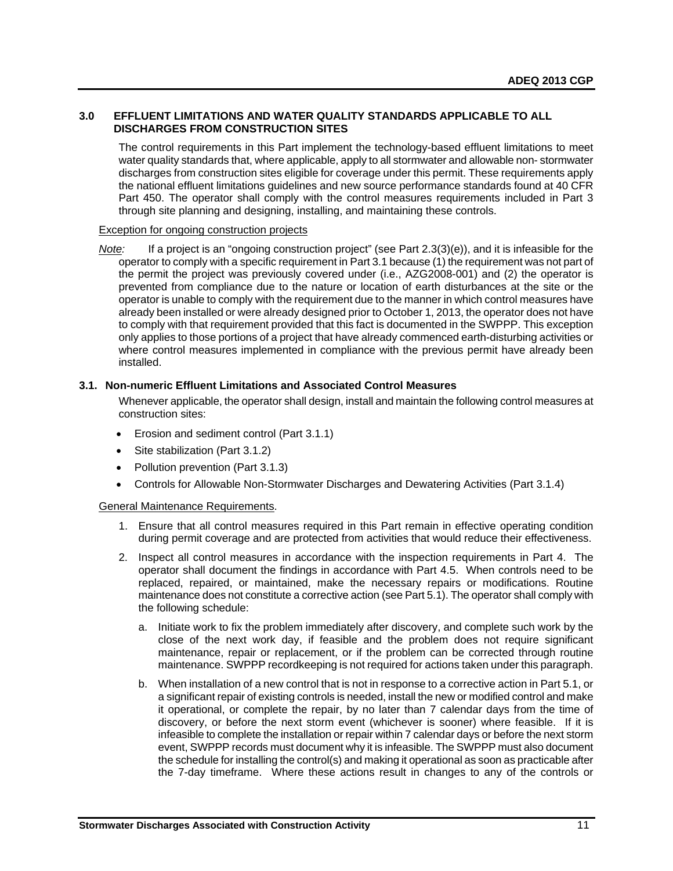# <span id="page-12-0"></span>**3.0 EFFLUENT LIMITATIONS AND WATER QUALITY STANDARDS APPLICABLE TO ALL DISCHARGES FROM CONSTRUCTION SITES**

The control requirements in this Part implement the technology-based effluent limitations to meet water quality standards that, where applicable, apply to all stormwater and allowable non- stormwater discharges from construction sites eligible for coverage under this permit. These requirements apply the national effluent limitations guidelines and new source performance standards found at 40 CFR Part 450. The operator shall comply with the control measures requirements included in Part 3 through site planning and designing, installing, and maintaining these controls.

#### Exception for ongoing construction projects

*Note:* If a project is an "ongoing construction project" (see Part 2.3(3)(e)), and it is infeasible for the operator to comply with a specific requirement in Part 3.1 because (1) the requirement was not part of the permit the project was previously covered under (i.e., AZG2008-001) and (2) the operator is prevented from compliance due to the nature or location of earth disturbances at the site or the operator is unable to comply with the requirement due to the manner in which control measures have already been installed or were already designed prior to October 1, 2013, the operator does not have to comply with that requirement provided that this fact is documented in the SWPPP. This exception only applies to those portions of a project that have already commenced earth-disturbing activities or where control measures implemented in compliance with the previous permit have already been installed.

# <span id="page-12-1"></span>**3.1. Non-numeric Effluent Limitations and Associated Control Measures**

Whenever applicable, the operator shall design, install and maintain the following control measures at construction sites:

- Erosion and sediment control (Part 3.1.1)
- Site stabilization (Part 3.1.2)
- Pollution prevention (Part 3.1.3)
- Controls for Allowable Non-Stormwater Discharges and Dewatering Activities (Part 3.1.4)

# General Maintenance Requirements.

- 1. Ensure that all control measures required in this Part remain in effective operating condition during permit coverage and are protected from activities that would reduce their effectiveness.
- 2. Inspect all control measures in accordance with the inspection requirements in Part 4. The operator shall document the findings in accordance with Part 4.5. When controls need to be replaced, repaired, or maintained, make the necessary repairs or modifications. Routine maintenance does not constitute a corrective action (see Part 5.1). The operator shall comply with the following schedule:
	- a. Initiate work to fix the problem immediately after discovery, and complete such work by the close of the next work day, if feasible and the problem does not require significant maintenance, repair or replacement, or if the problem can be corrected through routine maintenance. SWPPP recordkeeping is not required for actions taken under this paragraph.
	- b. When installation of a new control that is not in response to a corrective action in Part 5.1, or a significant repair of existing controls is needed, install the new or modified control and make it operational, or complete the repair, by no later than 7 calendar days from the time of discovery, or before the next storm event (whichever is sooner) where feasible. If it is infeasible to complete the installation or repair within 7 calendar days or before the next storm event, SWPPP records must document why it is infeasible. The SWPPP must also document the schedule for installing the control(s) and making it operational as soon as practicable after the 7-day timeframe. Where these actions result in changes to any of the controls or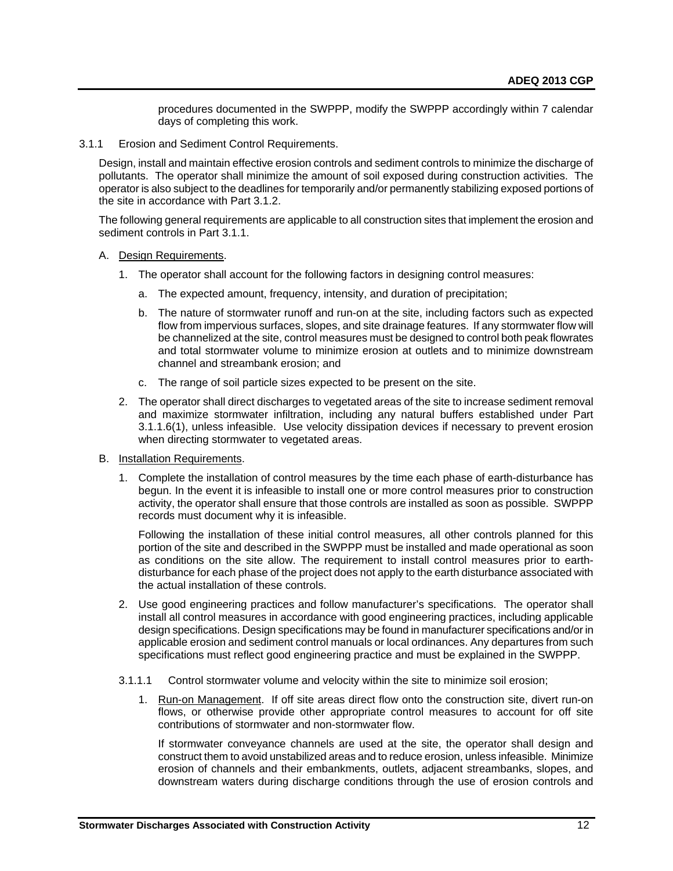procedures documented in the SWPPP, modify the SWPPP accordingly within 7 calendar days of completing this work.

3.1.1 Erosion and Sediment Control Requirements.

Design, install and maintain effective erosion controls and sediment controls to minimize the discharge of pollutants. The operator shall minimize the amount of soil exposed during construction activities. The operator is also subject to the deadlines for temporarily and/or permanently stabilizing exposed portions of the site in accordance with Part 3.1.2.

The following general requirements are applicable to all construction sites that implement the erosion and sediment controls in Part 3.1.1.

- A. Design Requirements.
	- 1. The operator shall account for the following factors in designing control measures:
		- a. The expected amount, frequency, intensity, and duration of precipitation;
		- b. The nature of stormwater runoff and run-on at the site, including factors such as expected flow from impervious surfaces, slopes, and site drainage features. If any stormwater flow will be channelized at the site, control measures must be designed to control both peak flowrates and total stormwater volume to minimize erosion at outlets and to minimize downstream channel and streambank erosion; and
		- c. The range of soil particle sizes expected to be present on the site.
	- 2. The operator shall direct discharges to vegetated areas of the site to increase sediment removal and maximize stormwater infiltration, including any natural buffers established under Part 3.1.1.6(1), unless infeasible. Use velocity dissipation devices if necessary to prevent erosion when directing stormwater to vegetated areas.
- B. Installation Requirements.
	- 1. Complete the installation of control measures by the time each phase of earth-disturbance has begun. In the event it is infeasible to install one or more control measures prior to construction activity, the operator shall ensure that those controls are installed as soon as possible. SWPPP records must document why it is infeasible.

Following the installation of these initial control measures, all other controls planned for this portion of the site and described in the SWPPP must be installed and made operational as soon as conditions on the site allow. The requirement to install control measures prior to earthdisturbance for each phase of the project does not apply to the earth disturbance associated with the actual installation of these controls.

- 2. Use good engineering practices and follow manufacturer's specifications. The operator shall install all control measures in accordance with good engineering practices, including applicable design specifications. Design specifications may be found in manufacturer specifications and/or in applicable erosion and sediment control manuals or local ordinances. Any departures from such specifications must reflect good engineering practice and must be explained in the SWPPP.
- 3.1.1.1 Control stormwater volume and velocity within the site to minimize soil erosion;
	- 1. Run-on Management. If off site areas direct flow onto the construction site, divert run-on flows, or otherwise provide other appropriate control measures to account for off site contributions of stormwater and non-stormwater flow.

If stormwater conveyance channels are used at the site, the operator shall design and construct them to avoid unstabilized areas and to reduce erosion, unless infeasible. Minimize erosion of channels and their embankments, outlets, adjacent streambanks, slopes, and downstream waters during discharge conditions through the use of erosion controls and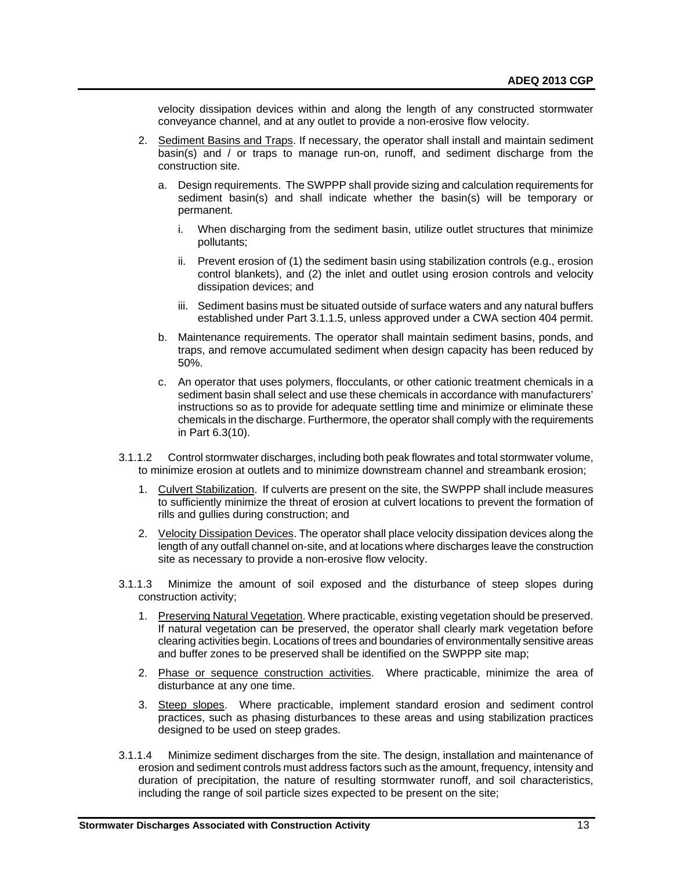velocity dissipation devices within and along the length of any constructed stormwater conveyance channel, and at any outlet to provide a non-erosive flow velocity.

- 2. Sediment Basins and Traps. If necessary, the operator shall install and maintain sediment basin(s) and / or traps to manage run-on, runoff, and sediment discharge from the construction site.
	- a. Design requirements. The SWPPP shall provide sizing and calculation requirements for sediment basin(s) and shall indicate whether the basin(s) will be temporary or permanent.
		- i. When discharging from the sediment basin, utilize outlet structures that minimize pollutants;
		- ii. Prevent erosion of (1) the sediment basin using stabilization controls (e.g., erosion control blankets), and (2) the inlet and outlet using erosion controls and velocity dissipation devices; and
		- iii. Sediment basins must be situated outside of surface waters and any natural buffers established under Part 3.1.1.5, unless approved under a CWA section 404 permit.
	- b. Maintenance requirements. The operator shall maintain sediment basins, ponds, and traps, and remove accumulated sediment when design capacity has been reduced by 50%.
	- c. An operator that uses polymers, flocculants, or other cationic treatment chemicals in a sediment basin shall select and use these chemicals in accordance with manufacturers' instructions so as to provide for adequate settling time and minimize or eliminate these chemicals in the discharge. Furthermore, the operator shall comply with the requirements in Part 6.3(10).
- 3.1.1.2 Control stormwater discharges, including both peak flowrates and total stormwater volume, to minimize erosion at outlets and to minimize downstream channel and streambank erosion;
	- 1. Culvert Stabilization. If culverts are present on the site, the SWPPP shall include measures to sufficiently minimize the threat of erosion at culvert locations to prevent the formation of rills and gullies during construction; and
	- 2. Velocity Dissipation Devices. The operator shall place velocity dissipation devices along the length of any outfall channel on-site, and at locations where discharges leave the construction site as necessary to provide a non-erosive flow velocity.
- 3.1.1.3 Minimize the amount of soil exposed and the disturbance of steep slopes during construction activity;
	- 1. Preserving Natural Vegetation. Where practicable, existing vegetation should be preserved. If natural vegetation can be preserved, the operator shall clearly mark vegetation before clearing activities begin. Locations of trees and boundaries of environmentally sensitive areas and buffer zones to be preserved shall be identified on the SWPPP site map;
	- 2. Phase or sequence construction activities. Where practicable, minimize the area of disturbance at any one time.
	- 3. Steep slopes. Where practicable, implement standard erosion and sediment control practices, such as phasing disturbances to these areas and using stabilization practices designed to be used on steep grades.
- 3.1.1.4 Minimize sediment discharges from the site. The design, installation and maintenance of erosion and sediment controls must address factors such as the amount, frequency, intensity and duration of precipitation, the nature of resulting stormwater runoff, and soil characteristics, including the range of soil particle sizes expected to be present on the site;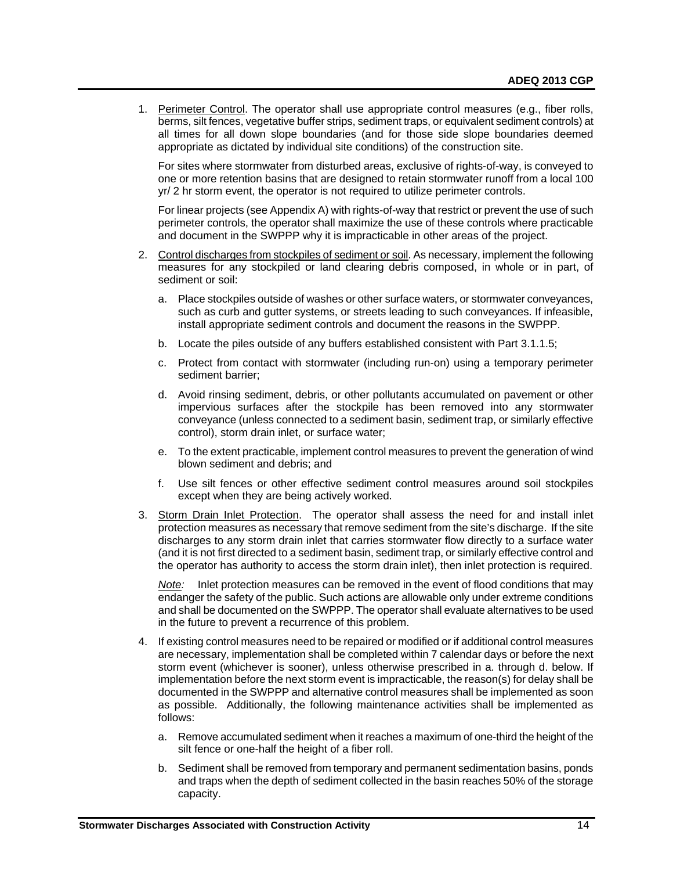1. Perimeter Control. The operator shall use appropriate control measures (e.g., fiber rolls, berms, silt fences, vegetative buffer strips, sediment traps, or equivalent sediment controls) at all times for all down slope boundaries (and for those side slope boundaries deemed appropriate as dictated by individual site conditions) of the construction site.

For sites where stormwater from disturbed areas, exclusive of rights-of-way, is conveyed to one or more retention basins that are designed to retain stormwater runoff from a local 100 yr/ 2 hr storm event, the operator is not required to utilize perimeter controls.

For linear projects (see Appendix A) with rights-of-way that restrict or prevent the use of such perimeter controls, the operator shall maximize the use of these controls where practicable and document in the SWPPP why it is impracticable in other areas of the project.

- 2. Control discharges from stockpiles of sediment or soil. As necessary, implement the following measures for any stockpiled or land clearing debris composed, in whole or in part, of sediment or soil:
	- a. Place stockpiles outside of washes or other surface waters, or stormwater conveyances, such as curb and gutter systems, or streets leading to such conveyances. If infeasible, install appropriate sediment controls and document the reasons in the SWPPP.
	- b. Locate the piles outside of any buffers established consistent with Part 3.1.1.5;
	- c. Protect from contact with stormwater (including run-on) using a temporary perimeter sediment barrier;
	- d. Avoid rinsing sediment, debris, or other pollutants accumulated on pavement or other impervious surfaces after the stockpile has been removed into any stormwater conveyance (unless connected to a sediment basin, sediment trap, or similarly effective control), storm drain inlet, or surface water;
	- e. To the extent practicable, implement control measures to prevent the generation of wind blown sediment and debris; and
	- f. Use silt fences or other effective sediment control measures around soil stockpiles except when they are being actively worked.
- 3. Storm Drain Inlet Protection. The operator shall assess the need for and install inlet protection measures as necessary that remove sediment from the site's discharge. If the site discharges to any storm drain inlet that carries stormwater flow directly to a surface water (and it is not first directed to a sediment basin, sediment trap, or similarly effective control and the operator has authority to access the storm drain inlet), then inlet protection is required.

*Note:* Inlet protection measures can be removed in the event of flood conditions that may endanger the safety of the public. Such actions are allowable only under extreme conditions and shall be documented on the SWPPP. The operator shall evaluate alternatives to be used in the future to prevent a recurrence of this problem.

- 4. If existing control measures need to be repaired or modified or if additional control measures are necessary, implementation shall be completed within 7 calendar days or before the next storm event (whichever is sooner), unless otherwise prescribed in a. through d. below. If implementation before the next storm event is impracticable, the reason(s) for delay shall be documented in the SWPPP and alternative control measures shall be implemented as soon as possible. Additionally, the following maintenance activities shall be implemented as follows:
	- a. Remove accumulated sediment when it reaches a maximum of one-third the height of the silt fence or one-half the height of a fiber roll.
	- b. Sediment shall be removed from temporary and permanent sedimentation basins, ponds and traps when the depth of sediment collected in the basin reaches 50% of the storage capacity.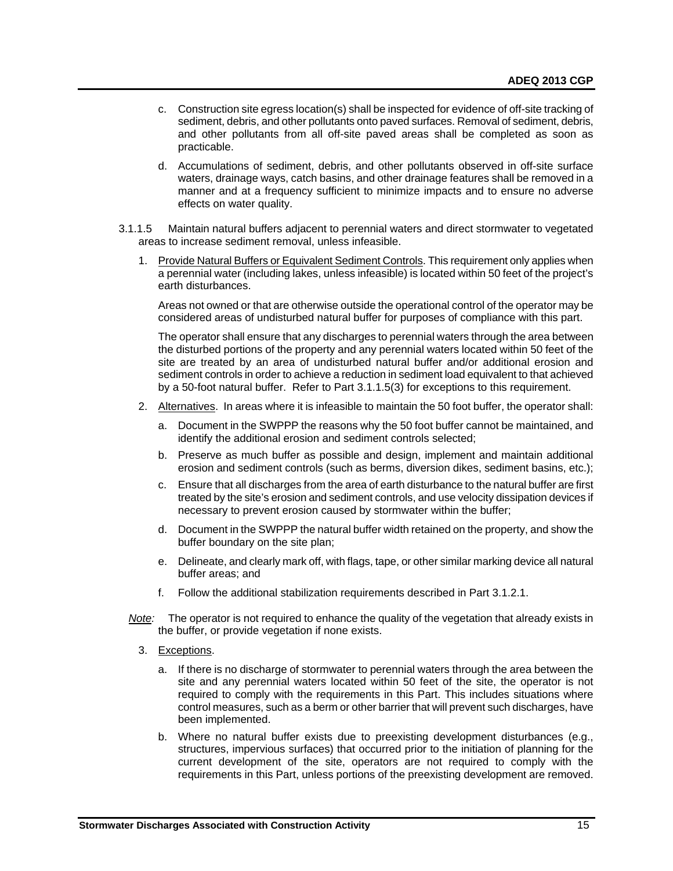- c. Construction site egress location(s) shall be inspected for evidence of off-site tracking of sediment, debris, and other pollutants onto paved surfaces. Removal of sediment, debris, and other pollutants from all off-site paved areas shall be completed as soon as practicable.
- d. Accumulations of sediment, debris, and other pollutants observed in off-site surface waters, drainage ways, catch basins, and other drainage features shall be removed in a manner and at a frequency sufficient to minimize impacts and to ensure no adverse effects on water quality.
- 3.1.1.5 Maintain natural buffers adjacent to perennial waters and direct stormwater to vegetated areas to increase sediment removal, unless infeasible.
	- 1. Provide Natural Buffers or Equivalent Sediment Controls. This requirement only applies when a perennial water (including lakes, unless infeasible) is located within 50 feet of the project's earth disturbances.

Areas not owned or that are otherwise outside the operational control of the operator may be considered areas of undisturbed natural buffer for purposes of compliance with this part.

The operator shall ensure that any discharges to perennial waters through the area between the disturbed portions of the property and any perennial waters located within 50 feet of the site are treated by an area of undisturbed natural buffer and/or additional erosion and sediment controls in order to achieve a reduction in sediment load equivalent to that achieved by a 50-foot natural buffer. Refer to Part 3.1.1.5(3) for exceptions to this requirement.

- 2. Alternatives. In areas where it is infeasible to maintain the 50 foot buffer, the operator shall:
	- a. Document in the SWPPP the reasons why the 50 foot buffer cannot be maintained, and identify the additional erosion and sediment controls selected;
	- b. Preserve as much buffer as possible and design, implement and maintain additional erosion and sediment controls (such as berms, diversion dikes, sediment basins, etc.);
	- c. Ensure that all discharges from the area of earth disturbance to the natural buffer are first treated by the site's erosion and sediment controls, and use velocity dissipation devices if necessary to prevent erosion caused by stormwater within the buffer;
	- d. Document in the SWPPP the natural buffer width retained on the property, and show the buffer boundary on the site plan;
	- e. Delineate, and clearly mark off, with flags, tape, or other similar marking device all natural buffer areas; and
	- f. Follow the additional stabilization requirements described in Part 3.1.2.1.
- *Note:* The operator is not required to enhance the quality of the vegetation that already exists in the buffer, or provide vegetation if none exists.
	- 3. Exceptions.
		- a. If there is no discharge of stormwater to perennial waters through the area between the site and any perennial waters located within 50 feet of the site, the operator is not required to comply with the requirements in this Part. This includes situations where control measures, such as a berm or other barrier that will prevent such discharges, have been implemented.
		- b. Where no natural buffer exists due to preexisting development disturbances (e.g., structures, impervious surfaces) that occurred prior to the initiation of planning for the current development of the site, operators are not required to comply with the requirements in this Part, unless portions of the preexisting development are removed.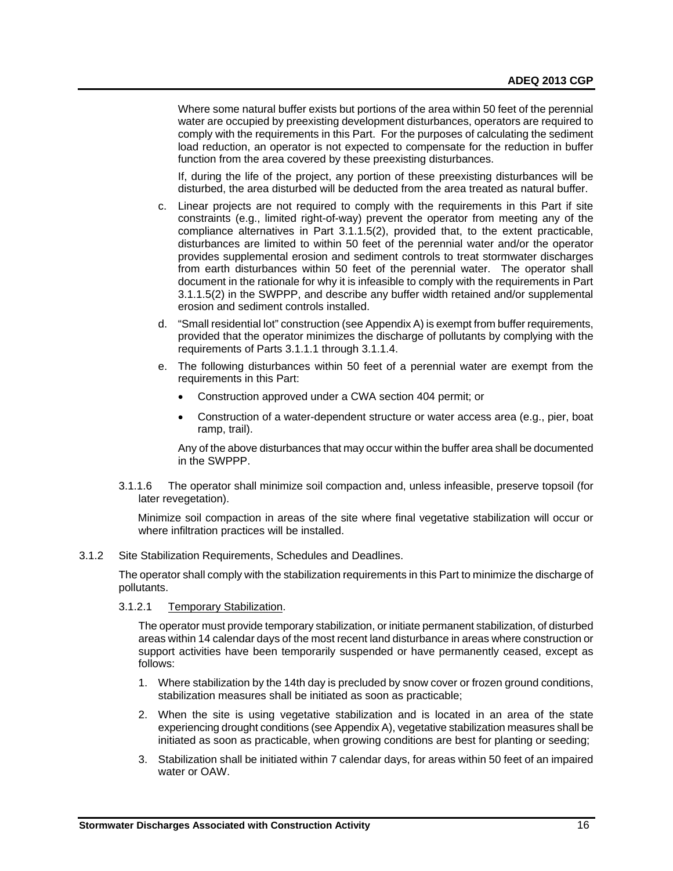Where some natural buffer exists but portions of the area within 50 feet of the perennial water are occupied by preexisting development disturbances, operators are required to comply with the requirements in this Part. For the purposes of calculating the sediment load reduction, an operator is not expected to compensate for the reduction in buffer function from the area covered by these preexisting disturbances.

If, during the life of the project, any portion of these preexisting disturbances will be disturbed, the area disturbed will be deducted from the area treated as natural buffer.

- c. Linear projects are not required to comply with the requirements in this Part if site constraints (e.g., limited right-of-way) prevent the operator from meeting any of the compliance alternatives in Part 3.1.1.5(2), provided that, to the extent practicable, disturbances are limited to within 50 feet of the perennial water and/or the operator provides supplemental erosion and sediment controls to treat stormwater discharges from earth disturbances within 50 feet of the perennial water. The operator shall document in the rationale for why it is infeasible to comply with the requirements in Part 3.1.1.5(2) in the SWPPP, and describe any buffer width retained and/or supplemental erosion and sediment controls installed.
- d. "Small residential lot" construction (see Appendix A) is exempt from buffer requirements, provided that the operator minimizes the discharge of pollutants by complying with the requirements of Parts 3.1.1.1 through 3.1.1.4.
- e. The following disturbances within 50 feet of a perennial water are exempt from the requirements in this Part:
	- Construction approved under a CWA section 404 permit; or
	- Construction of a water-dependent structure or water access area (e.g., pier, boat ramp, trail).

Any of the above disturbances that may occur within the buffer area shall be documented in the SWPPP.

3.1.1.6 The operator shall minimize soil compaction and, unless infeasible, preserve topsoil (for later revegetation).

Minimize soil compaction in areas of the site where final vegetative stabilization will occur or where infiltration practices will be installed.

# 3.1.2 Site Stabilization Requirements, Schedules and Deadlines.

The operator shall comply with the stabilization requirements in this Part to minimize the discharge of pollutants.

# 3.1.2.1 Temporary Stabilization.

The operator must provide temporary stabilization, or initiate permanent stabilization, of disturbed areas within 14 calendar days of the most recent land disturbance in areas where construction or support activities have been temporarily suspended or have permanently ceased, except as follows:

- 1. Where stabilization by the 14th day is precluded by snow cover or frozen ground conditions, stabilization measures shall be initiated as soon as practicable;
- 2. When the site is using vegetative stabilization and is located in an area of the state experiencing drought conditions (see Appendix A), vegetative stabilization measures shall be initiated as soon as practicable, when growing conditions are best for planting or seeding;
- 3. Stabilization shall be initiated within 7 calendar days, for areas within 50 feet of an impaired water or OAW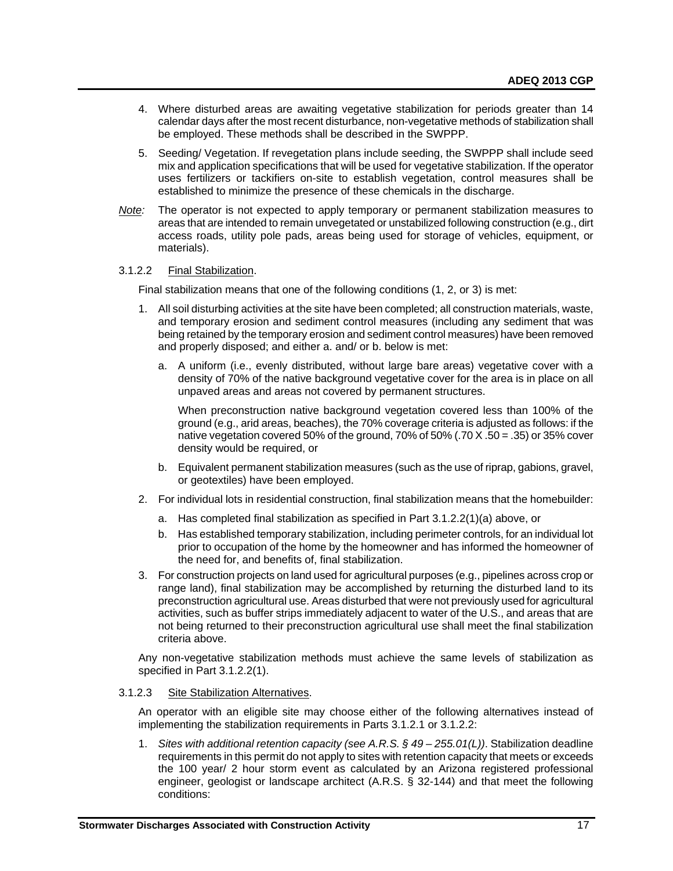- 4. Where disturbed areas are awaiting vegetative stabilization for periods greater than 14 calendar days after the most recent disturbance, non-vegetative methods of stabilization shall be employed. These methods shall be described in the SWPPP.
- 5. Seeding/ Vegetation. If revegetation plans include seeding, the SWPPP shall include seed mix and application specifications that will be used for vegetative stabilization. If the operator uses fertilizers or tackifiers on-site to establish vegetation, control measures shall be established to minimize the presence of these chemicals in the discharge.
- *Note:* The operator is not expected to apply temporary or permanent stabilization measures to areas that are intended to remain unvegetated or unstabilized following construction (e.g., dirt access roads, utility pole pads, areas being used for storage of vehicles, equipment, or materials).

#### 3.1.2.2 Final Stabilization.

Final stabilization means that one of the following conditions (1, 2, or 3) is met:

- 1. All soil disturbing activities at the site have been completed; all construction materials, waste, and temporary erosion and sediment control measures (including any sediment that was being retained by the temporary erosion and sediment control measures) have been removed and properly disposed; and either a. and/ or b. below is met:
	- a. A uniform (i.e., evenly distributed, without large bare areas) vegetative cover with a density of 70% of the native background vegetative cover for the area is in place on all unpaved areas and areas not covered by permanent structures.

When preconstruction native background vegetation covered less than 100% of the ground (e.g., arid areas, beaches), the 70% coverage criteria is adjusted as follows: if the native vegetation covered 50% of the ground, 70% of 50% (.70  $\times$  .50 = .35) or 35% cover density would be required, or

- b. Equivalent permanent stabilization measures (such as the use of riprap, gabions, gravel, or geotextiles) have been employed.
- 2. For individual lots in residential construction, final stabilization means that the homebuilder:
	- a. Has completed final stabilization as specified in Part 3.1.2.2(1)(a) above, or
	- b. Has established temporary stabilization, including perimeter controls, for an individual lot prior to occupation of the home by the homeowner and has informed the homeowner of the need for, and benefits of, final stabilization.
- 3. For construction projects on land used for agricultural purposes (e.g., pipelines across crop or range land), final stabilization may be accomplished by returning the disturbed land to its preconstruction agricultural use. Areas disturbed that were not previously used for agricultural activities, such as buffer strips immediately adjacent to water of the U.S., and areas that are not being returned to their preconstruction agricultural use shall meet the final stabilization criteria above.

Any non-vegetative stabilization methods must achieve the same levels of stabilization as specified in Part 3.1.2.2(1).

#### 3.1.2.3 Site Stabilization Alternatives.

An operator with an eligible site may choose either of the following alternatives instead of implementing the stabilization requirements in Parts 3.1.2.1 or 3.1.2.2:

1. *Sites with additional retention capacity (see A.R.S. § 49 – 255.01(L))*. Stabilization deadline requirements in this permit do not apply to sites with retention capacity that meets or exceeds the 100 year/ 2 hour storm event as calculated by an Arizona registered professional engineer, geologist or landscape architect (A.R.S. § 32-144) and that meet the following conditions: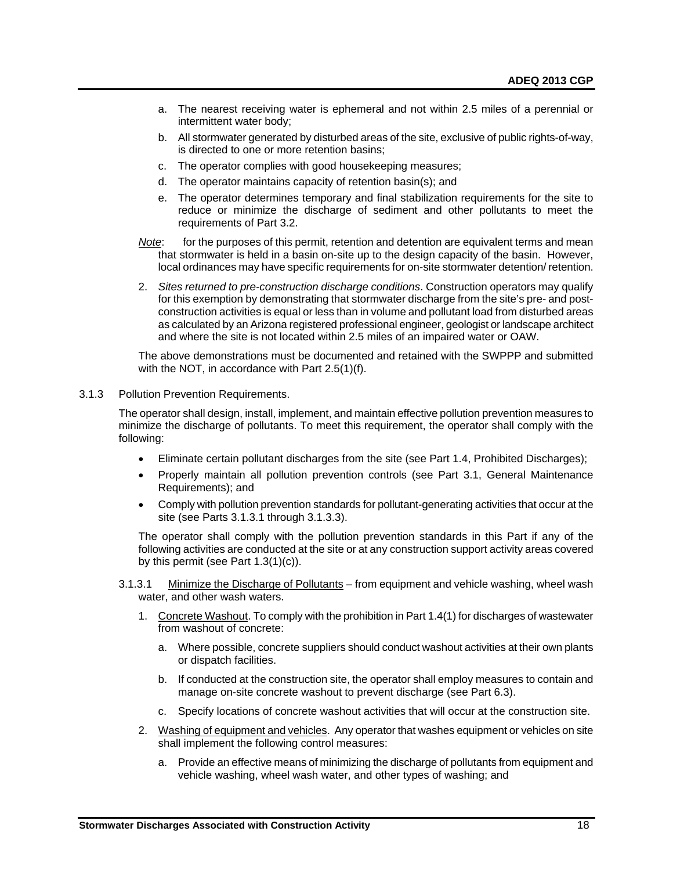- a. The nearest receiving water is ephemeral and not within 2.5 miles of a perennial or intermittent water body;
- b. All stormwater generated by disturbed areas of the site, exclusive of public rights-of-way, is directed to one or more retention basins;
- c. The operator complies with good housekeeping measures;
- d. The operator maintains capacity of retention basin(s); and
- e. The operator determines temporary and final stabilization requirements for the site to reduce or minimize the discharge of sediment and other pollutants to meet the requirements of Part 3.2.
- *Note*: for the purposes of this permit, retention and detention are equivalent terms and mean that stormwater is held in a basin on-site up to the design capacity of the basin. However, local ordinances may have specific requirements for on-site stormwater detention/ retention.
- 2. *Sites returned to pre-construction discharge conditions*. Construction operators may qualify for this exemption by demonstrating that stormwater discharge from the site's pre- and postconstruction activities is equal or less than in volume and pollutant load from disturbed areas as calculated by an Arizona registered professional engineer, geologist or landscape architect and where the site is not located within 2.5 miles of an impaired water or OAW.

The above demonstrations must be documented and retained with the SWPPP and submitted with the NOT, in accordance with Part 2.5(1)(f).

3.1.3 Pollution Prevention Requirements.

The operator shall design, install, implement, and maintain effective pollution prevention measures to minimize the discharge of pollutants. To meet this requirement, the operator shall comply with the following:

- Eliminate certain pollutant discharges from the site (see Part 1.4, Prohibited Discharges);
- Properly maintain all pollution prevention controls (see Part 3.1, General Maintenance Requirements); and
- Comply with pollution prevention standards for pollutant-generating activities that occur at the site (see Parts 3.1.3.1 through 3.1.3.3).

The operator shall comply with the pollution prevention standards in this Part if any of the following activities are conducted at the site or at any construction support activity areas covered by this permit (see Part 1.3(1)(c)).

- 3.1.3.1 Minimize the Discharge of Pollutants from equipment and vehicle washing, wheel wash water, and other wash waters.
	- 1. Concrete Washout. To comply with the prohibition in Part 1.4(1) for discharges of wastewater from washout of concrete:
		- a. Where possible, concrete suppliers should conduct washout activities at their own plants or dispatch facilities.
		- b. If conducted at the construction site, the operator shall employ measures to contain and manage on-site concrete washout to prevent discharge (see Part 6.3).
		- c. Specify locations of concrete washout activities that will occur at the construction site.
	- 2. Washing of equipment and vehicles. Any operator that washes equipment or vehicles on site shall implement the following control measures:
		- a. Provide an effective means of minimizing the discharge of pollutants from equipment and vehicle washing, wheel wash water, and other types of washing; and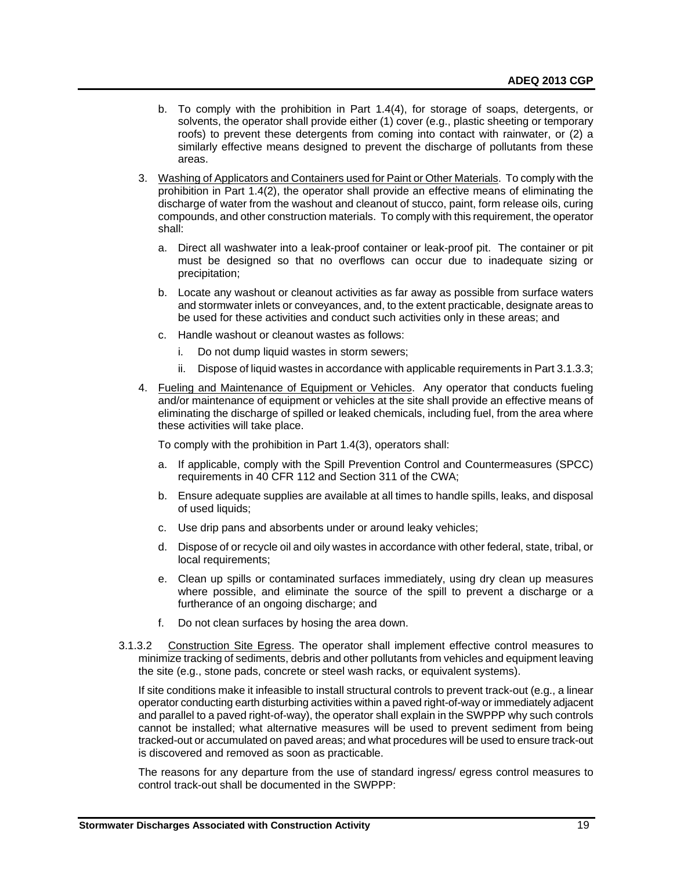- b. To comply with the prohibition in Part 1.4(4), for storage of soaps, detergents, or solvents, the operator shall provide either (1) cover (e.g., plastic sheeting or temporary roofs) to prevent these detergents from coming into contact with rainwater, or (2) a similarly effective means designed to prevent the discharge of pollutants from these areas.
- 3. Washing of Applicators and Containers used for Paint or Other Materials. To comply with the prohibition in Part 1.4(2), the operator shall provide an effective means of eliminating the discharge of water from the washout and cleanout of stucco, paint, form release oils, curing compounds, and other construction materials. To comply with this requirement, the operator shall:
	- a. Direct all washwater into a leak-proof container or leak-proof pit. The container or pit must be designed so that no overflows can occur due to inadequate sizing or precipitation;
	- b. Locate any washout or cleanout activities as far away as possible from surface waters and stormwater inlets or conveyances, and, to the extent practicable, designate areas to be used for these activities and conduct such activities only in these areas; and
	- c. Handle washout or cleanout wastes as follows:
		- i. Do not dump liquid wastes in storm sewers;
		- ii. Dispose of liquid wastes in accordance with applicable requirements in Part 3.1.3.3;
- 4. Fueling and Maintenance of Equipment or Vehicles. Any operator that conducts fueling and/or maintenance of equipment or vehicles at the site shall provide an effective means of eliminating the discharge of spilled or leaked chemicals, including fuel, from the area where these activities will take place.

To comply with the prohibition in Part 1.4(3), operators shall:

- a. If applicable, comply with the Spill Prevention Control and Countermeasures (SPCC) requirements in 40 CFR 112 and Section 311 of the CWA;
- b. Ensure adequate supplies are available at all times to handle spills, leaks, and disposal of used liquids;
- c. Use drip pans and absorbents under or around leaky vehicles;
- d. Dispose of or recycle oil and oily wastes in accordance with other federal, state, tribal, or local requirements;
- e. Clean up spills or contaminated surfaces immediately, using dry clean up measures where possible, and eliminate the source of the spill to prevent a discharge or a furtherance of an ongoing discharge; and
- f. Do not clean surfaces by hosing the area down.
- 3.1.3.2 Construction Site Egress. The operator shall implement effective control measures to minimize tracking of sediments, debris and other pollutants from vehicles and equipment leaving the site (e.g., stone pads, concrete or steel wash racks, or equivalent systems).

If site conditions make it infeasible to install structural controls to prevent track-out (e.g., a linear operator conducting earth disturbing activities within a paved right-of-way or immediately adjacent and parallel to a paved right-of-way), the operator shall explain in the SWPPP why such controls cannot be installed; what alternative measures will be used to prevent sediment from being tracked-out or accumulated on paved areas; and what procedures will be used to ensure track-out is discovered and removed as soon as practicable.

The reasons for any departure from the use of standard ingress/ egress control measures to control track-out shall be documented in the SWPPP: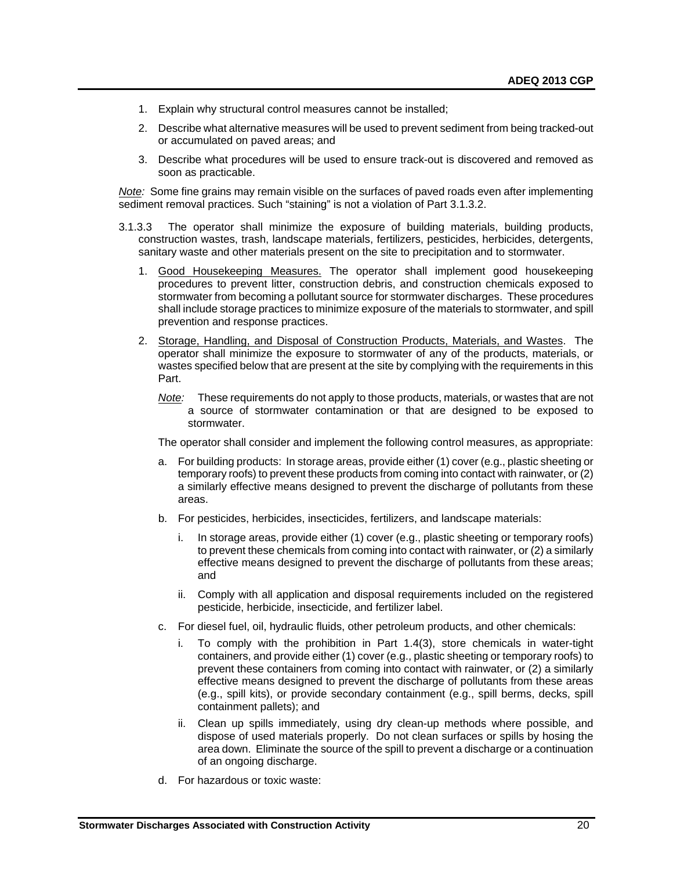- 1. Explain why structural control measures cannot be installed;
- 2. Describe what alternative measures will be used to prevent sediment from being tracked-out or accumulated on paved areas; and
- 3. Describe what procedures will be used to ensure track-out is discovered and removed as soon as practicable.

*Note:* Some fine grains may remain visible on the surfaces of paved roads even after implementing sediment removal practices. Such "staining" is not a violation of Part 3.1.3.2.

- 3.1.3.3 The operator shall minimize the exposure of building materials, building products, construction wastes, trash, landscape materials, fertilizers, pesticides, herbicides, detergents, sanitary waste and other materials present on the site to precipitation and to stormwater.
	- 1. Good Housekeeping Measures. The operator shall implement good housekeeping procedures to prevent litter, construction debris, and construction chemicals exposed to stormwater from becoming a pollutant source for stormwater discharges. These procedures shall include storage practices to minimize exposure of the materials to stormwater, and spill prevention and response practices.
	- 2. Storage, Handling, and Disposal of Construction Products, Materials, and Wastes. The operator shall minimize the exposure to stormwater of any of the products, materials, or wastes specified below that are present at the site by complying with the requirements in this Part.
		- *Note:* These requirements do not apply to those products, materials, or wastes that are not a source of stormwater contamination or that are designed to be exposed to stormwater.

The operator shall consider and implement the following control measures, as appropriate:

- a. For building products: In storage areas, provide either (1) cover (e.g., plastic sheeting or temporary roofs) to prevent these products from coming into contact with rainwater, or (2) a similarly effective means designed to prevent the discharge of pollutants from these areas.
- b. For pesticides, herbicides, insecticides, fertilizers, and landscape materials:
	- i. In storage areas, provide either (1) cover (e.g., plastic sheeting or temporary roofs) to prevent these chemicals from coming into contact with rainwater, or (2) a similarly effective means designed to prevent the discharge of pollutants from these areas; and
	- ii. Comply with all application and disposal requirements included on the registered pesticide, herbicide, insecticide, and fertilizer label.
- c. For diesel fuel, oil, hydraulic fluids, other petroleum products, and other chemicals:
	- i. To comply with the prohibition in Part 1.4(3), store chemicals in water-tight containers, and provide either (1) cover (e.g., plastic sheeting or temporary roofs) to prevent these containers from coming into contact with rainwater, or (2) a similarly effective means designed to prevent the discharge of pollutants from these areas (e.g., spill kits), or provide secondary containment (e.g., spill berms, decks, spill containment pallets); and
	- ii. Clean up spills immediately, using dry clean-up methods where possible, and dispose of used materials properly. Do not clean surfaces or spills by hosing the area down. Eliminate the source of the spill to prevent a discharge or a continuation of an ongoing discharge.
- d. For hazardous or toxic waste: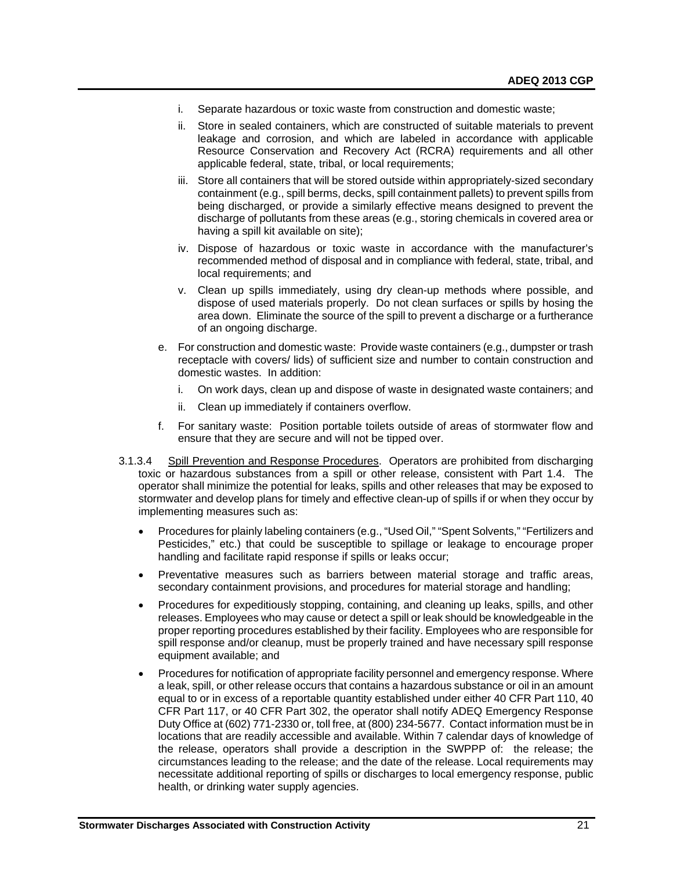- i. Separate hazardous or toxic waste from construction and domestic waste;
- ii. Store in sealed containers, which are constructed of suitable materials to prevent leakage and corrosion, and which are labeled in accordance with applicable Resource Conservation and Recovery Act (RCRA) requirements and all other applicable federal, state, tribal, or local requirements;
- iii. Store all containers that will be stored outside within appropriately-sized secondary containment (e.g., spill berms, decks, spill containment pallets) to prevent spills from being discharged, or provide a similarly effective means designed to prevent the discharge of pollutants from these areas (e.g., storing chemicals in covered area or having a spill kit available on site);
- iv. Dispose of hazardous or toxic waste in accordance with the manufacturer's recommended method of disposal and in compliance with federal, state, tribal, and local requirements; and
- v. Clean up spills immediately, using dry clean-up methods where possible, and dispose of used materials properly. Do not clean surfaces or spills by hosing the area down. Eliminate the source of the spill to prevent a discharge or a furtherance of an ongoing discharge.
- e. For construction and domestic waste: Provide waste containers (e.g., dumpster or trash receptacle with covers/ lids) of sufficient size and number to contain construction and domestic wastes. In addition:
	- i. On work days, clean up and dispose of waste in designated waste containers; and
	- ii. Clean up immediately if containers overflow.
- f. For sanitary waste: Position portable toilets outside of areas of stormwater flow and ensure that they are secure and will not be tipped over.
- 3.1.3.4 Spill Prevention and Response Procedures. Operators are prohibited from discharging toxic or hazardous substances from a spill or other release, consistent with Part 1.4. The operator shall minimize the potential for leaks, spills and other releases that may be exposed to stormwater and develop plans for timely and effective clean-up of spills if or when they occur by implementing measures such as:
	- Procedures for plainly labeling containers (e.g., "Used Oil," "Spent Solvents," "Fertilizers and Pesticides," etc.) that could be susceptible to spillage or leakage to encourage proper handling and facilitate rapid response if spills or leaks occur;
	- Preventative measures such as barriers between material storage and traffic areas, secondary containment provisions, and procedures for material storage and handling;
	- Procedures for expeditiously stopping, containing, and cleaning up leaks, spills, and other releases. Employees who may cause or detect a spill or leak should be knowledgeable in the proper reporting procedures established by their facility. Employees who are responsible for spill response and/or cleanup, must be properly trained and have necessary spill response equipment available; and
	- Procedures for notification of appropriate facility personnel and emergency response. Where a leak, spill, or other release occurs that contains a hazardous substance or oil in an amount equal to or in excess of a reportable quantity established under either 40 CFR Part 110, 40 CFR Part 117, or 40 CFR Part 302, the operator shall notify ADEQ Emergency Response Duty Office at (602) 771-2330 or, toll free, at (800) 234-5677. Contact information must be in locations that are readily accessible and available. Within 7 calendar days of knowledge of the release, operators shall provide a description in the SWPPP of: the release; the circumstances leading to the release; and the date of the release. Local requirements may necessitate additional reporting of spills or discharges to local emergency response, public health, or drinking water supply agencies.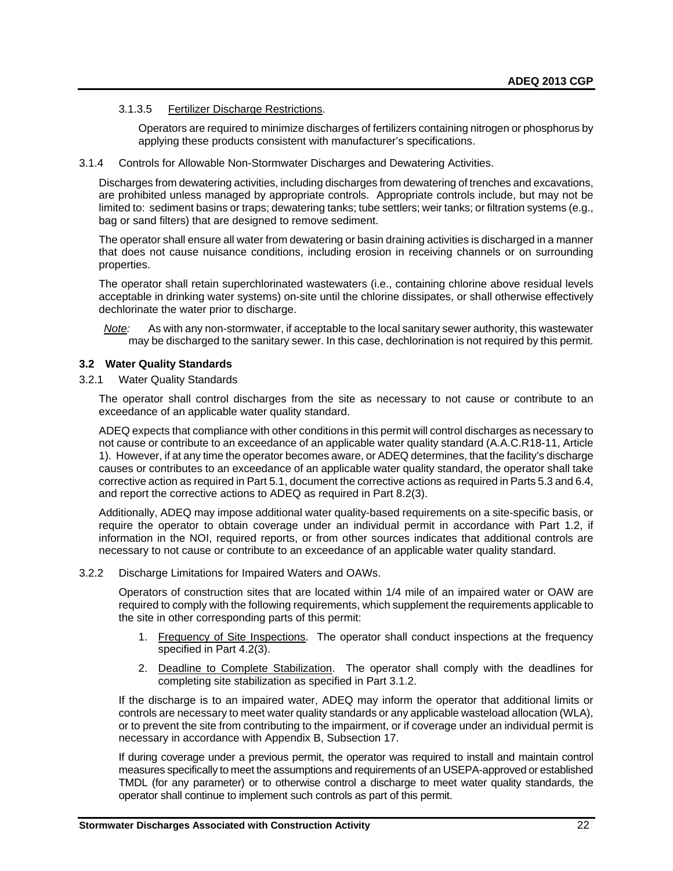# 3.1.3.5 Fertilizer Discharge Restrictions.

Operators are required to minimize discharges of fertilizers containing nitrogen or phosphorus by applying these products consistent with manufacturer's specifications.

#### 3.1.4 Controls for Allowable Non-Stormwater Discharges and Dewatering Activities.

Discharges from dewatering activities, including discharges from dewatering of trenches and excavations, are prohibited unless managed by appropriate controls. Appropriate controls include, but may not be limited to: sediment basins or traps; dewatering tanks; tube settlers; weir tanks; or filtration systems (e.g., bag or sand filters) that are designed to remove sediment.

The operator shall ensure all water from dewatering or basin draining activities is discharged in a manner that does not cause nuisance conditions, including erosion in receiving channels or on surrounding properties.

The operator shall retain superchlorinated wastewaters (i.e., containing chlorine above residual levels acceptable in drinking water systems) on-site until the chlorine dissipates, or shall otherwise effectively dechlorinate the water prior to discharge.

*Note:* As with any non-stormwater, if acceptable to the local sanitary sewer authority, this wastewater may be discharged to the sanitary sewer. In this case, dechlorination is not required by this permit.

#### <span id="page-23-0"></span>**3.2 Water Quality Standards**

3.2.1 Water Quality Standards

The operator shall control discharges from the site as necessary to not cause or contribute to an exceedance of an applicable water quality standard.

ADEQ expects that compliance with other conditions in this permit will control discharges as necessary to not cause or contribute to an exceedance of an applicable water quality standard (A.A.C.R18-11, Article 1). However, if at any time the operator becomes aware, or ADEQ determines, that the facility's discharge causes or contributes to an exceedance of an applicable water quality standard, the operator shall take corrective action as required in Part 5.1, document the corrective actions as required in Parts 5.3 and 6.4, and report the corrective actions to ADEQ as required in Part 8.2(3).

Additionally, ADEQ may impose additional water quality-based requirements on a site-specific basis, or require the operator to obtain coverage under an individual permit in accordance with Part 1.2, if information in the NOI, required reports, or from other sources indicates that additional controls are necessary to not cause or contribute to an exceedance of an applicable water quality standard.

3.2.2 Discharge Limitations for Impaired Waters and OAWs.

Operators of construction sites that are located within 1/4 mile of an impaired water or OAW are required to comply with the following requirements, which supplement the requirements applicable to the site in other corresponding parts of this permit:

- 1. Frequency of Site Inspections. The operator shall conduct inspections at the frequency specified in Part 4.2(3).
- 2. Deadline to Complete Stabilization. The operator shall comply with the deadlines for completing site stabilization as specified in Part 3.1.2.

If the discharge is to an impaired water, ADEQ may inform the operator that additional limits or controls are necessary to meet water quality standards or any applicable wasteload allocation (WLA), or to prevent the site from contributing to the impairment, or if coverage under an individual permit is necessary in accordance with Appendix B, Subsection 17.

If during coverage under a previous permit, the operator was required to install and maintain control measures specifically to meet the assumptions and requirements of an USEPA-approved or established TMDL (for any parameter) or to otherwise control a discharge to meet water quality standards, the operator shall continue to implement such controls as part of this permit.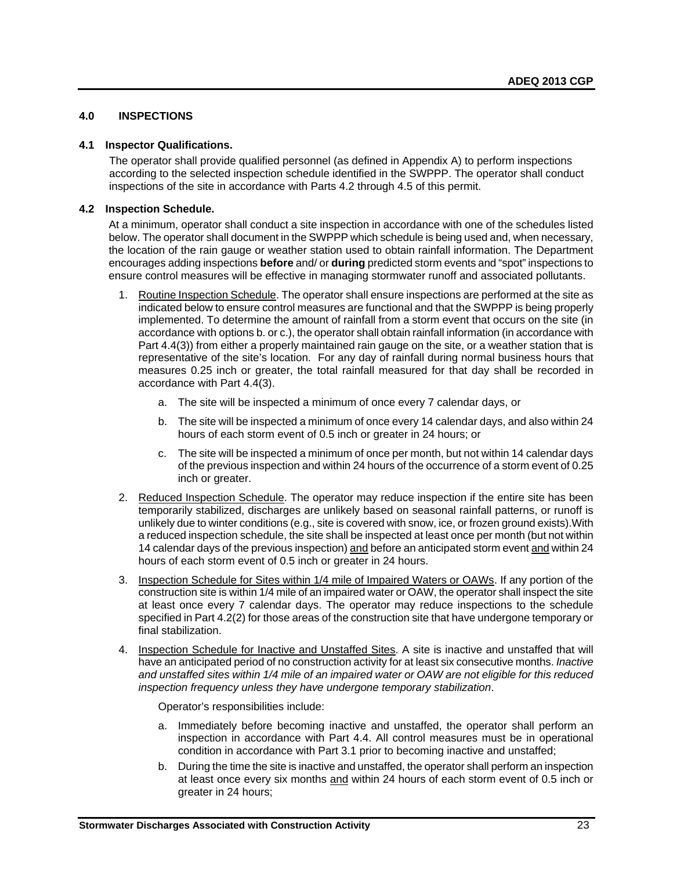# <span id="page-24-0"></span>**4.0 INSPECTIONS**

#### <span id="page-24-1"></span>**4.1 Inspector Qualifications.**

The operator shall provide qualified personnel (as defined in Appendix A) to perform inspections according to the selected inspection schedule identified in the SWPPP. The operator shall conduct inspections of the site in accordance with Parts 4.2 through 4.5 of this permit.

# <span id="page-24-2"></span>**4.2 Inspection Schedule.**

At a minimum, operator shall conduct a site inspection in accordance with one of the schedules listed below. The operator shall document in the SWPPP which schedule is being used and, when necessary, the location of the rain gauge or weather station used to obtain rainfall information. The Department encourages adding inspections **before** and/ or **during** predicted storm events and "spot" inspections to ensure control measures will be effective in managing stormwater runoff and associated pollutants.

- 1. Routine Inspection Schedule. The operator shall ensure inspections are performed at the site as indicated below to ensure control measures are functional and that the SWPPP is being properly implemented. To determine the amount of rainfall from a storm event that occurs on the site (in accordance with options b. or c.), the operator shall obtain rainfall information (in accordance with Part 4.4(3)) from either a properly maintained rain gauge on the site, or a weather station that is representative of the site's location. For any day of rainfall during normal business hours that measures 0.25 inch or greater, the total rainfall measured for that day shall be recorded in accordance with Part 4.4(3).
	- a. The site will be inspected a minimum of once every 7 calendar days, or
	- b. The site will be inspected a minimum of once every 14 calendar days, and also within 24 hours of each storm event of 0.5 inch or greater in 24 hours; or
	- c. The site will be inspected a minimum of once per month, but not within 14 calendar days of the previous inspection and within 24 hours of the occurrence of a storm event of 0.25 inch or greater.
- 2. Reduced Inspection Schedule. The operator may reduce inspection if the entire site has been temporarily stabilized, discharges are unlikely based on seasonal rainfall patterns, or runoff is unlikely due to winter conditions (e.g., site is covered with snow, ice, or frozen ground exists).With a reduced inspection schedule, the site shall be inspected at least once per month (but not within 14 calendar days of the previous inspection) and before an anticipated storm event and within 24 hours of each storm event of 0.5 inch or greater in 24 hours.
- 3. Inspection Schedule for Sites within 1/4 mile of Impaired Waters or OAWs. If any portion of the construction site is within 1/4 mile of an impaired water or OAW, the operator shall inspect the site at least once every 7 calendar days. The operator may reduce inspections to the schedule specified in Part 4.2(2) for those areas of the construction site that have undergone temporary or final stabilization.
- 4. Inspection Schedule for Inactive and Unstaffed Sites. A site is inactive and unstaffed that will have an anticipated period of no construction activity for at least six consecutive months. *Inactive and unstaffed sites within 1/4 mile of an impaired water or OAW are not eligible for this reduced inspection frequency unless they have undergone temporary stabilization*.

Operator's responsibilities include:

- a. Immediately before becoming inactive and unstaffed, the operator shall perform an inspection in accordance with Part 4.4. All control measures must be in operational condition in accordance with Part 3.1 prior to becoming inactive and unstaffed;
- b. During the time the site is inactive and unstaffed, the operator shall perform an inspection at least once every six months and within 24 hours of each storm event of 0.5 inch or greater in 24 hours;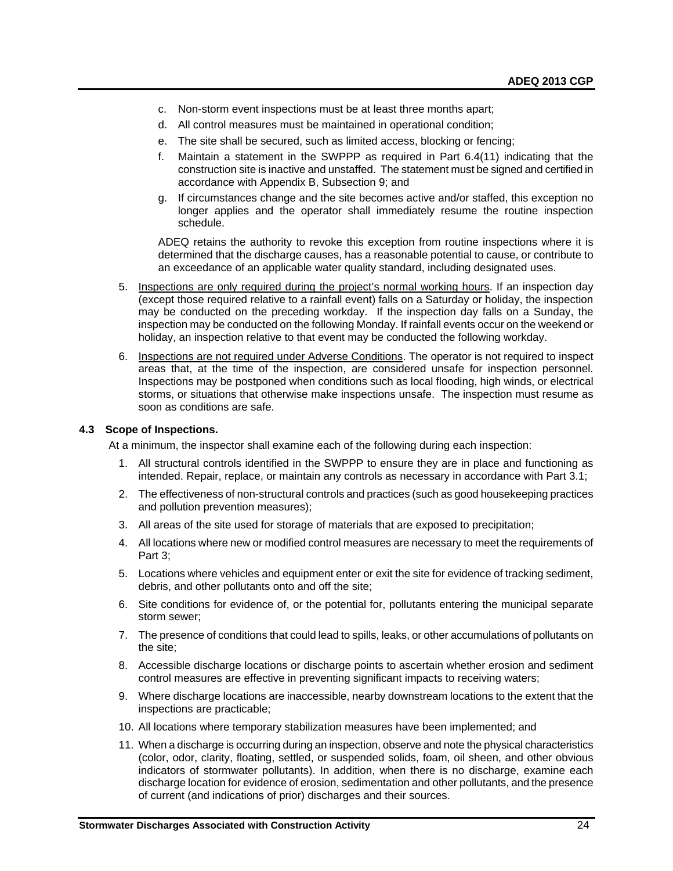- c. Non-storm event inspections must be at least three months apart;
- d. All control measures must be maintained in operational condition;
- e. The site shall be secured, such as limited access, blocking or fencing;
- f. Maintain a statement in the SWPPP as required in Part 6.4(11) indicating that the construction site is inactive and unstaffed. The statement must be signed and certified in accordance with Appendix B, Subsection 9; and
- g. If circumstances change and the site becomes active and/or staffed, this exception no longer applies and the operator shall immediately resume the routine inspection schedule.

ADEQ retains the authority to revoke this exception from routine inspections where it is determined that the discharge causes, has a reasonable potential to cause, or contribute to an exceedance of an applicable water quality standard, including designated uses.

- 5. Inspections are only required during the project's normal working hours. If an inspection day (except those required relative to a rainfall event) falls on a Saturday or holiday, the inspection may be conducted on the preceding workday. If the inspection day falls on a Sunday, the inspection may be conducted on the following Monday. If rainfall events occur on the weekend or holiday, an inspection relative to that event may be conducted the following workday.
- 6. Inspections are not required under Adverse Conditions. The operator is not required to inspect areas that, at the time of the inspection, are considered unsafe for inspection personnel. Inspections may be postponed when conditions such as local flooding, high winds, or electrical storms, or situations that otherwise make inspections unsafe. The inspection must resume as soon as conditions are safe.

# <span id="page-25-0"></span>**4.3 Scope of Inspections.**

At a minimum, the inspector shall examine each of the following during each inspection:

- 1. All structural controls identified in the SWPPP to ensure they are in place and functioning as intended. Repair, replace, or maintain any controls as necessary in accordance with Part 3.1;
- 2. The effectiveness of non-structural controls and practices (such as good housekeeping practices and pollution prevention measures);
- 3. All areas of the site used for storage of materials that are exposed to precipitation;
- 4. All locations where new or modified control measures are necessary to meet the requirements of Part 3;
- 5. Locations where vehicles and equipment enter or exit the site for evidence of tracking sediment, debris, and other pollutants onto and off the site;
- 6. Site conditions for evidence of, or the potential for, pollutants entering the municipal separate storm sewer;
- 7. The presence of conditions that could lead to spills, leaks, or other accumulations of pollutants on the site;
- 8. Accessible discharge locations or discharge points to ascertain whether erosion and sediment control measures are effective in preventing significant impacts to receiving waters;
- 9. Where discharge locations are inaccessible, nearby downstream locations to the extent that the inspections are practicable;
- 10. All locations where temporary stabilization measures have been implemented; and
- 11. When a discharge is occurring during an inspection, observe and note the physical characteristics (color, odor, clarity, floating, settled, or suspended solids, foam, oil sheen, and other obvious indicators of stormwater pollutants). In addition, when there is no discharge, examine each discharge location for evidence of erosion, sedimentation and other pollutants, and the presence of current (and indications of prior) discharges and their sources.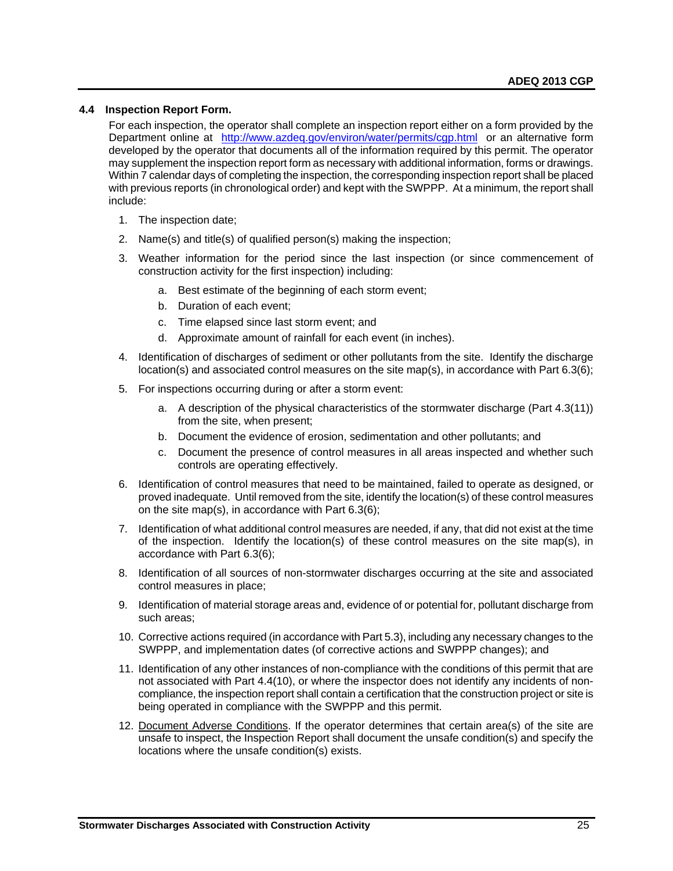# <span id="page-26-0"></span>**4.4 Inspection Report Form.**

For each inspection, the operator shall complete an inspection report either on a form provided by the Department online at <http://www.azdeq.gov/environ/water/permits/cgp.html>or an alternative form developed by the operator that documents all of the information required by this permit. The operator may supplement the inspection report form as necessary with additional information, forms or drawings. Within 7 calendar days of completing the inspection, the corresponding inspection report shall be placed with previous reports (in chronological order) and kept with the SWPPP. At a minimum, the report shall include:

- 1. The inspection date;
- 2. Name(s) and title(s) of qualified person(s) making the inspection;
- 3. Weather information for the period since the last inspection (or since commencement of construction activity for the first inspection) including:
	- a. Best estimate of the beginning of each storm event;
	- b. Duration of each event;
	- c. Time elapsed since last storm event; and
	- d. Approximate amount of rainfall for each event (in inches).
- 4. Identification of discharges of sediment or other pollutants from the site. Identify the discharge location(s) and associated control measures on the site map(s), in accordance with Part 6.3(6);
- 5. For inspections occurring during or after a storm event:
	- a. A description of the physical characteristics of the stormwater discharge (Part 4.3(11)) from the site, when present;
	- b. Document the evidence of erosion, sedimentation and other pollutants; and
	- c. Document the presence of control measures in all areas inspected and whether such controls are operating effectively.
- 6. Identification of control measures that need to be maintained, failed to operate as designed, or proved inadequate. Until removed from the site, identify the location(s) of these control measures on the site map(s), in accordance with Part 6.3(6);
- 7. Identification of what additional control measures are needed, if any, that did not exist at the time of the inspection. Identify the location(s) of these control measures on the site map(s), in accordance with Part 6.3(6);
- 8. Identification of all sources of non-stormwater discharges occurring at the site and associated control measures in place;
- 9. Identification of material storage areas and, evidence of or potential for, pollutant discharge from such areas;
- 10. Corrective actions required (in accordance with Part 5.3), including any necessary changes to the SWPPP, and implementation dates (of corrective actions and SWPPP changes); and
- 11. Identification of any other instances of non-compliance with the conditions of this permit that are not associated with Part 4.4(10), or where the inspector does not identify any incidents of noncompliance, the inspection report shall contain a certification that the construction project or site is being operated in compliance with the SWPPP and this permit.
- 12. Document Adverse Conditions. If the operator determines that certain area(s) of the site are unsafe to inspect, the Inspection Report shall document the unsafe condition(s) and specify the locations where the unsafe condition(s) exists.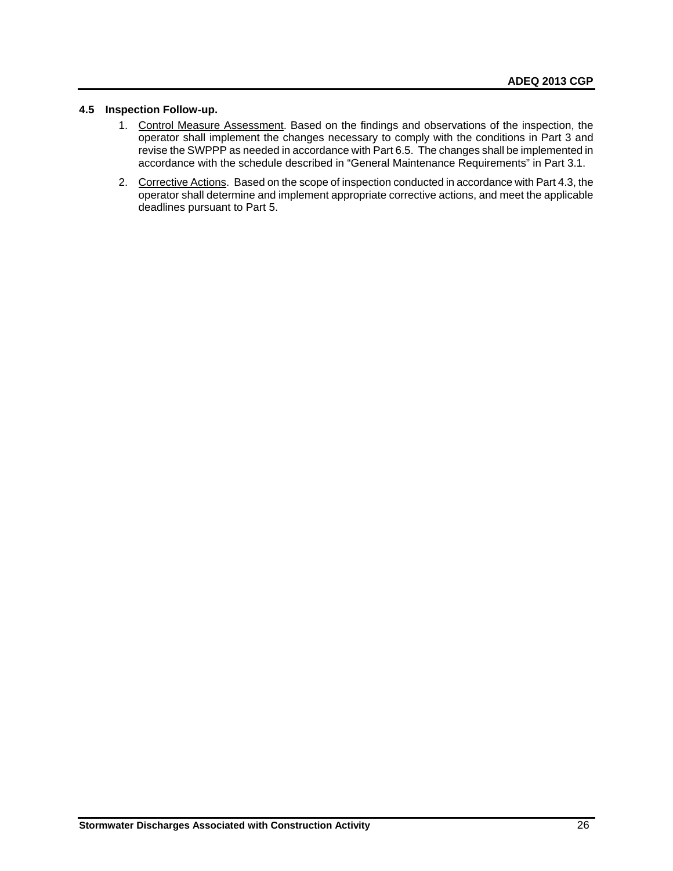# <span id="page-27-0"></span>**4.5 Inspection Follow-up.**

- 1. Control Measure Assessment. Based on the findings and observations of the inspection, the operator shall implement the changes necessary to comply with the conditions in Part 3 and revise the SWPPP as needed in accordance with Part 6.5. The changes shall be implemented in accordance with the schedule described in "General Maintenance Requirements" in Part 3.1.
- 2. Corrective Actions. Based on the scope of inspection conducted in accordance with Part 4.3, the operator shall determine and implement appropriate corrective actions, and meet the applicable deadlines pursuant to Part 5.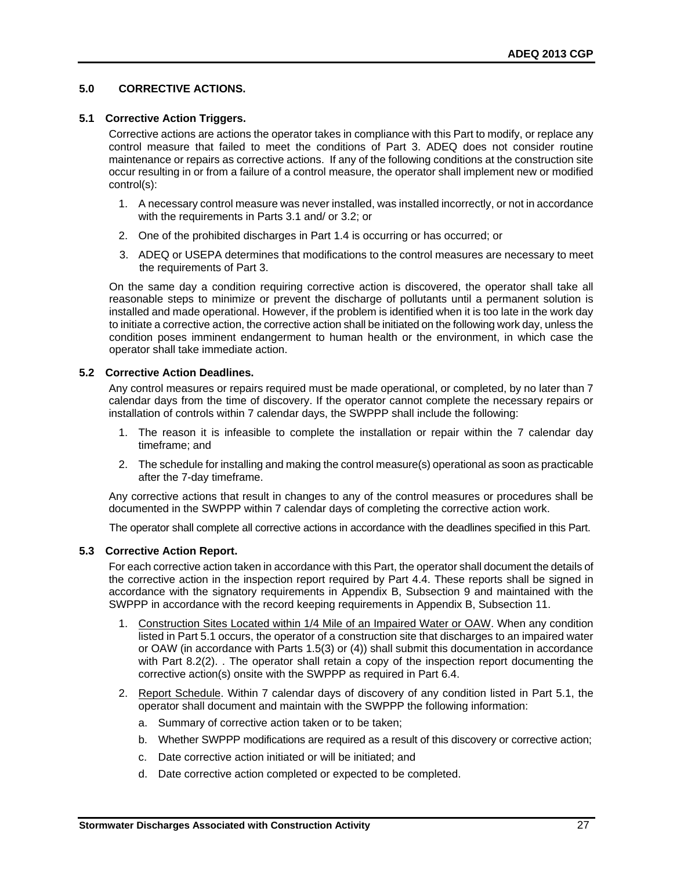# <span id="page-28-0"></span>**5.0 CORRECTIVE ACTIONS.**

# <span id="page-28-1"></span>**5.1 Corrective Action Triggers.**

Corrective actions are actions the operator takes in compliance with this Part to modify, or replace any control measure that failed to meet the conditions of Part 3. ADEQ does not consider routine maintenance or repairs as corrective actions. If any of the following conditions at the construction site occur resulting in or from a failure of a control measure, the operator shall implement new or modified control(s):

- 1. A necessary control measure was never installed, was installed incorrectly, or not in accordance with the requirements in Parts 3.1 and/ or 3.2; or
- 2. One of the prohibited discharges in Part 1.4 is occurring or has occurred; or
- 3. ADEQ or USEPA determines that modifications to the control measures are necessary to meet the requirements of Part 3.

On the same day a condition requiring corrective action is discovered, the operator shall take all reasonable steps to minimize or prevent the discharge of pollutants until a permanent solution is installed and made operational. However, if the problem is identified when it is too late in the work day to initiate a corrective action, the corrective action shall be initiated on the following work day, unless the condition poses imminent endangerment to human health or the environment, in which case the operator shall take immediate action.

#### <span id="page-28-2"></span>**5.2 Corrective Action Deadlines.**

Any control measures or repairs required must be made operational, or completed, by no later than 7 calendar days from the time of discovery. If the operator cannot complete the necessary repairs or installation of controls within 7 calendar days, the SWPPP shall include the following:

- 1. The reason it is infeasible to complete the installation or repair within the 7 calendar day timeframe; and
- 2. The schedule for installing and making the control measure(s) operational as soon as practicable after the 7-day timeframe.

Any corrective actions that result in changes to any of the control measures or procedures shall be documented in the SWPPP within 7 calendar days of completing the corrective action work.

The operator shall complete all corrective actions in accordance with the deadlines specified in this Part.

# <span id="page-28-3"></span>**5.3 Corrective Action Report.**

For each corrective action taken in accordance with this Part, the operator shall document the details of the corrective action in the inspection report required by Part 4.4. These reports shall be signed in accordance with the signatory requirements in Appendix B, Subsection 9 and maintained with the SWPPP in accordance with the record keeping requirements in Appendix B, Subsection 11.

- 1. Construction Sites Located within 1/4 Mile of an Impaired Water or OAW. When any condition listed in Part 5.1 occurs, the operator of a construction site that discharges to an impaired water or OAW (in accordance with Parts 1.5(3) or (4)) shall submit this documentation in accordance with Part 8.2(2). The operator shall retain a copy of the inspection report documenting the corrective action(s) onsite with the SWPPP as required in Part 6.4.
- 2. Report Schedule. Within 7 calendar days of discovery of any condition listed in Part 5.1, the operator shall document and maintain with the SWPPP the following information:
	- a. Summary of corrective action taken or to be taken;
	- b. Whether SWPPP modifications are required as a result of this discovery or corrective action;
	- c. Date corrective action initiated or will be initiated; and
	- d. Date corrective action completed or expected to be completed.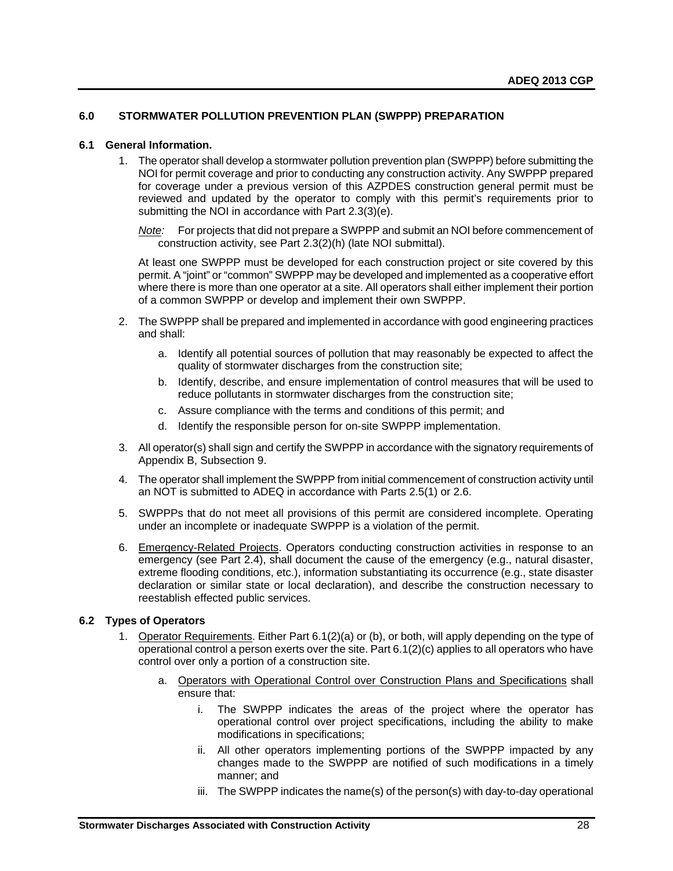# <span id="page-29-0"></span>**6.0 STORMWATER POLLUTION PREVENTION PLAN (SWPPP) PREPARATION**

#### <span id="page-29-1"></span>**6.1 General Information.**

1. The operator shall develop a stormwater pollution prevention plan (SWPPP) before submitting the NOI for permit coverage and prior to conducting any construction activity. Any SWPPP prepared for coverage under a previous version of this AZPDES construction general permit must be reviewed and updated by the operator to comply with this permit's requirements prior to submitting the NOI in accordance with Part 2.3(3)(e).

*Note:* For projects that did not prepare a SWPPP and submit an NOI before commencement of construction activity, see Part 2.3(2)(h) (late NOI submittal).

At least one SWPPP must be developed for each construction project or site covered by this permit. A "joint" or "common" SWPPP may be developed and implemented as a cooperative effort where there is more than one operator at a site. All operators shall either implement their portion of a common SWPPP or develop and implement their own SWPPP.

- 2. The SWPPP shall be prepared and implemented in accordance with good engineering practices and shall:
	- a. Identify all potential sources of pollution that may reasonably be expected to affect the quality of stormwater discharges from the construction site;
	- b. Identify, describe, and ensure implementation of control measures that will be used to reduce pollutants in stormwater discharges from the construction site;
	- c. Assure compliance with the terms and conditions of this permit; and
	- d. Identify the responsible person for on-site SWPPP implementation.
- 3. All operator(s) shall sign and certify the SWPPP in accordance with the signatory requirements of Appendix B, Subsection 9.
- 4. The operator shall implement the SWPPP from initial commencement of construction activity until an NOT is submitted to ADEQ in accordance with Parts 2.5(1) or 2.6.
- 5. SWPPPs that do not meet all provisions of this permit are considered incomplete. Operating under an incomplete or inadequate SWPPP is a violation of the permit.
- 6. Emergency-Related Projects. Operators conducting construction activities in response to an emergency (see Part 2.4), shall document the cause of the emergency (e.g., natural disaster, extreme flooding conditions, etc.), information substantiating its occurrence (e.g., state disaster declaration or similar state or local declaration), and describe the construction necessary to reestablish effected public services.

# <span id="page-29-2"></span>**6.2 Types of Operators**

- 1. Operator Requirements. Either Part 6.1(2)(a) or (b), or both, will apply depending on the type of operational control a person exerts over the site. Part 6.1(2)(c) applies to all operators who have control over only a portion of a construction site.
	- a. Operators with Operational Control over Construction Plans and Specifications shall ensure that:
		- i. The SWPPP indicates the areas of the project where the operator has operational control over project specifications, including the ability to make modifications in specifications;
		- ii. All other operators implementing portions of the SWPPP impacted by any changes made to the SWPPP are notified of such modifications in a timely manner; and
		- iii. The SWPPP indicates the name(s) of the person(s) with day-to-day operational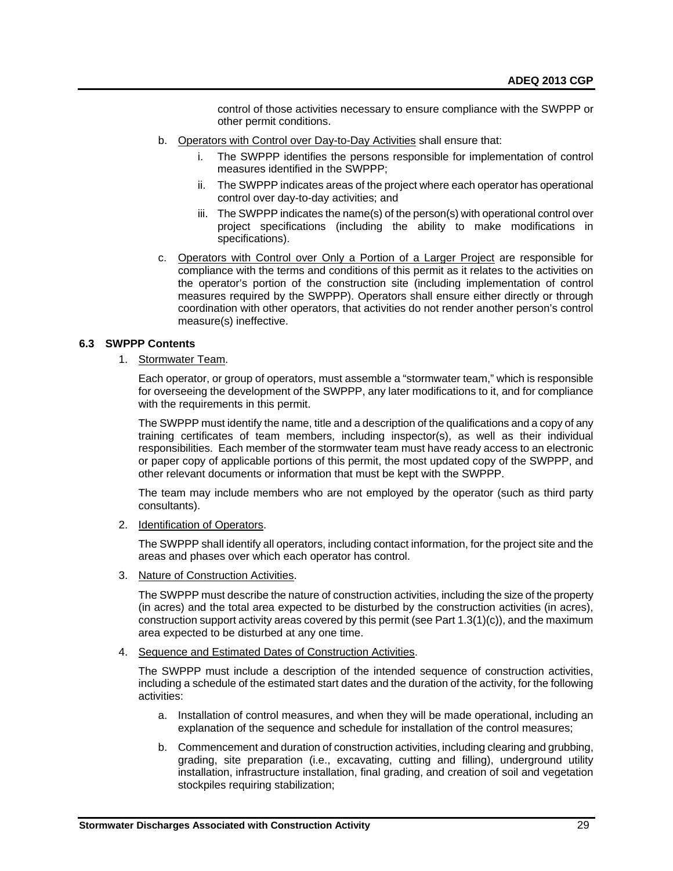control of those activities necessary to ensure compliance with the SWPPP or other permit conditions.

- b. Operators with Control over Day-to-Day Activities shall ensure that:
	- i. The SWPPP identifies the persons responsible for implementation of control measures identified in the SWPPP;
	- ii. The SWPPP indicates areas of the project where each operator has operational control over day-to-day activities; and
	- iii. The SWPPP indicates the name(s) of the person(s) with operational control over project specifications (including the ability to make modifications in specifications).
- c. Operators with Control over Only a Portion of a Larger Project are responsible for compliance with the terms and conditions of this permit as it relates to the activities on the operator's portion of the construction site (including implementation of control measures required by the SWPPP). Operators shall ensure either directly or through coordination with other operators, that activities do not render another person's control measure(s) ineffective.

# <span id="page-30-0"></span>**6.3 SWPPP Contents**

1. Stormwater Team.

Each operator, or group of operators, must assemble a "stormwater team," which is responsible for overseeing the development of the SWPPP, any later modifications to it, and for compliance with the requirements in this permit.

The SWPPP must identify the name, title and a description of the qualifications and a copy of any training certificates of team members, including inspector(s), as well as their individual responsibilities. Each member of the stormwater team must have ready access to an electronic or paper copy of applicable portions of this permit, the most updated copy of the SWPPP, and other relevant documents or information that must be kept with the SWPPP.

The team may include members who are not employed by the operator (such as third party consultants).

2. Identification of Operators.

The SWPPP shall identify all operators, including contact information, for the project site and the areas and phases over which each operator has control.

3. Nature of Construction Activities.

The SWPPP must describe the nature of construction activities, including the size of the property (in acres) and the total area expected to be disturbed by the construction activities (in acres), construction support activity areas covered by this permit (see Part 1.3(1)(c)), and the maximum area expected to be disturbed at any one time.

4. Sequence and Estimated Dates of Construction Activities.

The SWPPP must include a description of the intended sequence of construction activities, including a schedule of the estimated start dates and the duration of the activity, for the following activities:

- a. Installation of control measures, and when they will be made operational, including an explanation of the sequence and schedule for installation of the control measures;
- b. Commencement and duration of construction activities, including clearing and grubbing, grading, site preparation (i.e., excavating, cutting and filling), underground utility installation, infrastructure installation, final grading, and creation of soil and vegetation stockpiles requiring stabilization;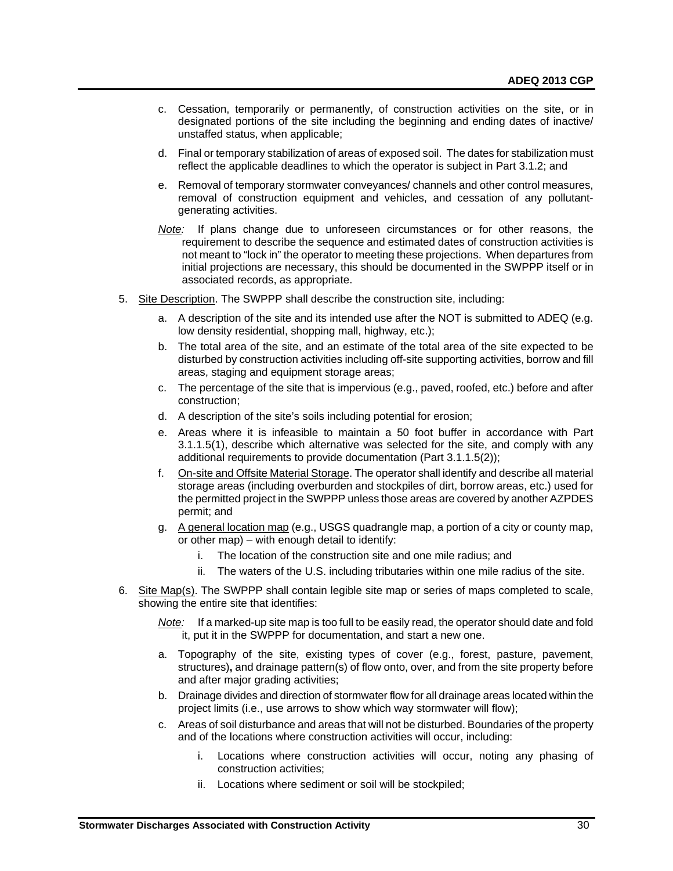- c. Cessation, temporarily or permanently, of construction activities on the site, or in designated portions of the site including the beginning and ending dates of inactive/ unstaffed status, when applicable;
- d. Final or temporary stabilization of areas of exposed soil. The dates for stabilization must reflect the applicable deadlines to which the operator is subject in Part 3.1.2; and
- e. Removal of temporary stormwater conveyances/ channels and other control measures, removal of construction equipment and vehicles, and cessation of any pollutantgenerating activities.
- *Note:* If plans change due to unforeseen circumstances or for other reasons, the requirement to describe the sequence and estimated dates of construction activities is not meant to "lock in" the operator to meeting these projections. When departures from initial projections are necessary, this should be documented in the SWPPP itself or in associated records, as appropriate.
- 5. Site Description. The SWPPP shall describe the construction site, including:
	- a. A description of the site and its intended use after the NOT is submitted to ADEQ (e.g. low density residential, shopping mall, highway, etc.);
	- b. The total area of the site, and an estimate of the total area of the site expected to be disturbed by construction activities including off-site supporting activities, borrow and fill areas, staging and equipment storage areas;
	- c. The percentage of the site that is impervious (e.g., paved, roofed, etc.) before and after construction;
	- d. A description of the site's soils including potential for erosion;
	- e. Areas where it is infeasible to maintain a 50 foot buffer in accordance with Part 3.1.1.5(1), describe which alternative was selected for the site, and comply with any additional requirements to provide documentation (Part 3.1.1.5(2));
	- f. On-site and Offsite Material Storage. The operator shall identify and describe all material storage areas (including overburden and stockpiles of dirt, borrow areas, etc.) used for the permitted project in the SWPPP unless those areas are covered by another AZPDES permit; and
	- g. A general location map (e.g., USGS quadrangle map, a portion of a city or county map, or other map) – with enough detail to identify:
		- i. The location of the construction site and one mile radius; and
		- ii. The waters of the U.S. including tributaries within one mile radius of the site.
- 6. Site Map(s). The SWPPP shall contain legible site map or series of maps completed to scale, showing the entire site that identifies:

*Note:* If a marked-up site map is too full to be easily read, the operator should date and fold it, put it in the SWPPP for documentation, and start a new one.

- a. Topography of the site, existing types of cover (e.g., forest, pasture, pavement, structures)**,** and drainage pattern(s) of flow onto, over, and from the site property before and after major grading activities;
- b. Drainage divides and direction of stormwater flow for all drainage areas located within the project limits (i.e., use arrows to show which way stormwater will flow);
- c. Areas of soil disturbance and areas that will not be disturbed. Boundaries of the property and of the locations where construction activities will occur, including:
	- i. Locations where construction activities will occur, noting any phasing of construction activities;
	- ii. Locations where sediment or soil will be stockpiled;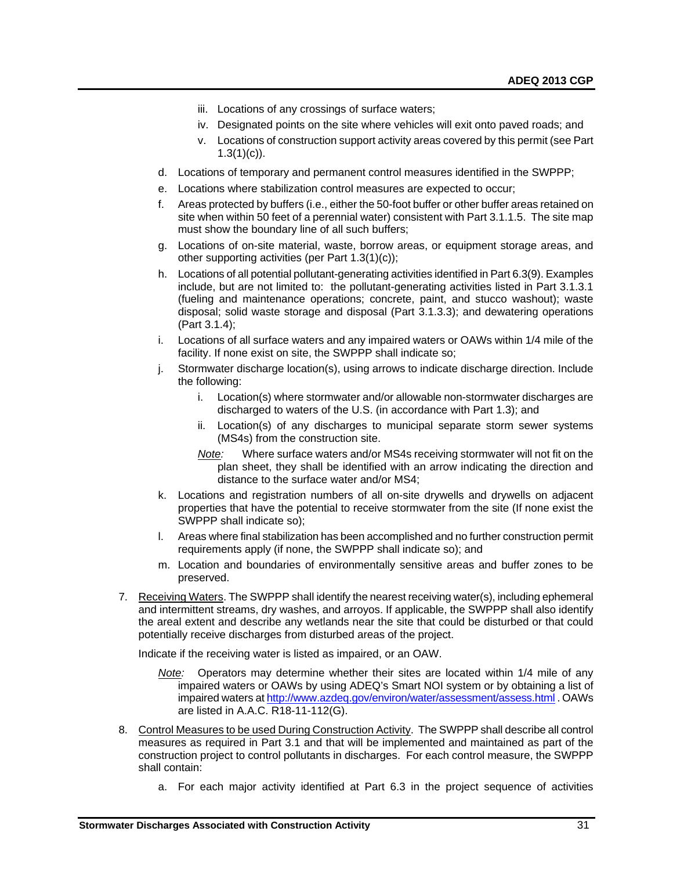- iii. Locations of any crossings of surface waters;
- iv. Designated points on the site where vehicles will exit onto paved roads; and
- v. Locations of construction support activity areas covered by this permit (see Part  $1.3(1)(c)$ ).
- d. Locations of temporary and permanent control measures identified in the SWPPP;
- e. Locations where stabilization control measures are expected to occur;
- f. Areas protected by buffers (i.e., either the 50-foot buffer or other buffer areas retained on site when within 50 feet of a perennial water) consistent with Part 3.1.1.5. The site map must show the boundary line of all such buffers;
- g. Locations of on-site material, waste, borrow areas, or equipment storage areas, and other supporting activities (per Part 1.3(1)(c));
- h. Locations of all potential pollutant-generating activities identified in Part 6.3(9). Examples include, but are not limited to: the pollutant-generating activities listed in Part 3.1.3.1 (fueling and maintenance operations; concrete, paint, and stucco washout); waste disposal; solid waste storage and disposal (Part 3.1.3.3); and dewatering operations (Part 3.1.4);
- i. Locations of all surface waters and any impaired waters or OAWs within 1/4 mile of the facility. If none exist on site, the SWPPP shall indicate so;
- j. Stormwater discharge location(s), using arrows to indicate discharge direction. Include the following:
	- i. Location(s) where stormwater and/or allowable non-stormwater discharges are discharged to waters of the U.S. (in accordance with Part 1.3); and
	- ii. Location(s) of any discharges to municipal separate storm sewer systems (MS4s) from the construction site.
	- *Note:* Where surface waters and/or MS4s receiving stormwater will not fit on the plan sheet, they shall be identified with an arrow indicating the direction and distance to the surface water and/or MS4;
- k. Locations and registration numbers of all on-site drywells and drywells on adjacent properties that have the potential to receive stormwater from the site (If none exist the SWPPP shall indicate so);
- l. Areas where final stabilization has been accomplished and no further construction permit requirements apply (if none, the SWPPP shall indicate so); and
- m. Location and boundaries of environmentally sensitive areas and buffer zones to be preserved.
- 7. Receiving Waters. The SWPPP shall identify the nearest receiving water(s), including ephemeral and intermittent streams, dry washes, and arroyos. If applicable, the SWPPP shall also identify the areal extent and describe any wetlands near the site that could be disturbed or that could potentially receive discharges from disturbed areas of the project.

Indicate if the receiving water is listed as impaired, or an OAW.

- *Note:* Operators may determine whether their sites are located within 1/4 mile of any impaired waters or OAWs by using ADEQ's Smart NOI system or by obtaining a list of impaired waters at<http://www.azdeq.gov/environ/water/assessment/assess.html> . OAWs are listed in A.A.C. R18-11-112(G).
- 8. Control Measures to be used During Construction Activity. The SWPPP shall describe all control measures as required in Part 3.1 and that will be implemented and maintained as part of the construction project to control pollutants in discharges. For each control measure, the SWPPP shall contain:
	- a. For each major activity identified at Part 6.3 in the project sequence of activities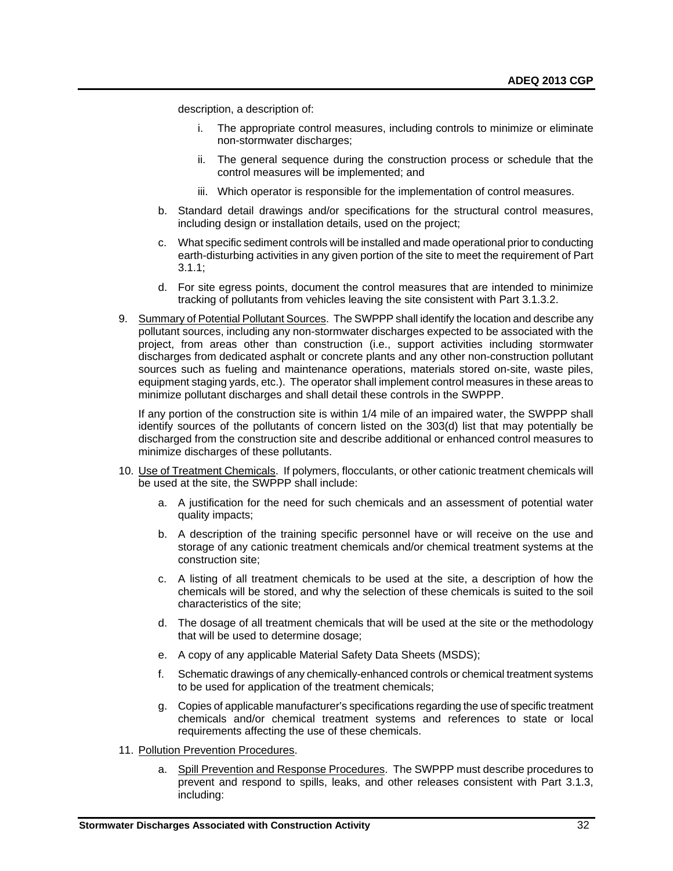description, a description of:

- The appropriate control measures, including controls to minimize or eliminate non-stormwater discharges;
- ii. The general sequence during the construction process or schedule that the control measures will be implemented; and
- iii. Which operator is responsible for the implementation of control measures.
- b. Standard detail drawings and/or specifications for the structural control measures, including design or installation details, used on the project;
- c. What specific sediment controls will be installed and made operational prior to conducting earth-disturbing activities in any given portion of the site to meet the requirement of Part 3.1.1;
- d. For site egress points, document the control measures that are intended to minimize tracking of pollutants from vehicles leaving the site consistent with Part 3.1.3.2.
- 9. Summary of Potential Pollutant Sources. The SWPPP shall identify the location and describe any pollutant sources, including any non-stormwater discharges expected to be associated with the project, from areas other than construction (i.e., support activities including stormwater discharges from dedicated asphalt or concrete plants and any other non-construction pollutant sources such as fueling and maintenance operations, materials stored on-site, waste piles, equipment staging yards, etc.). The operator shall implement control measures in these areas to minimize pollutant discharges and shall detail these controls in the SWPPP.

If any portion of the construction site is within 1/4 mile of an impaired water, the SWPPP shall identify sources of the pollutants of concern listed on the 303(d) list that may potentially be discharged from the construction site and describe additional or enhanced control measures to minimize discharges of these pollutants.

- 10. Use of Treatment Chemicals.If polymers, flocculants, or other cationic treatment chemicals will be used at the site, the SWPPP shall include:
	- a. A justification for the need for such chemicals and an assessment of potential water quality impacts;
	- b. A description of the training specific personnel have or will receive on the use and storage of any cationic treatment chemicals and/or chemical treatment systems at the construction site;
	- c. A listing of all treatment chemicals to be used at the site, a description of how the chemicals will be stored, and why the selection of these chemicals is suited to the soil characteristics of the site;
	- d. The dosage of all treatment chemicals that will be used at the site or the methodology that will be used to determine dosage;
	- e. A copy of any applicable Material Safety Data Sheets (MSDS);
	- f. Schematic drawings of any chemically-enhanced controls or chemical treatment systems to be used for application of the treatment chemicals;
	- g. Copies of applicable manufacturer's specifications regarding the use of specific treatment chemicals and/or chemical treatment systems and references to state or local requirements affecting the use of these chemicals.
- 11. Pollution Prevention Procedures.
	- a. Spill Prevention and Response Procedures. The SWPPP must describe procedures to prevent and respond to spills, leaks, and other releases consistent with Part 3.1.3, including: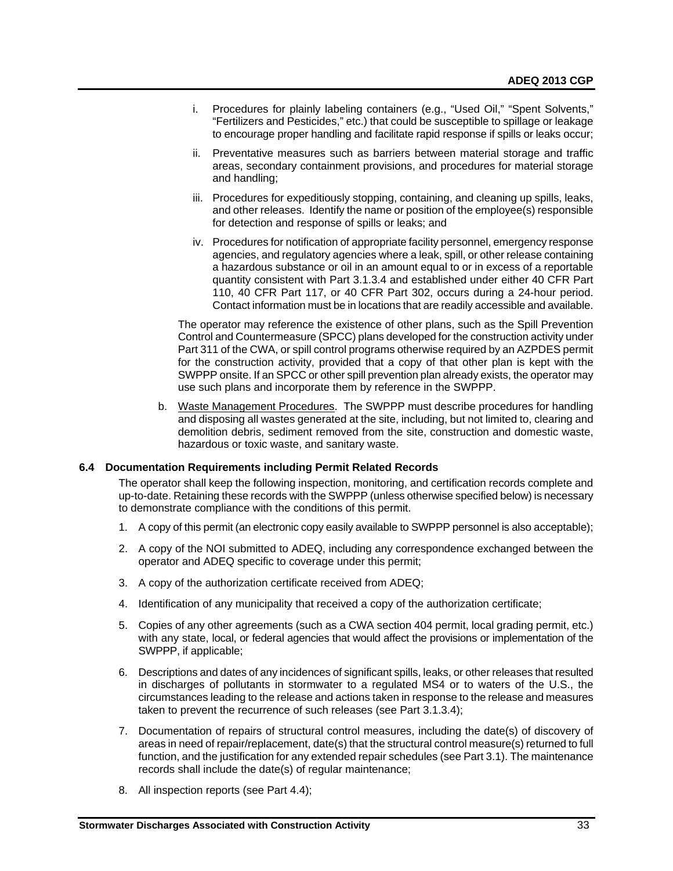- i. Procedures for plainly labeling containers (e.g., "Used Oil," "Spent Solvents," "Fertilizers and Pesticides," etc.) that could be susceptible to spillage or leakage to encourage proper handling and facilitate rapid response if spills or leaks occur;
- ii. Preventative measures such as barriers between material storage and traffic areas, secondary containment provisions, and procedures for material storage and handling;
- iii. Procedures for expeditiously stopping, containing, and cleaning up spills, leaks, and other releases. Identify the name or position of the employee(s) responsible for detection and response of spills or leaks; and
- iv. Procedures for notification of appropriate facility personnel, emergency response agencies, and regulatory agencies where a leak, spill, or other release containing a hazardous substance or oil in an amount equal to or in excess of a reportable quantity consistent with Part 3.1.3.4 and established under either 40 CFR Part 110, 40 CFR Part 117, or 40 CFR Part 302, occurs during a 24-hour period. Contact information must be in locations that are readily accessible and available.

The operator may reference the existence of other plans, such as the Spill Prevention Control and Countermeasure (SPCC) plans developed for the construction activity under Part 311 of the CWA, or spill control programs otherwise required by an AZPDES permit for the construction activity, provided that a copy of that other plan is kept with the SWPPP onsite. If an SPCC or other spill prevention plan already exists, the operator may use such plans and incorporate them by reference in the SWPPP.

b. Waste Management Procedures. The SWPPP must describe procedures for handling and disposing all wastes generated at the site, including, but not limited to, clearing and demolition debris, sediment removed from the site, construction and domestic waste, hazardous or toxic waste, and sanitary waste.

# <span id="page-34-0"></span>**6.4 Documentation Requirements including Permit Related Records**

The operator shall keep the following inspection, monitoring, and certification records complete and up-to-date. Retaining these records with the SWPPP (unless otherwise specified below) is necessary to demonstrate compliance with the conditions of this permit.

- 1. A copy of this permit (an electronic copy easily available to SWPPP personnel is also acceptable);
- 2. A copy of the NOI submitted to ADEQ, including any correspondence exchanged between the operator and ADEQ specific to coverage under this permit;
- 3. A copy of the authorization certificate received from ADEQ;
- 4. Identification of any municipality that received a copy of the authorization certificate;
- 5. Copies of any other agreements (such as a CWA section 404 permit, local grading permit, etc.) with any state, local, or federal agencies that would affect the provisions or implementation of the SWPPP, if applicable;
- 6. Descriptions and dates of any incidences of significant spills, leaks, or other releases that resulted in discharges of pollutants in stormwater to a regulated MS4 or to waters of the U.S., the circumstances leading to the release and actions taken in response to the release and measures taken to prevent the recurrence of such releases (see Part 3.1.3.4);
- 7. Documentation of repairs of structural control measures, including the date(s) of discovery of areas in need of repair/replacement, date(s) that the structural control measure(s) returned to full function, and the justification for any extended repair schedules (see Part 3.1). The maintenance records shall include the date(s) of regular maintenance;
- 8. All inspection reports (see Part 4.4);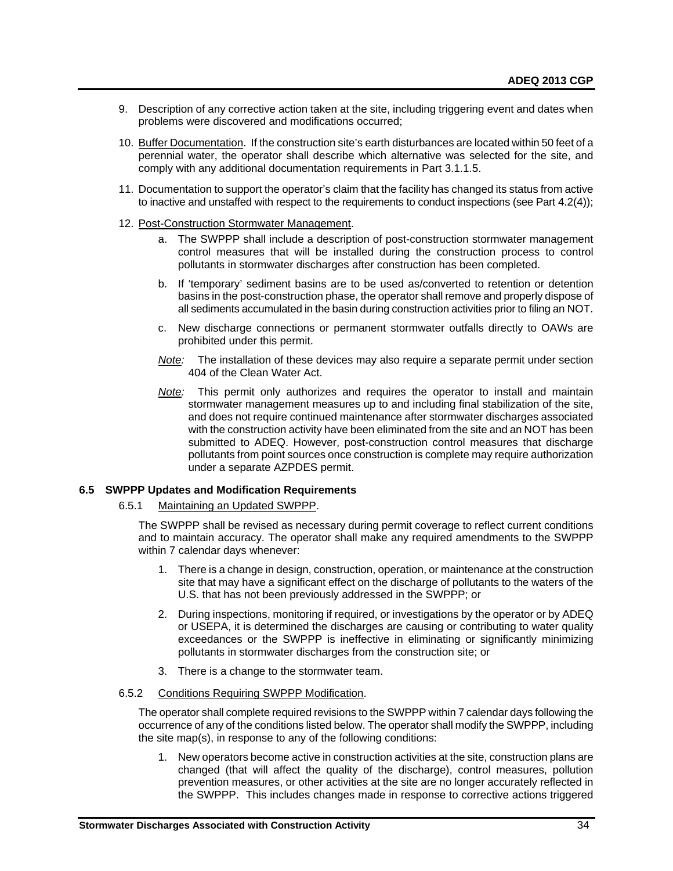- 9. Description of any corrective action taken at the site, including triggering event and dates when problems were discovered and modifications occurred;
- 10. Buffer Documentation. If the construction site's earth disturbances are located within 50 feet of a perennial water, the operator shall describe which alternative was selected for the site, and comply with any additional documentation requirements in Part 3.1.1.5.
- 11. Documentation to support the operator's claim that the facility has changed its status from active to inactive and unstaffed with respect to the requirements to conduct inspections (see Part 4.2(4));
- 12. Post-Construction Stormwater Management.
	- a. The SWPPP shall include a description of post-construction stormwater management control measures that will be installed during the construction process to control pollutants in stormwater discharges after construction has been completed.
	- b. If 'temporary' sediment basins are to be used as/converted to retention or detention basins in the post-construction phase, the operator shall remove and properly dispose of all sediments accumulated in the basin during construction activities prior to filing an NOT.
	- c. New discharge connections or permanent stormwater outfalls directly to OAWs are prohibited under this permit.
	- *Note:* The installation of these devices may also require a separate permit under section 404 of the Clean Water Act.
	- *Note:* This permit only authorizes and requires the operator to install and maintain stormwater management measures up to and including final stabilization of the site, and does not require continued maintenance after stormwater discharges associated with the construction activity have been eliminated from the site and an NOT has been submitted to ADEQ. However, post-construction control measures that discharge pollutants from point sources once construction is complete may require authorization under a separate AZPDES permit.

# <span id="page-35-0"></span>**6.5 SWPPP Updates and Modification Requirements**

# 6.5.1 Maintaining an Updated SWPPP.

The SWPPP shall be revised as necessary during permit coverage to reflect current conditions and to maintain accuracy. The operator shall make any required amendments to the SWPPP within 7 calendar days whenever:

- 1. There is a change in design, construction, operation, or maintenance at the construction site that may have a significant effect on the discharge of pollutants to the waters of the U.S. that has not been previously addressed in the SWPPP; or
- 2. During inspections, monitoring if required, or investigations by the operator or by ADEQ or USEPA, it is determined the discharges are causing or contributing to water quality exceedances or the SWPPP is ineffective in eliminating or significantly minimizing pollutants in stormwater discharges from the construction site; or
- 3. There is a change to the stormwater team.

# 6.5.2 Conditions Requiring SWPPP Modification.

The operator shall complete required revisions to the SWPPP within 7 calendar days following the occurrence of any of the conditions listed below. The operator shall modify the SWPPP, including the site map(s), in response to any of the following conditions:

1. New operators become active in construction activities at the site, construction plans are changed (that will affect the quality of the discharge), control measures, pollution prevention measures, or other activities at the site are no longer accurately reflected in the SWPPP. This includes changes made in response to corrective actions triggered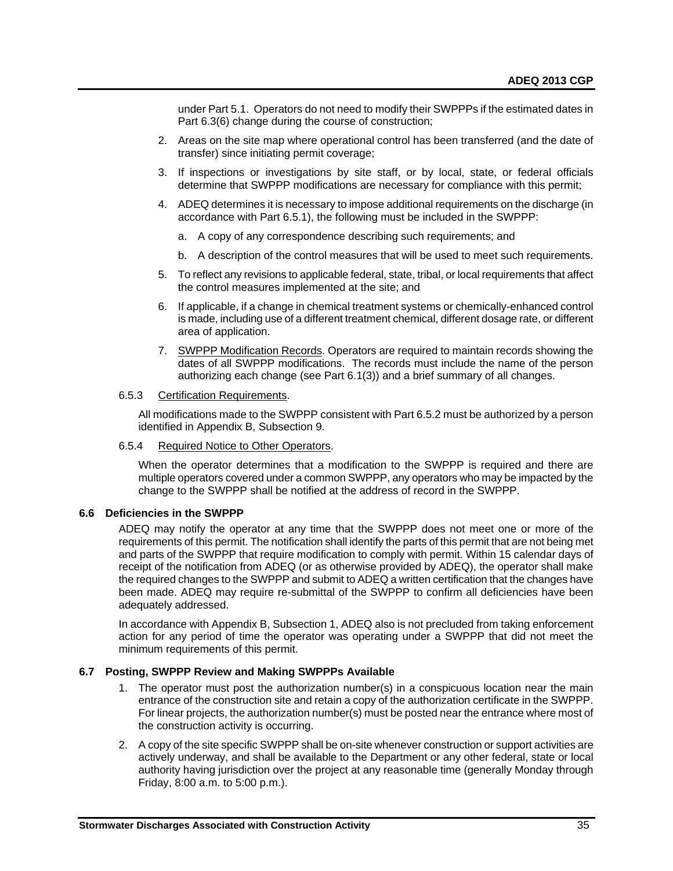under Part 5.1. Operators do not need to modify their SWPPPs if the estimated dates in Part 6.3(6) change during the course of construction;

- 2. Areas on the site map where operational control has been transferred (and the date of transfer) since initiating permit coverage;
- 3. If inspections or investigations by site staff, or by local, state, or federal officials determine that SWPPP modifications are necessary for compliance with this permit;
- 4. ADEQ determines it is necessary to impose additional requirements on the discharge (in accordance with Part 6.5.1), the following must be included in the SWPPP:
	- a. A copy of any correspondence describing such requirements; and
	- b. A description of the control measures that will be used to meet such requirements.
- 5. To reflect any revisions to applicable federal, state, tribal, or local requirements that affect the control measures implemented at the site; and
- 6. If applicable, if a change in chemical treatment systems or chemically-enhanced control is made, including use of a different treatment chemical, different dosage rate, or different area of application.
- 7. SWPPP Modification Records. Operators are required to maintain records showing the dates of all SWPPP modifications. The records must include the name of the person authorizing each change (see Part 6.1(3)) and a brief summary of all changes.

#### 6.5.3 Certification Requirements.

All modifications made to the SWPPP consistent with Part 6.5.2 must be authorized by a person identified in Appendix B, Subsection 9.

#### 6.5.4 Required Notice to Other Operators.

When the operator determines that a modification to the SWPPP is required and there are multiple operators covered under a common SWPPP, any operators who may be impacted by the change to the SWPPP shall be notified at the address of record in the SWPPP.

# <span id="page-36-0"></span>**6.6 Deficiencies in the SWPPP**

ADEQ may notify the operator at any time that the SWPPP does not meet one or more of the requirements of this permit. The notification shall identify the parts of this permit that are not being met and parts of the SWPPP that require modification to comply with permit. Within 15 calendar days of receipt of the notification from ADEQ (or as otherwise provided by ADEQ), the operator shall make the required changes to the SWPPP and submit to ADEQ a written certification that the changes have been made. ADEQ may require re-submittal of the SWPPP to confirm all deficiencies have been adequately addressed.

In accordance with Appendix B, Subsection 1, ADEQ also is not precluded from taking enforcement action for any period of time the operator was operating under a SWPPP that did not meet the minimum requirements of this permit.

# <span id="page-36-1"></span>**6.7 Posting, SWPPP Review and Making SWPPPs Available**

- 1. The operator must post the authorization number(s) in a conspicuous location near the main entrance of the construction site and retain a copy of the authorization certificate in the SWPPP. For linear projects, the authorization number(s) must be posted near the entrance where most of the construction activity is occurring.
- 2. A copy of the site specific SWPPP shall be on-site whenever construction or support activities are actively underway, and shall be available to the Department or any other federal, state or local authority having jurisdiction over the project at any reasonable time (generally Monday through Friday, 8:00 a.m. to 5:00 p.m.).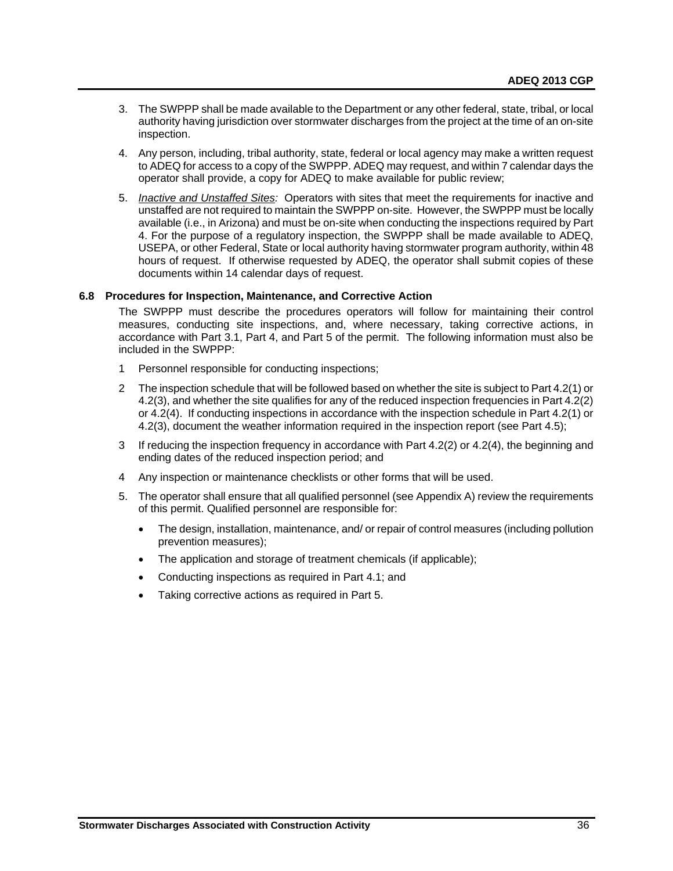- 3. The SWPPP shall be made available to the Department or any other federal, state, tribal, or local authority having jurisdiction over stormwater discharges from the project at the time of an on-site inspection.
- 4. Any person, including, tribal authority, state, federal or local agency may make a written request to ADEQ for access to a copy of the SWPPP. ADEQ may request, and within 7 calendar days the operator shall provide, a copy for ADEQ to make available for public review;
- 5. *Inactive and Unstaffed Sites:* Operators with sites that meet the requirements for inactive and unstaffed are not required to maintain the SWPPP on-site. However, the SWPPP must be locally available (i.e., in Arizona) and must be on-site when conducting the inspections required by Part 4. For the purpose of a regulatory inspection, the SWPPP shall be made available to ADEQ, USEPA, or other Federal, State or local authority having stormwater program authority, within 48 hours of request. If otherwise requested by ADEQ, the operator shall submit copies of these documents within 14 calendar days of request.

# <span id="page-37-0"></span>**6.8 Procedures for Inspection, Maintenance, and Corrective Action**

The SWPPP must describe the procedures operators will follow for maintaining their control measures, conducting site inspections, and, where necessary, taking corrective actions, in accordance with Part 3.1, Part 4, and Part 5 of the permit. The following information must also be included in the SWPPP:

- 1 Personnel responsible for conducting inspections;
- 2 The inspection schedule that will be followed based on whether the site is subject to Part 4.2(1) or 4.2(3), and whether the site qualifies for any of the reduced inspection frequencies in Part 4.2(2) or 4.2(4). If conducting inspections in accordance with the inspection schedule in Part 4.2(1) or 4.2(3), document the weather information required in the inspection report (see Part 4.5);
- 3 If reducing the inspection frequency in accordance with Part 4.2(2) or 4.2(4), the beginning and ending dates of the reduced inspection period; and
- 4 Any inspection or maintenance checklists or other forms that will be used.
- 5. The operator shall ensure that all qualified personnel (see Appendix A) review the requirements of this permit. Qualified personnel are responsible for:
	- The design, installation, maintenance, and/ or repair of control measures (including pollution prevention measures);
	- The application and storage of treatment chemicals (if applicable);
	- Conducting inspections as required in Part 4.1; and
	- Taking corrective actions as required in Part 5.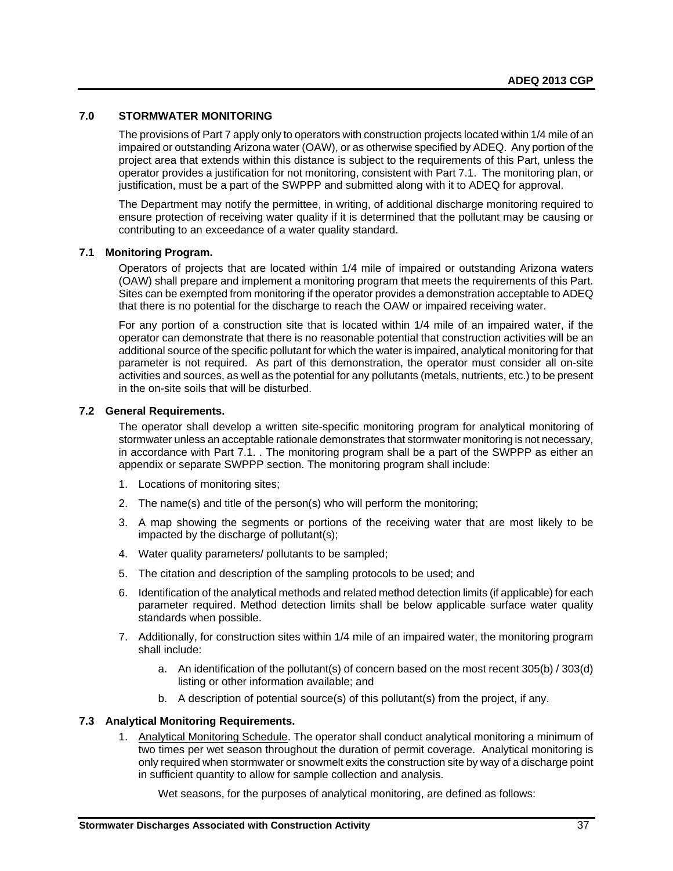# <span id="page-38-0"></span>**7.0 STORMWATER MONITORING**

The provisions of Part 7 apply only to operators with construction projects located within 1/4 mile of an impaired or outstanding Arizona water (OAW), or as otherwise specified by ADEQ. Any portion of the project area that extends within this distance is subject to the requirements of this Part, unless the operator provides a justification for not monitoring, consistent with Part 7.1. The monitoring plan, or justification, must be a part of the SWPPP and submitted along with it to ADEQ for approval.

The Department may notify the permittee, in writing, of additional discharge monitoring required to ensure protection of receiving water quality if it is determined that the pollutant may be causing or contributing to an exceedance of a water quality standard.

# <span id="page-38-1"></span>**7.1 Monitoring Program.**

Operators of projects that are located within 1/4 mile of impaired or outstanding Arizona waters (OAW) shall prepare and implement a monitoring program that meets the requirements of this Part. Sites can be exempted from monitoring if the operator provides a demonstration acceptable to ADEQ that there is no potential for the discharge to reach the OAW or impaired receiving water.

For any portion of a construction site that is located within 1/4 mile of an impaired water, if the operator can demonstrate that there is no reasonable potential that construction activities will be an additional source of the specific pollutant for which the water is impaired, analytical monitoring for that parameter is not required. As part of this demonstration, the operator must consider all on-site activities and sources, as well as the potential for any pollutants (metals, nutrients, etc.) to be present in the on-site soils that will be disturbed.

# <span id="page-38-2"></span>**7.2 General Requirements.**

The operator shall develop a written site-specific monitoring program for analytical monitoring of stormwater unless an acceptable rationale demonstrates that stormwater monitoring is not necessary, in accordance with Part 7.1. . The monitoring program shall be a part of the SWPPP as either an appendix or separate SWPPP section. The monitoring program shall include:

- 1. Locations of monitoring sites;
- 2. The name(s) and title of the person(s) who will perform the monitoring;
- 3. A map showing the segments or portions of the receiving water that are most likely to be impacted by the discharge of pollutant(s);
- 4. Water quality parameters/ pollutants to be sampled;
- 5. The citation and description of the sampling protocols to be used; and
- 6. Identification of the analytical methods and related method detection limits (if applicable) for each parameter required. Method detection limits shall be below applicable surface water quality standards when possible.
- 7. Additionally, for construction sites within 1/4 mile of an impaired water, the monitoring program shall include:
	- a. An identification of the pollutant(s) of concern based on the most recent 305(b) / 303(d) listing or other information available; and
	- b. A description of potential source(s) of this pollutant(s) from the project, if any.

# <span id="page-38-3"></span>**7.3 Analytical Monitoring Requirements.**

1. Analytical Monitoring Schedule. The operator shall conduct analytical monitoring a minimum of two times per wet season throughout the duration of permit coverage. Analytical monitoring is only required when stormwater or snowmelt exits the construction site by way of a discharge point in sufficient quantity to allow for sample collection and analysis.

Wet seasons, for the purposes of analytical monitoring, are defined as follows: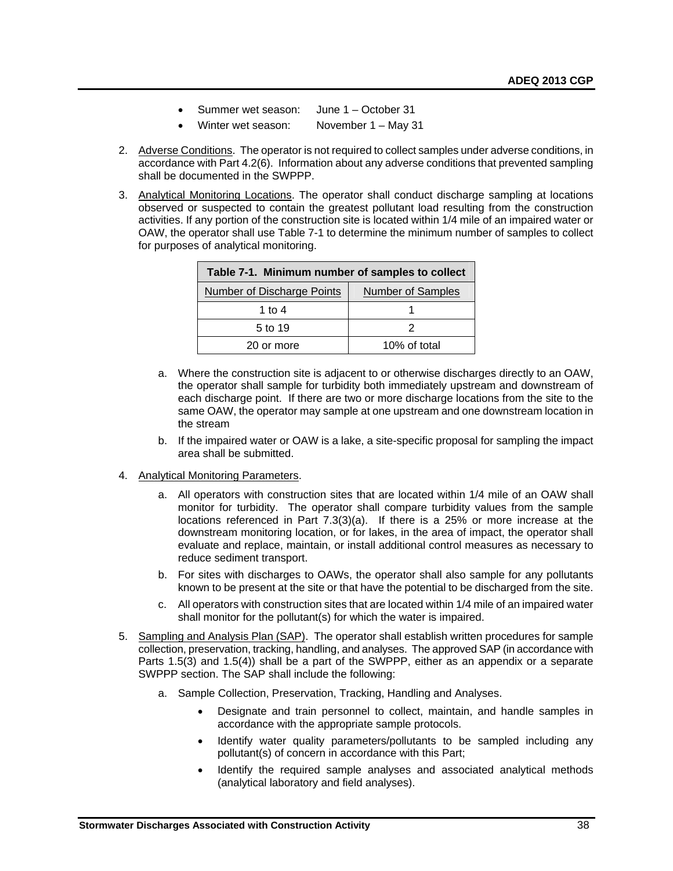- Summer wet season: June 1 October 31
- Winter wet season: November 1 May 31
- 2. Adverse Conditions. The operator is not required to collect samples under adverse conditions, in accordance with Part 4.2(6). Information about any adverse conditions that prevented sampling shall be documented in the SWPPP.
- 3. Analytical Monitoring Locations. The operator shall conduct discharge sampling at locations observed or suspected to contain the greatest pollutant load resulting from the construction activities. If any portion of the construction site is located within 1/4 mile of an impaired water or OAW, the operator shall use Table 7-1 to determine the minimum number of samples to collect for purposes of analytical monitoring.

| Table 7-1. Minimum number of samples to collect |                          |  |  |  |
|-------------------------------------------------|--------------------------|--|--|--|
| Number of Discharge Points                      | <b>Number of Samples</b> |  |  |  |
| 1 to 4                                          |                          |  |  |  |
| 5 to 19                                         |                          |  |  |  |
| 20 or more                                      | 10% of total             |  |  |  |

- a. Where the construction site is adjacent to or otherwise discharges directly to an OAW, the operator shall sample for turbidity both immediately upstream and downstream of each discharge point. If there are two or more discharge locations from the site to the same OAW, the operator may sample at one upstream and one downstream location in the stream
- b. If the impaired water or OAW is a lake, a site-specific proposal for sampling the impact area shall be submitted.
- 4. Analytical Monitoring Parameters.
	- a. All operators with construction sites that are located within 1/4 mile of an OAW shall monitor for turbidity. The operator shall compare turbidity values from the sample locations referenced in Part 7.3(3)(a). If there is a 25% or more increase at the downstream monitoring location, or for lakes, in the area of impact, the operator shall evaluate and replace, maintain, or install additional control measures as necessary to reduce sediment transport.
	- b. For sites with discharges to OAWs, the operator shall also sample for any pollutants known to be present at the site or that have the potential to be discharged from the site.
	- c. All operators with construction sites that are located within 1/4 mile of an impaired water shall monitor for the pollutant(s) for which the water is impaired.
- 5. Sampling and Analysis Plan (SAP). The operator shall establish written procedures for sample collection, preservation, tracking, handling, and analyses. The approved SAP (in accordance with Parts 1.5(3) and 1.5(4)) shall be a part of the SWPPP, either as an appendix or a separate SWPPP section. The SAP shall include the following:
	- a. Sample Collection, Preservation, Tracking, Handling and Analyses.
		- Designate and train personnel to collect, maintain, and handle samples in accordance with the appropriate sample protocols.
		- Identify water quality parameters/pollutants to be sampled including any pollutant(s) of concern in accordance with this Part;
		- Identify the required sample analyses and associated analytical methods (analytical laboratory and field analyses).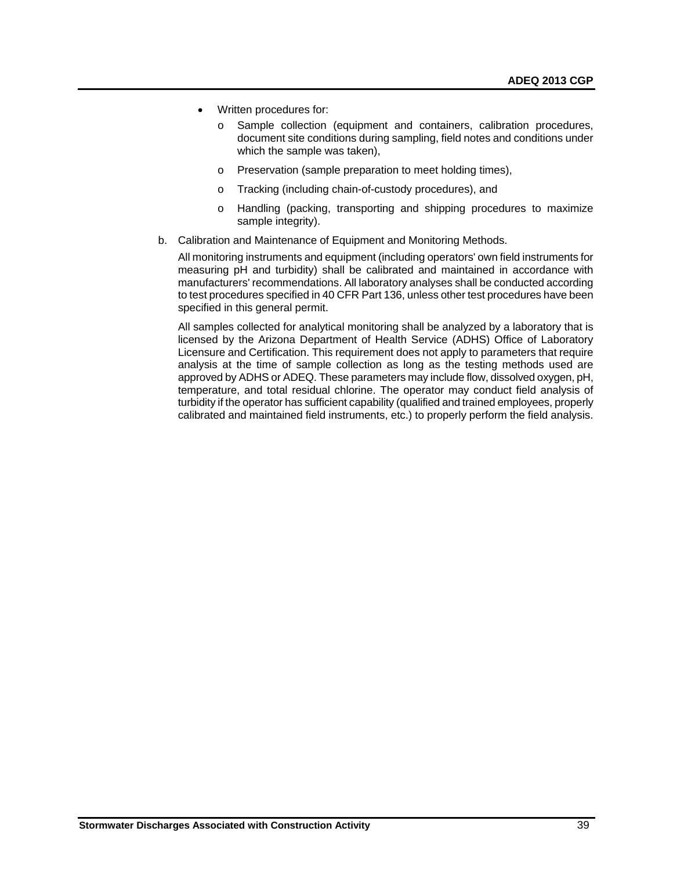- Written procedures for:
	- o Sample collection (equipment and containers, calibration procedures, document site conditions during sampling, field notes and conditions under which the sample was taken),
	- o Preservation (sample preparation to meet holding times),
	- o Tracking (including chain-of-custody procedures), and
	- o Handling (packing, transporting and shipping procedures to maximize sample integrity).
- b. Calibration and Maintenance of Equipment and Monitoring Methods.

All monitoring instruments and equipment (including operators' own field instruments for measuring pH and turbidity) shall be calibrated and maintained in accordance with manufacturers' recommendations. All laboratory analyses shall be conducted according to test procedures specified in 40 CFR Part 136, unless other test procedures have been specified in this general permit.

All samples collected for analytical monitoring shall be analyzed by a laboratory that is licensed by the Arizona Department of Health Service (ADHS) Office of Laboratory Licensure and Certification. This requirement does not apply to parameters that require analysis at the time of sample collection as long as the testing methods used are approved by ADHS or ADEQ. These parameters may include flow, dissolved oxygen, pH, temperature, and total residual chlorine. The operator may conduct field analysis of turbidity if the operator has sufficient capability (qualified and trained employees, properly calibrated and maintained field instruments, etc.) to properly perform the field analysis.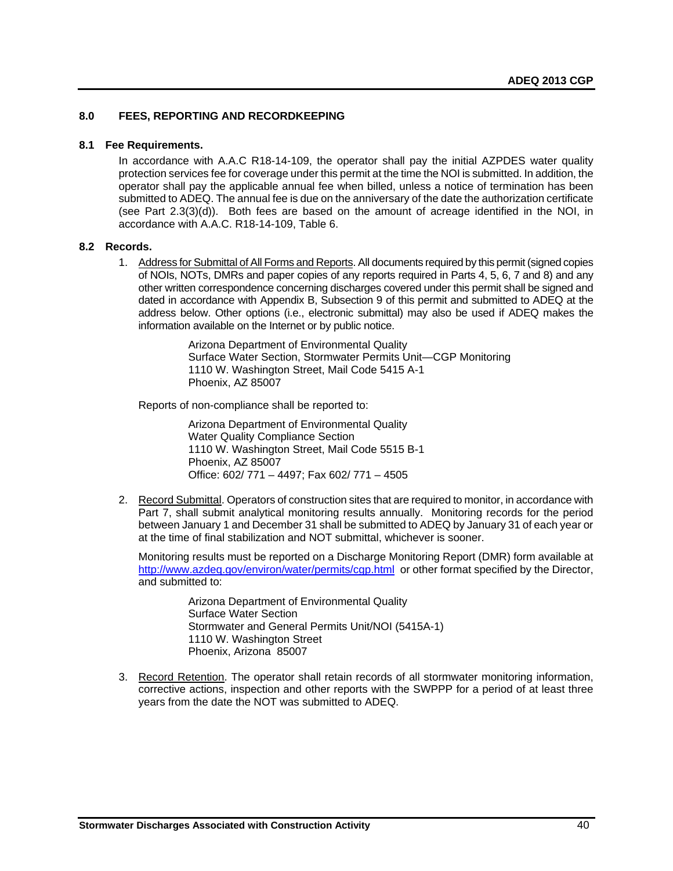# <span id="page-41-0"></span>**8.0 FEES, REPORTING AND RECORDKEEPING**

#### <span id="page-41-1"></span>**8.1 Fee Requirements.**

In accordance with A.A.C R18-14-109, the operator shall pay the initial AZPDES water quality protection services fee for coverage under this permit at the time the NOI is submitted. In addition, the operator shall pay the applicable annual fee when billed, unless a notice of termination has been submitted to ADEQ. The annual fee is due on the anniversary of the date the authorization certificate (see Part  $2.3(3)(d)$ ). Both fees are based on the amount of acreage identified in the NOI, in accordance with A.A.C. R18-14-109, Table 6.

#### <span id="page-41-2"></span>**8.2 Records.**

1. Address for Submittal of All Forms and Reports. All documents required by this permit (signed copies of NOIs, NOTs, DMRs and paper copies of any reports required in Parts 4, 5, 6, 7 and 8) and any other written correspondence concerning discharges covered under this permit shall be signed and dated in accordance with Appendix B, Subsection 9 of this permit and submitted to ADEQ at the address below. Other options (i.e., electronic submittal) may also be used if ADEQ makes the information available on the Internet or by public notice.

> Arizona Department of Environmental Quality Surface Water Section, Stormwater Permits Unit—CGP Monitoring 1110 W. Washington Street, Mail Code 5415 A-1 Phoenix, AZ 85007

Reports of non-compliance shall be reported to:

Arizona Department of Environmental Quality Water Quality Compliance Section 1110 W. Washington Street, Mail Code 5515 B-1 Phoenix, AZ 85007 Office: 602/ 771 – 4497; Fax 602/ 771 – 4505

2. Record Submittal. Operators of construction sites that are required to monitor, in accordance with Part 7, shall submit analytical monitoring results annually. Monitoring records for the period between January 1 and December 31 shall be submitted to ADEQ by January 31 of each year or at the time of final stabilization and NOT submittal, whichever is sooner.

Monitoring results must be reported on a Discharge Monitoring Report (DMR) form available at <http://www.azdeq.gov/environ/water/permits/cgp.html> or other format specified by the Director, and submitted to:

> Arizona Department of Environmental Quality Surface Water Section Stormwater and General Permits Unit/NOI (5415A-1) 1110 W. Washington Street Phoenix, Arizona 85007

3. Record Retention. The operator shall retain records of all stormwater monitoring information, corrective actions, inspection and other reports with the SWPPP for a period of at least three years from the date the NOT was submitted to ADEQ.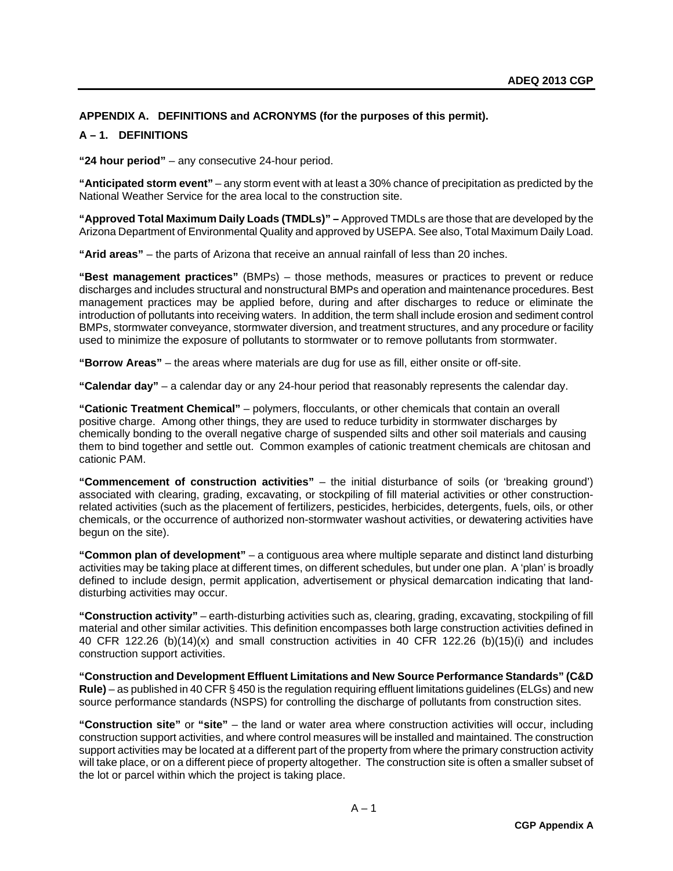# <span id="page-42-0"></span>**APPENDIX A. DEFINITIONS and ACRONYMS (for the purposes of this permit).**

# **A – 1. DEFINITIONS**

**"24 hour period"** – any consecutive 24-hour period.

**"Anticipated storm event"** – any storm event with at least a 30% chance of precipitation as predicted by the National Weather Service for the area local to the construction site.

**"Approved Total Maximum Daily Loads (TMDLs)" –** Approved TMDLs are those that are developed by the Arizona Department of Environmental Quality and approved by USEPA. See also, Total Maximum Daily Load.

**"Arid areas"** – the parts of Arizona that receive an annual rainfall of less than 20 inches.

**"Best management practices"** (BMPs) – those methods, measures or practices to prevent or reduce discharges and includes structural and nonstructural BMPs and operation and maintenance procedures. Best management practices may be applied before, during and after discharges to reduce or eliminate the introduction of pollutants into receiving waters. In addition, the term shall include erosion and sediment control BMPs, stormwater conveyance, stormwater diversion, and treatment structures, and any procedure or facility used to minimize the exposure of pollutants to stormwater or to remove pollutants from stormwater.

**"Borrow Areas"** – the areas where materials are dug for use as fill, either onsite or off-site.

**"Calendar day"** – a calendar day or any 24-hour period that reasonably represents the calendar day.

**"Cationic Treatment Chemical"** – polymers, flocculants, or other chemicals that contain an overall positive charge. Among other things, they are used to reduce turbidity in stormwater discharges by chemically bonding to the overall negative charge of suspended silts and other soil materials and causing them to bind together and settle out. Common examples of cationic treatment chemicals are chitosan and cationic PAM.

**"Commencement of construction activities"** – the initial disturbance of soils (or 'breaking ground') associated with clearing, grading, excavating, or stockpiling of fill material activities or other constructionrelated activities (such as the placement of fertilizers, pesticides, herbicides, detergents, fuels, oils, or other chemicals, or the occurrence of authorized non-stormwater washout activities, or dewatering activities have begun on the site).

**"Common plan of development"** – a contiguous area where multiple separate and distinct land disturbing activities may be taking place at different times, on different schedules, but under one plan. A 'plan' is broadly defined to include design, permit application, advertisement or physical demarcation indicating that landdisturbing activities may occur.

**"Construction activity"** – earth-disturbing activities such as, clearing, grading, excavating, stockpiling of fill material and other similar activities. This definition encompasses both large construction activities defined in 40 CFR 122.26 (b)(14)(x) and small construction activities in 40 CFR 122.26 (b)(15)(i) and includes construction support activities.

**"Construction and Development Effluent Limitations and New Source Performance Standards" (C&D Rule)** – as published in 40 CFR § 450 is the regulation requiring effluent limitations guidelines (ELGs) and new source performance standards (NSPS) for controlling the discharge of pollutants from construction sites.

**"Construction site"** or **"site"** – the land or water area where construction activities will occur, including construction support activities, and where control measures will be installed and maintained. The construction support activities may be located at a different part of the property from where the primary construction activity will take place, or on a different piece of property altogether. The construction site is often a smaller subset of the lot or parcel within which the project is taking place.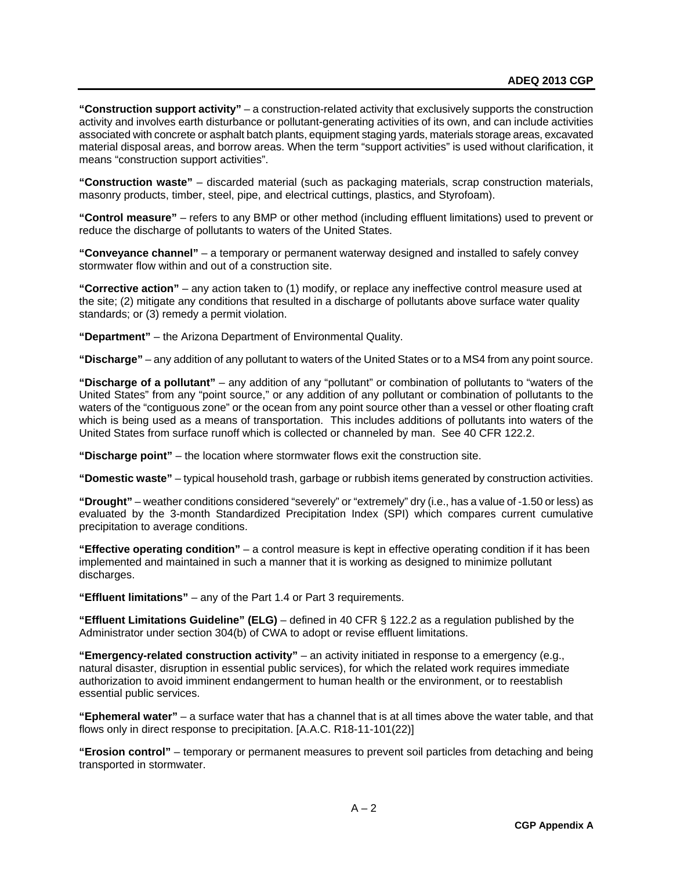**"Construction support activity"** – a construction-related activity that exclusively supports the construction activity and involves earth disturbance or pollutant-generating activities of its own, and can include activities associated with concrete or asphalt batch plants, equipment staging yards, materials storage areas, excavated material disposal areas, and borrow areas. When the term "support activities" is used without clarification, it means "construction support activities".

**"Construction waste"** – discarded material (such as packaging materials, scrap construction materials, masonry products, timber, steel, pipe, and electrical cuttings, plastics, and Styrofoam).

**"Control measure"** – refers to any BMP or other method (including effluent limitations) used to prevent or reduce the discharge of pollutants to waters of the United States.

**"Conveyance channel"** – a temporary or permanent waterway designed and installed to safely convey stormwater flow within and out of a construction site.

**"Corrective action"** – any action taken to (1) modify, or replace any ineffective control measure used at the site; (2) mitigate any conditions that resulted in a discharge of pollutants above surface water quality standards; or (3) remedy a permit violation.

**"Department"** – the Arizona Department of Environmental Quality.

**"Discharge"** – any addition of any pollutant to waters of the United States or to a MS4 from any point source.

**"Discharge of a pollutant"** – any addition of any "pollutant" or combination of pollutants to "waters of the United States" from any "point source," or any addition of any pollutant or combination of pollutants to the waters of the "contiguous zone" or the ocean from any point source other than a vessel or other floating craft which is being used as a means of transportation. This includes additions of pollutants into waters of the United States from surface runoff which is collected or channeled by man. See 40 CFR 122.2.

**"Discharge point"** – the location where stormwater flows exit the construction site.

**"Domestic waste"** – typical household trash, garbage or rubbish items generated by construction activities.

**"Drought"** – weather conditions considered "severely" or "extremely" dry (i.e., has a value of -1.50 or less) as evaluated by the 3-month Standardized Precipitation Index (SPI) which compares current cumulative precipitation to average conditions.

**"Effective operating condition"** – a control measure is kept in effective operating condition if it has been implemented and maintained in such a manner that it is working as designed to minimize pollutant discharges.

**"Effluent limitations"** – any of the Part 1.4 or Part 3 requirements.

**"Effluent Limitations Guideline" (ELG)** – defined in 40 CFR § 122.2 as a regulation published by the Administrator under section 304(b) of CWA to adopt or revise effluent limitations.

**"Emergency-related construction activity"** – an activity initiated in response to a emergency (e.g., natural disaster, disruption in essential public services), for which the related work requires immediate authorization to avoid imminent endangerment to human health or the environment, or to reestablish essential public services.

**"Ephemeral water"** – a surface water that has a channel that is at all times above the water table, and that flows only in direct response to precipitation. [A.A.C. R18-11-101(22)]

**"Erosion control"** – temporary or permanent measures to prevent soil particles from detaching and being transported in stormwater.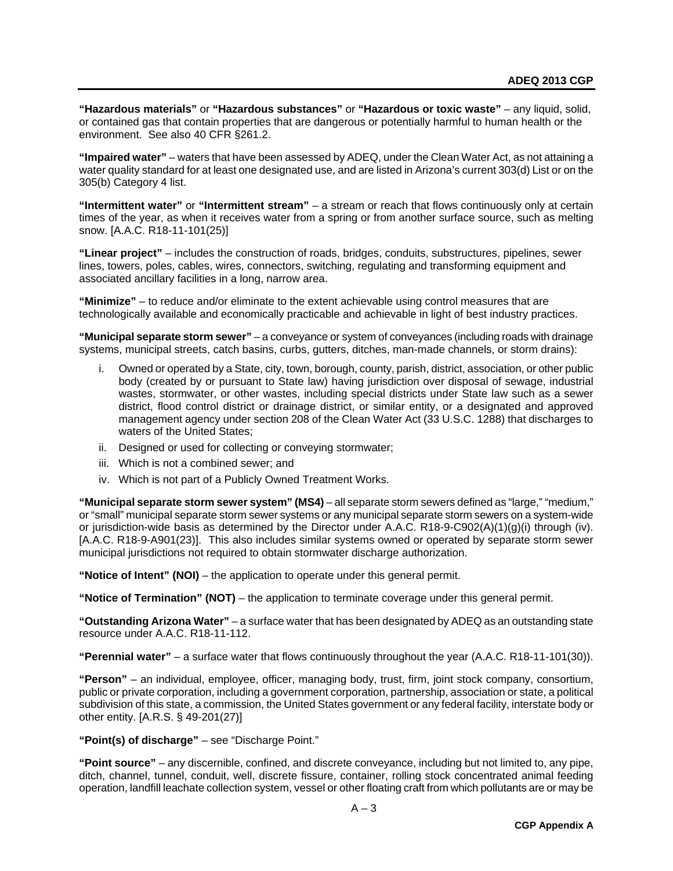**"Hazardous materials"** or **"Hazardous substances"** or **"Hazardous or toxic waste"** – any liquid, solid, or contained gas that contain properties that are dangerous or potentially harmful to human health or the environment. See also 40 CFR §261.2.

**"Impaired water"** – waters that have been assessed by ADEQ, under the Clean Water Act, as not attaining a water quality standard for at least one designated use, and are listed in Arizona's current 303(d) List or on the 305(b) Category 4 list.

**"Intermittent water"** or **"Intermittent stream"** – a stream or reach that flows continuously only at certain times of the year, as when it receives water from a spring or from another surface source, such as melting snow. [A.A.C. R18-11-101(25)]

**"Linear project"** – includes the construction of roads, bridges, conduits, substructures, pipelines, sewer lines, towers, poles, cables, wires, connectors, switching, regulating and transforming equipment and associated ancillary facilities in a long, narrow area.

**"Minimize"** – to reduce and/or eliminate to the extent achievable using control measures that are technologically available and economically practicable and achievable in light of best industry practices.

**"Municipal separate storm sewer"** – a conveyance or system of conveyances (including roads with drainage systems, municipal streets, catch basins, curbs, gutters, ditches, man-made channels, or storm drains):

- Owned or operated by a State, city, town, borough, county, parish, district, association, or other public body (created by or pursuant to State law) having jurisdiction over disposal of sewage, industrial wastes, stormwater, or other wastes, including special districts under State law such as a sewer district, flood control district or drainage district, or similar entity, or a designated and approved management agency under section 208 of the Clean Water Act (33 U.S.C. 1288) that discharges to waters of the United States;
- ii. Designed or used for collecting or conveying stormwater;
- iii. Which is not a combined sewer; and
- iv. Which is not part of a Publicly Owned Treatment Works.

**"Municipal separate storm sewer system" (MS4)** – all separate storm sewers defined as "large," "medium," or "small" municipal separate storm sewer systems or any municipal separate storm sewers on a system-wide or jurisdiction-wide basis as determined by the Director under A.A.C. R18-9-C902(A)(1)(g)(i) through (iv). [A.A.C. R18-9-A901(23)]. This also includes similar systems owned or operated by separate storm sewer municipal jurisdictions not required to obtain stormwater discharge authorization.

**"Notice of Intent" (NOI)** – the application to operate under this general permit.

**"Notice of Termination" (NOT)** – the application to terminate coverage under this general permit.

**"Outstanding Arizona Water"** – a surface water that has been designated by ADEQ as an outstanding state resource under A.A.C. R18-11-112.

**"Perennial water"** – a surface water that flows continuously throughout the year (A.A.C. R18-11-101(30)).

**"Person"** – an individual, employee, officer, managing body, trust, firm, joint stock company, consortium, public or private corporation, including a government corporation, partnership, association or state, a political subdivision of this state, a commission, the United States government or any federal facility, interstate body or other entity. [A.R.S. § 49-201(27)]

**"Point(s) of discharge"** – see "Discharge Point."

**"Point source"** – any discernible, confined, and discrete conveyance, including but not limited to, any pipe, ditch, channel, tunnel, conduit, well, discrete fissure, container, rolling stock concentrated animal feeding operation, landfill leachate collection system, vessel or other floating craft from which pollutants are or may be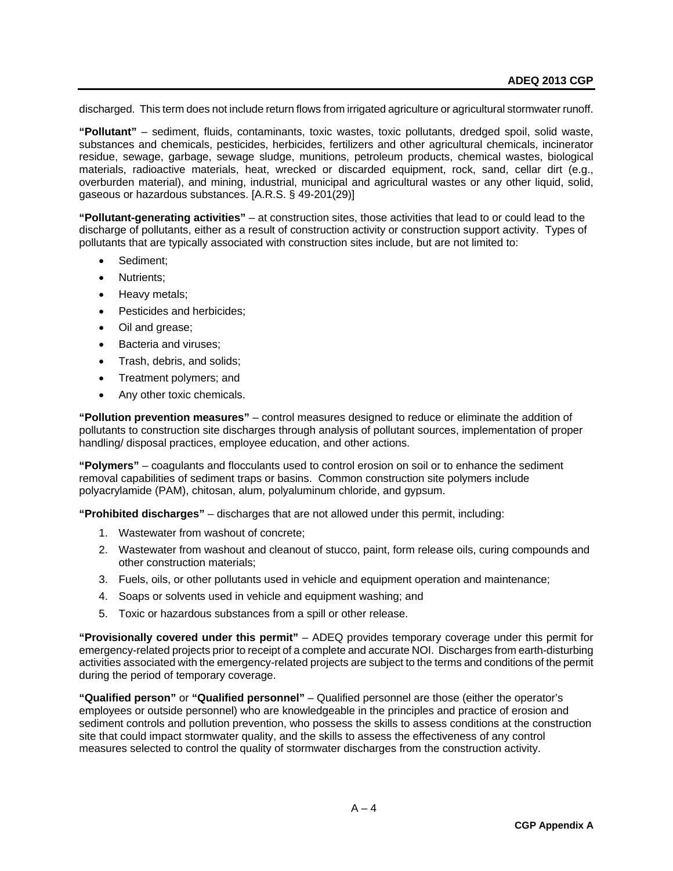discharged. This term does not include return flows from irrigated agriculture or agricultural stormwater runoff.

**"Pollutant"** – sediment, fluids, contaminants, toxic wastes, toxic pollutants, dredged spoil, solid waste, substances and chemicals, pesticides, herbicides, fertilizers and other agricultural chemicals, incinerator residue, sewage, garbage, sewage sludge, munitions, petroleum products, chemical wastes, biological materials, radioactive materials, heat, wrecked or discarded equipment, rock, sand, cellar dirt (e.g., overburden material), and mining, industrial, municipal and agricultural wastes or any other liquid, solid, gaseous or hazardous substances. [A.R.S. § 49-201(29)]

**"Pollutant-generating activities"** – at construction sites, those activities that lead to or could lead to the discharge of pollutants, either as a result of construction activity or construction support activity. Types of pollutants that are typically associated with construction sites include, but are not limited to:

- Sediment;
- Nutrients;
- Heavy metals;
- Pesticides and herbicides;
- Oil and grease;
- Bacteria and viruses;
- Trash, debris, and solids;
- Treatment polymers; and
- Any other toxic chemicals.

**"Pollution prevention measures"** – control measures designed to reduce or eliminate the addition of pollutants to construction site discharges through analysis of pollutant sources, implementation of proper handling/ disposal practices, employee education, and other actions.

**"Polymers"** – coagulants and flocculants used to control erosion on soil or to enhance the sediment removal capabilities of sediment traps or basins. Common construction site polymers include polyacrylamide (PAM), chitosan, alum, polyaluminum chloride, and gypsum.

**"Prohibited discharges"** – discharges that are not allowed under this permit, including:

- 1. Wastewater from washout of concrete;
- 2. Wastewater from washout and cleanout of stucco, paint, form release oils, curing compounds and other construction materials;
- 3. Fuels, oils, or other pollutants used in vehicle and equipment operation and maintenance;
- 4. Soaps or solvents used in vehicle and equipment washing; and
- 5. Toxic or hazardous substances from a spill or other release.

**"Provisionally covered under this permit"** – ADEQ provides temporary coverage under this permit for emergency-related projects prior to receipt of a complete and accurate NOI. Discharges from earth-disturbing activities associated with the emergency-related projects are subject to the terms and conditions of the permit during the period of temporary coverage.

**"Qualified person"** or **"Qualified personnel"** – Qualified personnel are those (either the operator's employees or outside personnel) who are knowledgeable in the principles and practice of erosion and sediment controls and pollution prevention, who possess the skills to assess conditions at the construction site that could impact stormwater quality, and the skills to assess the effectiveness of any control measures selected to control the quality of stormwater discharges from the construction activity.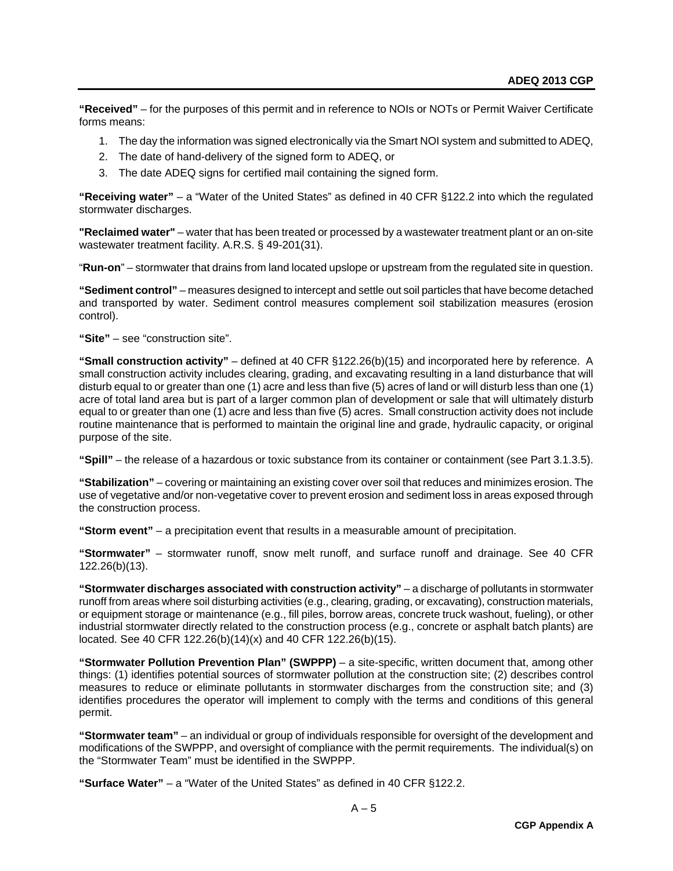**"Received"** – for the purposes of this permit and in reference to NOIs or NOTs or Permit Waiver Certificate forms means:

- 1. The day the information was signed electronically via the Smart NOI system and submitted to ADEQ,
- 2. The date of hand-delivery of the signed form to ADEQ, or
- 3. The date ADEQ signs for certified mail containing the signed form.

**"Receiving water"** – a "Water of the United States" as defined in 40 CFR §122.2 into which the regulated stormwater discharges.

**"Reclaimed water"** – water that has been treated or processed by a wastewater treatment plant or an on-site wastewater treatment facility. A.R.S. § 49-201(31).

"**Run-on**" – stormwater that drains from land located upslope or upstream from the regulated site in question.

**"Sediment control"** – measures designed to intercept and settle out soil particles that have become detached and transported by water. Sediment control measures complement soil stabilization measures (erosion control).

**"Site"** – see "construction site".

**"Small construction activity"** – defined at 40 CFR §122.26(b)(15) and incorporated here by reference. A small construction activity includes clearing, grading, and excavating resulting in a land disturbance that will disturb equal to or greater than one (1) acre and less than five (5) acres of land or will disturb less than one (1) acre of total land area but is part of a larger common plan of development or sale that will ultimately disturb equal to or greater than one (1) acre and less than five (5) acres. Small construction activity does not include routine maintenance that is performed to maintain the original line and grade, hydraulic capacity, or original purpose of the site.

**"Spill"** – the release of a hazardous or toxic substance from its container or containment (see Part 3.1.3.5).

**"Stabilization"** – covering or maintaining an existing cover over soil that reduces and minimizes erosion. The use of vegetative and/or non-vegetative cover to prevent erosion and sediment loss in areas exposed through the construction process.

**"Storm event"** – a precipitation event that results in a measurable amount of precipitation.

**"Stormwater"** – stormwater runoff, snow melt runoff, and surface runoff and drainage. See 40 CFR 122.26(b)(13).

**"Stormwater discharges associated with construction activity"** – a discharge of pollutants in stormwater runoff from areas where soil disturbing activities (e.g., clearing, grading, or excavating), construction materials, or equipment storage or maintenance (e.g., fill piles, borrow areas, concrete truck washout, fueling), or other industrial stormwater directly related to the construction process (e.g., concrete or asphalt batch plants) are located. See 40 CFR 122.26(b)(14)(x) and 40 CFR 122.26(b)(15).

**"Stormwater Pollution Prevention Plan" (SWPPP)** – a site-specific, written document that, among other things: (1) identifies potential sources of stormwater pollution at the construction site; (2) describes control measures to reduce or eliminate pollutants in stormwater discharges from the construction site; and (3) identifies procedures the operator will implement to comply with the terms and conditions of this general permit.

**"Stormwater team"** – an individual or group of individuals responsible for oversight of the development and modifications of the SWPPP, and oversight of compliance with the permit requirements. The individual(s) on the "Stormwater Team" must be identified in the SWPPP.

**"Surface Water"** – a "Water of the United States" as defined in 40 CFR §122.2.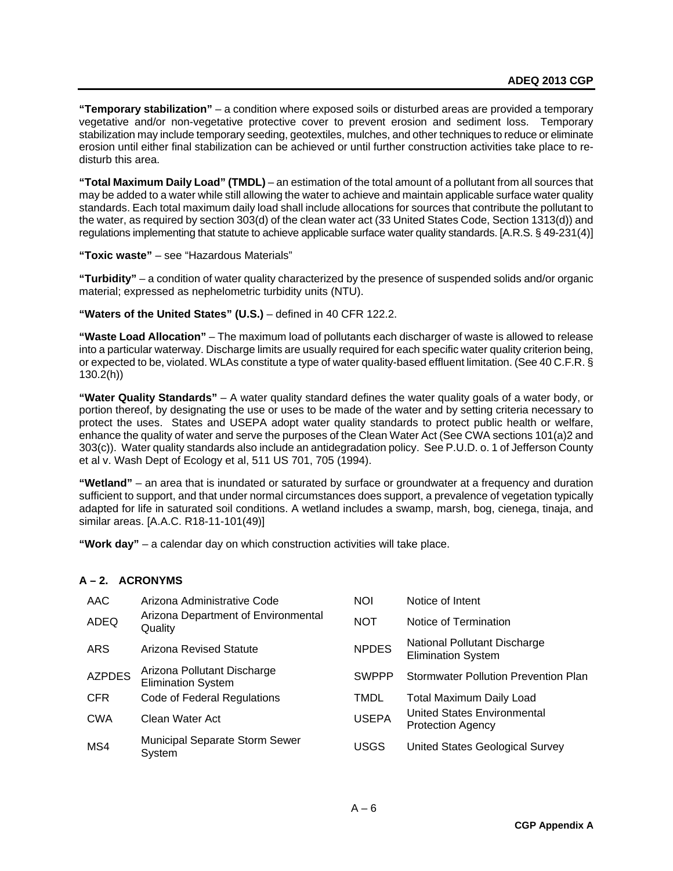**"Temporary stabilization"** – a condition where exposed soils or disturbed areas are provided a temporary vegetative and/or non-vegetative protective cover to prevent erosion and sediment loss. Temporary stabilization may include temporary seeding, geotextiles, mulches, and other techniques to reduce or eliminate erosion until either final stabilization can be achieved or until further construction activities take place to redisturb this area.

**"Total Maximum Daily Load" (TMDL)** – an estimation of the total amount of a pollutant from all sources that may be added to a water while still allowing the water to achieve and maintain applicable surface water quality standards. Each total maximum daily load shall include allocations for sources that contribute the pollutant to the water, as required by section 303(d) of the clean water act (33 United States Code, Section 1313(d)) and regulations implementing that statute to achieve applicable surface water quality standards. [A.R.S. § 49-231(4)]

**"Toxic waste"** – see "Hazardous Materials"

**"Turbidity"** – a condition of water quality characterized by the presence of suspended solids and/or organic material; expressed as nephelometric turbidity units (NTU).

# **"Waters of the United States" (U.S.)** – defined in 40 CFR 122.2.

**"Waste Load Allocation"** – The maximum load of pollutants each discharger of waste is allowed to release into a particular waterway. Discharge limits are usually required for each specific water quality criterion being, or expected to be, violated. WLAs constitute a type of water quality-based effluent limitation. (See 40 C.F.R. § 130.2(h))

**"Water Quality Standards"** – A water quality standard defines the water quality goals of a water body, or portion thereof, by designating the use or uses to be made of the water and by setting criteria necessary to protect the uses. States and USEPA adopt water quality standards to protect public health or welfare, enhance the quality of water and serve the purposes of the Clean Water Act (See CWA sections 101(a)2 and 303(c)). Water quality standards also include an antidegradation policy. See P.U.D. o. 1 of Jefferson County et al v. Wash Dept of Ecology et al, 511 US 701, 705 (1994).

**"Wetland"** – an area that is inundated or saturated by surface or groundwater at a frequency and duration sufficient to support, and that under normal circumstances does support, a prevalence of vegetation typically adapted for life in saturated soil conditions. A wetland includes a swamp, marsh, bog, cienega, tinaja, and similar areas. [A.A.C. R18-11-101(49)]

**"Work day"** – a calendar day on which construction activities will take place.

# **A – 2. ACRONYMS**

| AAC           | Arizona Administrative Code                              | <b>NOI</b>   | Notice of Intent                                          |
|---------------|----------------------------------------------------------|--------------|-----------------------------------------------------------|
| <b>ADEQ</b>   | Arizona Department of Environmental<br>Quality           | <b>NOT</b>   | Notice of Termination                                     |
| <b>ARS</b>    | Arizona Revised Statute                                  | <b>NPDES</b> | National Pollutant Discharge<br><b>Elimination System</b> |
| <b>AZPDES</b> | Arizona Pollutant Discharge<br><b>Elimination System</b> | <b>SWPPP</b> | <b>Stormwater Pollution Prevention Plan</b>               |
| <b>CFR</b>    | Code of Federal Regulations                              | <b>TMDL</b>  | <b>Total Maximum Daily Load</b>                           |
| <b>CWA</b>    | Clean Water Act                                          | <b>USEPA</b> | United States Environmental<br><b>Protection Agency</b>   |
| MS4           | <b>Municipal Separate Storm Sewer</b><br>System          | USGS         | United States Geological Survey                           |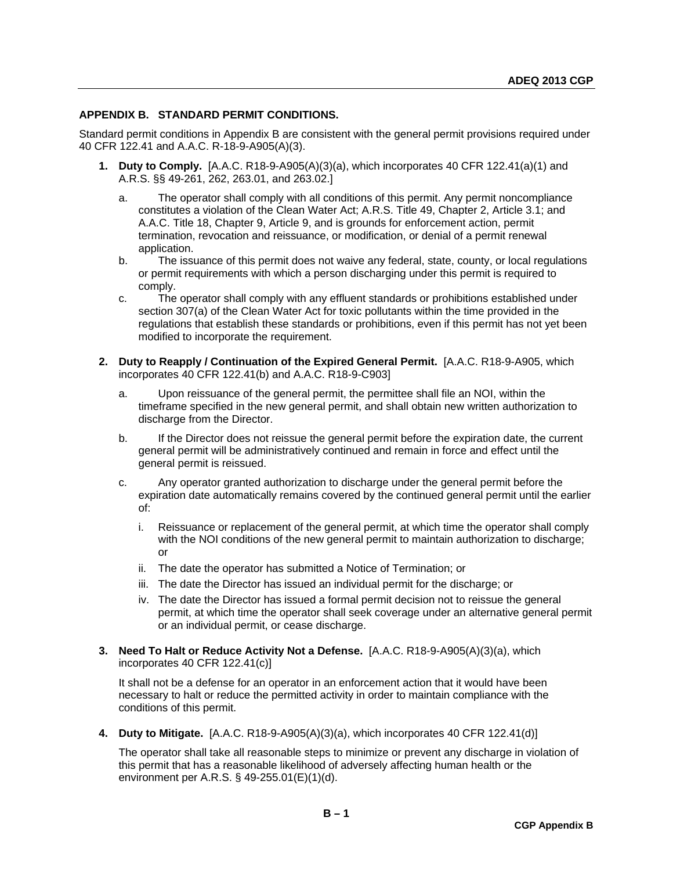# <span id="page-48-0"></span>**APPENDIX B. STANDARD PERMIT CONDITIONS.**

Standard permit conditions in Appendix B are consistent with the general permit provisions required under 40 CFR 122.41 and A.A.C. R-18-9-A905(A)(3).

- **1. Duty to Comply.** [A.A.C. R18-9-A905(A)(3)(a), which incorporates 40 CFR 122.41(a)(1) and A.R.S. §§ 49-261, 262, 263.01, and 263.02.]
	- a. The operator shall comply with all conditions of this permit. Any permit noncompliance constitutes a violation of the Clean Water Act; A.R.S. Title 49, Chapter 2, Article 3.1; and A.A.C. Title 18, Chapter 9, Article 9, and is grounds for enforcement action, permit termination, revocation and reissuance, or modification, or denial of a permit renewal application.
	- b. The issuance of this permit does not waive any federal, state, county, or local regulations or permit requirements with which a person discharging under this permit is required to comply.
	- c. The operator shall comply with any effluent standards or prohibitions established under section 307(a) of the Clean Water Act for toxic pollutants within the time provided in the regulations that establish these standards or prohibitions, even if this permit has not yet been modified to incorporate the requirement.
- **2. Duty to Reapply / Continuation of the Expired General Permit.** [A.A.C. R18-9-A905, which incorporates 40 CFR 122.41(b) and A.A.C. R18-9-C903]
	- a. Upon reissuance of the general permit, the permittee shall file an NOI, within the timeframe specified in the new general permit, and shall obtain new written authorization to discharge from the Director.
	- b. If the Director does not reissue the general permit before the expiration date, the current general permit will be administratively continued and remain in force and effect until the general permit is reissued.
	- c. Any operator granted authorization to discharge under the general permit before the expiration date automatically remains covered by the continued general permit until the earlier of:
		- i. Reissuance or replacement of the general permit, at which time the operator shall comply with the NOI conditions of the new general permit to maintain authorization to discharge; or
		- ii. The date the operator has submitted a Notice of Termination; or
		- iii. The date the Director has issued an individual permit for the discharge; or
		- iv. The date the Director has issued a formal permit decision not to reissue the general permit, at which time the operator shall seek coverage under an alternative general permit or an individual permit, or cease discharge.
- **3. Need To Halt or Reduce Activity Not a Defense.** [A.A.C. R18-9-A905(A)(3)(a), which incorporates 40 CFR 122.41(c)]

It shall not be a defense for an operator in an enforcement action that it would have been necessary to halt or reduce the permitted activity in order to maintain compliance with the conditions of this permit.

**4. Duty to Mitigate.** [A.A.C. R18-9-A905(A)(3)(a), which incorporates 40 CFR 122.41(d)]

The operator shall take all reasonable steps to minimize or prevent any discharge in violation of this permit that has a reasonable likelihood of adversely affecting human health or the environment per A.R.S. § 49-255.01(E)(1)(d).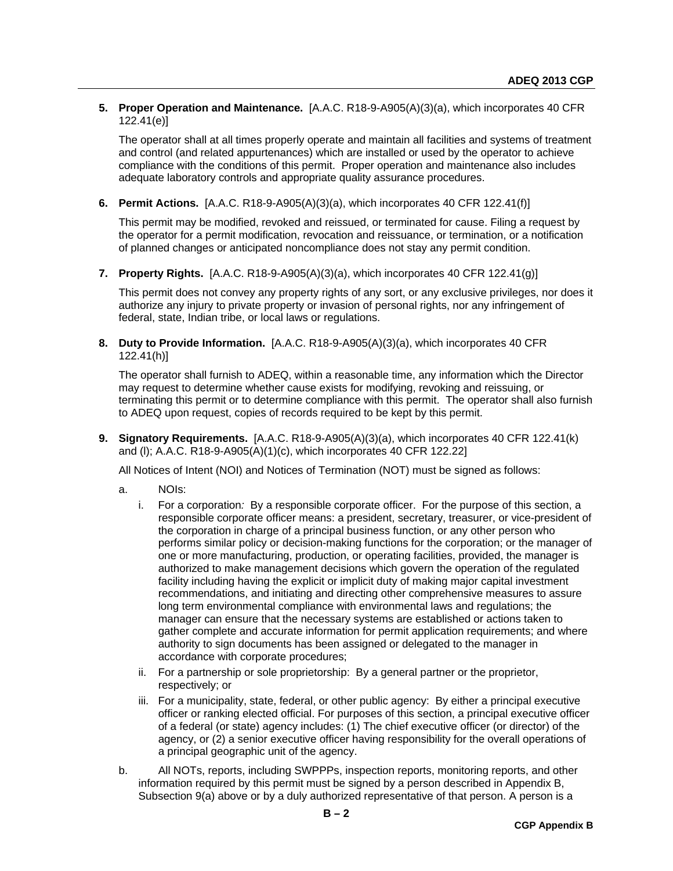# **5. Proper Operation and Maintenance.** [A.A.C. R18-9-A905(A)(3)(a), which incorporates 40 CFR 122.41(e)]

The operator shall at all times properly operate and maintain all facilities and systems of treatment and control (and related appurtenances) which are installed or used by the operator to achieve compliance with the conditions of this permit. Proper operation and maintenance also includes adequate laboratory controls and appropriate quality assurance procedures.

**6. Permit Actions.** [A.A.C. R18-9-A905(A)(3)(a), which incorporates 40 CFR 122.41(f)]

This permit may be modified, revoked and reissued, or terminated for cause. Filing a request by the operator for a permit modification, revocation and reissuance, or termination, or a notification of planned changes or anticipated noncompliance does not stay any permit condition.

**7. Property Rights.** [A.A.C. R18-9-A905(A)(3)(a), which incorporates 40 CFR 122.41(g)]

This permit does not convey any property rights of any sort, or any exclusive privileges, nor does it authorize any injury to private property or invasion of personal rights, nor any infringement of federal, state, Indian tribe, or local laws or regulations.

**8. Duty to Provide Information.** [A.A.C. R18-9-A905(A)(3)(a), which incorporates 40 CFR 122.41(h)]

The operator shall furnish to ADEQ, within a reasonable time, any information which the Director may request to determine whether cause exists for modifying, revoking and reissuing, or terminating this permit or to determine compliance with this permit. The operator shall also furnish to ADEQ upon request, copies of records required to be kept by this permit.

**9. Signatory Requirements.** [A.A.C. R18-9-A905(A)(3)(a), which incorporates 40 CFR 122.41(k) and (l); A.A.C. R18-9-A905(A)(1)(c), which incorporates 40 CFR 122.22]

All Notices of Intent (NOI) and Notices of Termination (NOT) must be signed as follows:

- a. NOIs:
	- i. For a corporation*:* By a responsible corporate officer. For the purpose of this section, a responsible corporate officer means: a president, secretary, treasurer, or vice-president of the corporation in charge of a principal business function, or any other person who performs similar policy or decision-making functions for the corporation; or the manager of one or more manufacturing, production, or operating facilities, provided, the manager is authorized to make management decisions which govern the operation of the regulated facility including having the explicit or implicit duty of making major capital investment recommendations, and initiating and directing other comprehensive measures to assure long term environmental compliance with environmental laws and regulations; the manager can ensure that the necessary systems are established or actions taken to gather complete and accurate information for permit application requirements; and where authority to sign documents has been assigned or delegated to the manager in accordance with corporate procedures;
	- ii. For a partnership or sole proprietorship: By a general partner or the proprietor, respectively; or
	- iii. For a municipality, state, federal, or other public agency: By either a principal executive officer or ranking elected official. For purposes of this section, a principal executive officer of a federal (or state) agency includes: (1) The chief executive officer (or director) of the agency, or (2) a senior executive officer having responsibility for the overall operations of a principal geographic unit of the agency.
- b. All NOTs, reports, including SWPPPs, inspection reports, monitoring reports, and other information required by this permit must be signed by a person described in Appendix B, Subsection 9(a) above or by a duly authorized representative of that person. A person is a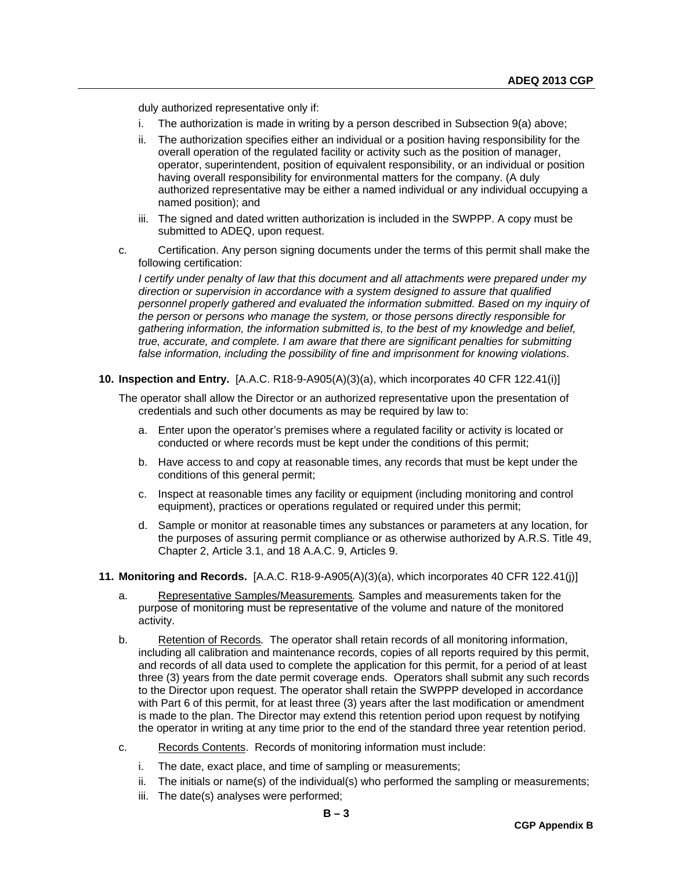duly authorized representative only if:

- i. The authorization is made in writing by a person described in Subsection 9(a) above;
- ii. The authorization specifies either an individual or a position having responsibility for the overall operation of the regulated facility or activity such as the position of manager, operator, superintendent, position of equivalent responsibility, or an individual or position having overall responsibility for environmental matters for the company. (A duly authorized representative may be either a named individual or any individual occupying a named position); and
- iii. The signed and dated written authorization is included in the SWPPP. A copy must be submitted to ADEQ, upon request.
- c. Certification. Any person signing documents under the terms of this permit shall make the following certification:

*I certify under penalty of law that this document and all attachments were prepared under my direction or supervision in accordance with a system designed to assure that qualified*  personnel properly gathered and evaluated the information submitted. Based on my inquiry of *the person or persons who manage the system, or those persons directly responsible for gathering information, the information submitted is, to the best of my knowledge and belief, true, accurate, and complete. I am aware that there are significant penalties for submitting false information, including the possibility of fine and imprisonment for knowing violations*.

**10. Inspection and Entry.** [A.A.C. R18-9-A905(A)(3)(a), which incorporates 40 CFR 122.41(i)]

The operator shall allow the Director or an authorized representative upon the presentation of credentials and such other documents as may be required by law to:

- a. Enter upon the operator's premises where a regulated facility or activity is located or conducted or where records must be kept under the conditions of this permit;
- b. Have access to and copy at reasonable times, any records that must be kept under the conditions of this general permit;
- c. Inspect at reasonable times any facility or equipment (including monitoring and control equipment), practices or operations regulated or required under this permit;
- d. Sample or monitor at reasonable times any substances or parameters at any location, for the purposes of assuring permit compliance or as otherwise authorized by A.R.S. Title 49, Chapter 2, Article 3.1, and 18 A.A.C. 9, Articles 9.
- **11. Monitoring and Records.** [A.A.C. R18-9-A905(A)(3)(a), which incorporates 40 CFR 122.41(j)]
	- a. Representative Samples/Measurements*.* Samples and measurements taken for the purpose of monitoring must be representative of the volume and nature of the monitored activity.
	- b. Retention of Records*.* The operator shall retain records of all monitoring information, including all calibration and maintenance records, copies of all reports required by this permit, and records of all data used to complete the application for this permit, for a period of at least three (3) years from the date permit coverage ends. Operators shall submit any such records to the Director upon request. The operator shall retain the SWPPP developed in accordance with Part 6 of this permit, for at least three (3) years after the last modification or amendment is made to the plan. The Director may extend this retention period upon request by notifying the operator in writing at any time prior to the end of the standard three year retention period.
	- c. Records Contents. Records of monitoring information must include:
		- i. The date, exact place, and time of sampling or measurements;
		- ii. The initials or name(s) of the individual(s) who performed the sampling or measurements;
		- iii. The date(s) analyses were performed;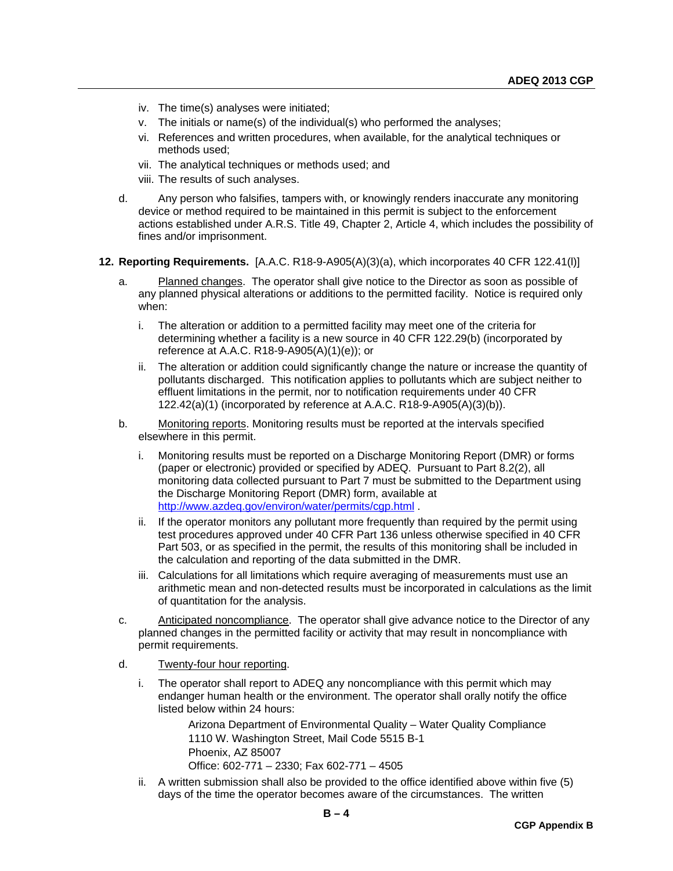- iv. The time(s) analyses were initiated;
- v. The initials or name(s) of the individual(s) who performed the analyses;
- vi. References and written procedures, when available, for the analytical techniques or methods used;
- vii. The analytical techniques or methods used; and
- viii. The results of such analyses.
- d. Any person who falsifies, tampers with, or knowingly renders inaccurate any monitoring device or method required to be maintained in this permit is subject to the enforcement actions established under A.R.S. Title 49, Chapter 2, Article 4, which includes the possibility of fines and/or imprisonment.
- **12. Reporting Requirements.** [A.A.C. R18-9-A905(A)(3)(a), which incorporates 40 CFR 122.41(l)]
	- a. Planned changes. The operator shall give notice to the Director as soon as possible of any planned physical alterations or additions to the permitted facility. Notice is required only when:
		- i. The alteration or addition to a permitted facility may meet one of the criteria for determining whether a facility is a new source in 40 CFR 122.29(b) (incorporated by reference at A.A.C. R18-9-A905(A)(1)(e)); or
		- ii. The alteration or addition could significantly change the nature or increase the quantity of pollutants discharged. This notification applies to pollutants which are subject neither to effluent limitations in the permit, nor to notification requirements under 40 CFR 122.42(a)(1) (incorporated by reference at A.A.C. R18-9-A905(A)(3)(b)).
	- b. Monitoring reports. Monitoring results must be reported at the intervals specified elsewhere in this permit.
		- i. Monitoring results must be reported on a Discharge Monitoring Report (DMR) or forms (paper or electronic) provided or specified by ADEQ. Pursuant to Part 8.2(2), all monitoring data collected pursuant to Part 7 must be submitted to the Department using the Discharge Monitoring Report (DMR) form, available at <http://www.azdeq.gov/environ/water/permits/cgp.html> .
		- ii. If the operator monitors any pollutant more frequently than required by the permit using test procedures approved under 40 CFR Part 136 unless otherwise specified in 40 CFR Part 503, or as specified in the permit, the results of this monitoring shall be included in the calculation and reporting of the data submitted in the DMR.
		- iii. Calculations for all limitations which require averaging of measurements must use an arithmetic mean and non-detected results must be incorporated in calculations as the limit of quantitation for the analysis.
	- c. Anticipated noncompliance. The operator shall give advance notice to the Director of any planned changes in the permitted facility or activity that may result in noncompliance with permit requirements.
	- d. Twenty-four hour reporting.
		- i. The operator shall report to ADEQ any noncompliance with this permit which may endanger human health or the environment. The operator shall orally notify the office listed below within 24 hours:

Arizona Department of Environmental Quality – Water Quality Compliance 1110 W. Washington Street, Mail Code 5515 B-1 Phoenix, AZ 85007 Office: 602-771 – 2330; Fax 602-771 – 4505

ii. A written submission shall also be provided to the office identified above within five (5) days of the time the operator becomes aware of the circumstances. The written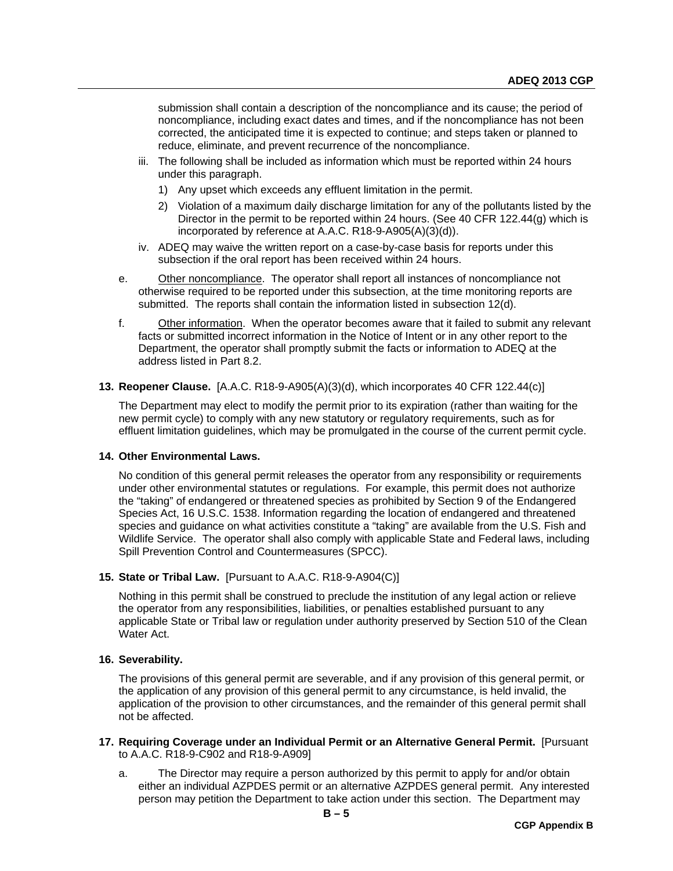submission shall contain a description of the noncompliance and its cause; the period of noncompliance, including exact dates and times, and if the noncompliance has not been corrected, the anticipated time it is expected to continue; and steps taken or planned to reduce, eliminate, and prevent recurrence of the noncompliance.

- iii. The following shall be included as information which must be reported within 24 hours under this paragraph.
	- 1) Any upset which exceeds any effluent limitation in the permit.
	- 2) Violation of a maximum daily discharge limitation for any of the pollutants listed by the Director in the permit to be reported within 24 hours. (See 40 CFR 122.44(g) which is incorporated by reference at A.A.C. R18-9-A905(A)(3)(d)).
- iv. ADEQ may waive the written report on a case-by-case basis for reports under this subsection if the oral report has been received within 24 hours.
- e. Other noncompliance. The operator shall report all instances of noncompliance not otherwise required to be reported under this subsection, at the time monitoring reports are submitted. The reports shall contain the information listed in subsection 12(d).
- f. Other information. When the operator becomes aware that it failed to submit any relevant facts or submitted incorrect information in the Notice of Intent or in any other report to the Department, the operator shall promptly submit the facts or information to ADEQ at the address listed in Part 8.2.

#### **13. Reopener Clause.** [A.A.C. R18-9-A905(A)(3)(d), which incorporates 40 CFR 122.44(c)]

The Department may elect to modify the permit prior to its expiration (rather than waiting for the new permit cycle) to comply with any new statutory or regulatory requirements, such as for effluent limitation guidelines, which may be promulgated in the course of the current permit cycle.

# **14. Other Environmental Laws.**

No condition of this general permit releases the operator from any responsibility or requirements under other environmental statutes or regulations. For example, this permit does not authorize the "taking" of endangered or threatened species as prohibited by Section 9 of the Endangered Species Act, 16 U.S.C. 1538. Information regarding the location of endangered and threatened species and guidance on what activities constitute a "taking" are available from the U.S. Fish and Wildlife Service. The operator shall also comply with applicable State and Federal laws, including Spill Prevention Control and Countermeasures (SPCC).

# **15. State or Tribal Law.** [Pursuant to A.A.C. R18-9-A904(C)]

Nothing in this permit shall be construed to preclude the institution of any legal action or relieve the operator from any responsibilities, liabilities, or penalties established pursuant to any applicable State or Tribal law or regulation under authority preserved by Section 510 of the Clean Water Act.

# **16. Severability.**

The provisions of this general permit are severable, and if any provision of this general permit, or the application of any provision of this general permit to any circumstance, is held invalid, the application of the provision to other circumstances, and the remainder of this general permit shall not be affected.

- **17. Requiring Coverage under an Individual Permit or an Alternative General Permit.** [Pursuant to A.A.C. R18-9-C902 and R18-9-A909]
	- a. The Director may require a person authorized by this permit to apply for and/or obtain either an individual AZPDES permit or an alternative AZPDES general permit. Any interested person may petition the Department to take action under this section. The Department may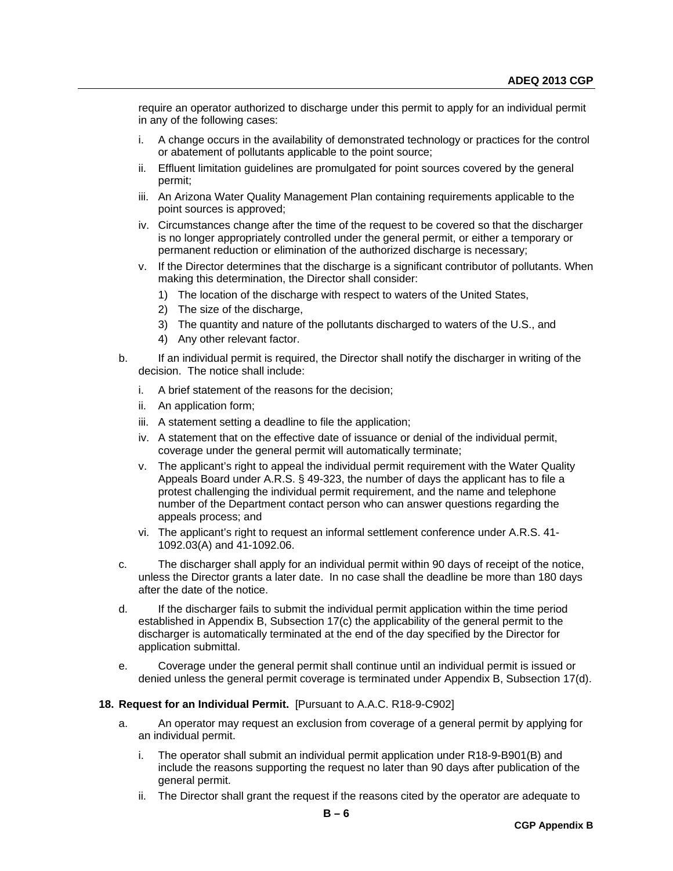require an operator authorized to discharge under this permit to apply for an individual permit in any of the following cases:

- i. A change occurs in the availability of demonstrated technology or practices for the control or abatement of pollutants applicable to the point source;
- ii. Effluent limitation guidelines are promulgated for point sources covered by the general permit;
- iii. An Arizona Water Quality Management Plan containing requirements applicable to the point sources is approved;
- iv. Circumstances change after the time of the request to be covered so that the discharger is no longer appropriately controlled under the general permit, or either a temporary or permanent reduction or elimination of the authorized discharge is necessary;
- v. If the Director determines that the discharge is a significant contributor of pollutants. When making this determination, the Director shall consider:
	- 1) The location of the discharge with respect to waters of the United States,
	- 2) The size of the discharge,
	- 3) The quantity and nature of the pollutants discharged to waters of the U.S., and
	- 4) Any other relevant factor.
- b. If an individual permit is required, the Director shall notify the discharger in writing of the decision. The notice shall include:
	- i. A brief statement of the reasons for the decision;
	- ii. An application form;
	- iii. A statement setting a deadline to file the application;
	- iv. A statement that on the effective date of issuance or denial of the individual permit, coverage under the general permit will automatically terminate;
	- v. The applicant's right to appeal the individual permit requirement with the Water Quality Appeals Board under A.R.S. § 49-323, the number of days the applicant has to file a protest challenging the individual permit requirement, and the name and telephone number of the Department contact person who can answer questions regarding the appeals process; and
	- vi. The applicant's right to request an informal settlement conference under A.R.S. 41- 1092.03(A) and 41-1092.06.
- c. The discharger shall apply for an individual permit within 90 days of receipt of the notice, unless the Director grants a later date. In no case shall the deadline be more than 180 days after the date of the notice.
- d. If the discharger fails to submit the individual permit application within the time period established in Appendix B, Subsection 17(c) the applicability of the general permit to the discharger is automatically terminated at the end of the day specified by the Director for application submittal.
- e. Coverage under the general permit shall continue until an individual permit is issued or denied unless the general permit coverage is terminated under Appendix B, Subsection 17(d).

#### **18. Request for an Individual Permit.** [Pursuant to A.A.C. R18-9-C902]

- a. An operator may request an exclusion from coverage of a general permit by applying for an individual permit.
	- i. The operator shall submit an individual permit application under R18-9-B901(B) and include the reasons supporting the request no later than 90 days after publication of the general permit.
	- ii. The Director shall grant the request if the reasons cited by the operator are adequate to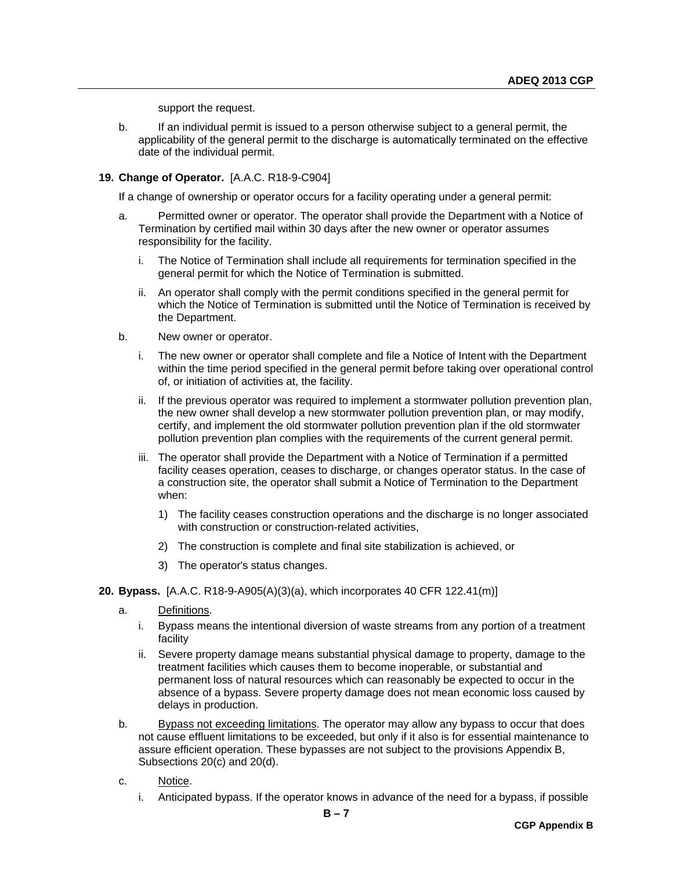support the request.

b. If an individual permit is issued to a person otherwise subject to a general permit, the applicability of the general permit to the discharge is automatically terminated on the effective date of the individual permit.

# **19. Change of Operator.** [A.A.C. R18-9-C904]

If a change of ownership or operator occurs for a facility operating under a general permit:

- a. Permitted owner or operator. The operator shall provide the Department with a Notice of Termination by certified mail within 30 days after the new owner or operator assumes responsibility for the facility.
	- i. The Notice of Termination shall include all requirements for termination specified in the general permit for which the Notice of Termination is submitted.
	- ii. An operator shall comply with the permit conditions specified in the general permit for which the Notice of Termination is submitted until the Notice of Termination is received by the Department.
- b. New owner or operator.
	- i. The new owner or operator shall complete and file a Notice of Intent with the Department within the time period specified in the general permit before taking over operational control of, or initiation of activities at, the facility.
	- ii. If the previous operator was required to implement a stormwater pollution prevention plan, the new owner shall develop a new stormwater pollution prevention plan, or may modify, certify, and implement the old stormwater pollution prevention plan if the old stormwater pollution prevention plan complies with the requirements of the current general permit.
	- iii. The operator shall provide the Department with a Notice of Termination if a permitted facility ceases operation, ceases to discharge, or changes operator status. In the case of a construction site, the operator shall submit a Notice of Termination to the Department when:
		- 1) The facility ceases construction operations and the discharge is no longer associated with construction or construction-related activities,
		- 2) The construction is complete and final site stabilization is achieved, or
		- 3) The operator's status changes.

#### **20. Bypass.** [A.A.C. R18-9-A905(A)(3)(a), which incorporates 40 CFR 122.41(m)]

- a. Definitions.
	- i. Bypass means the intentional diversion of waste streams from any portion of a treatment facility
	- ii. Severe property damage means substantial physical damage to property, damage to the treatment facilities which causes them to become inoperable, or substantial and permanent loss of natural resources which can reasonably be expected to occur in the absence of a bypass. Severe property damage does not mean economic loss caused by delays in production.
- b. Bypass not exceeding limitations. The operator may allow any bypass to occur that does not cause effluent limitations to be exceeded, but only if it also is for essential maintenance to assure efficient operation. These bypasses are not subject to the provisions Appendix B, Subsections 20(c) and 20(d).
- c. Notice.
	- i. Anticipated bypass. If the operator knows in advance of the need for a bypass, if possible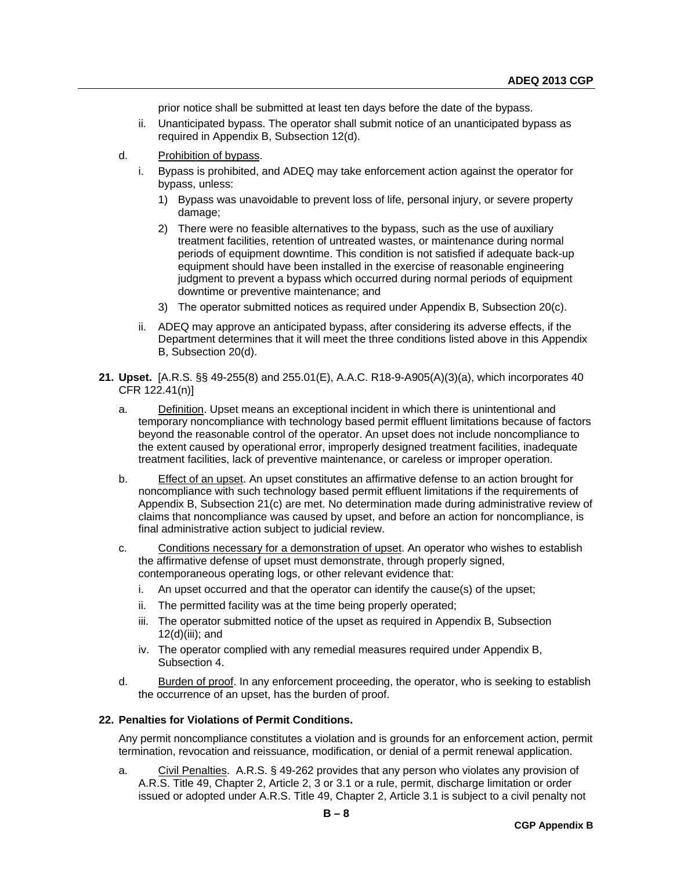prior notice shall be submitted at least ten days before the date of the bypass.

- ii. Unanticipated bypass. The operator shall submit notice of an unanticipated bypass as required in Appendix B, Subsection 12(d).
- d. Prohibition of bypass.
	- i. Bypass is prohibited, and ADEQ may take enforcement action against the operator for bypass, unless:
		- 1) Bypass was unavoidable to prevent loss of life, personal injury, or severe property damage;
		- 2) There were no feasible alternatives to the bypass, such as the use of auxiliary treatment facilities, retention of untreated wastes, or maintenance during normal periods of equipment downtime. This condition is not satisfied if adequate back-up equipment should have been installed in the exercise of reasonable engineering judgment to prevent a bypass which occurred during normal periods of equipment downtime or preventive maintenance; and
		- 3) The operator submitted notices as required under Appendix B, Subsection 20(c).
	- ii. ADEQ may approve an anticipated bypass, after considering its adverse effects, if the Department determines that it will meet the three conditions listed above in this Appendix B, Subsection 20(d).
- **21. Upset.** [A.R.S. §§ 49-255(8) and 255.01(E), A.A.C. R18-9-A905(A)(3)(a), which incorporates 40 CFR 122.41(n)]
	- a. Definition. Upset means an exceptional incident in which there is unintentional and temporary noncompliance with technology based permit effluent limitations because of factors beyond the reasonable control of the operator. An upset does not include noncompliance to the extent caused by operational error, improperly designed treatment facilities, inadequate treatment facilities, lack of preventive maintenance, or careless or improper operation.
	- b. Effect of an upset. An upset constitutes an affirmative defense to an action brought for noncompliance with such technology based permit effluent limitations if the requirements of Appendix B, Subsection 21(c) are met. No determination made during administrative review of claims that noncompliance was caused by upset, and before an action for noncompliance, is final administrative action subject to judicial review.
	- c. Conditions necessary for a demonstration of upset. An operator who wishes to establish the affirmative defense of upset must demonstrate, through properly signed, contemporaneous operating logs, or other relevant evidence that:
		- i. An upset occurred and that the operator can identify the cause(s) of the upset;
		- ii. The permitted facility was at the time being properly operated;
		- iii. The operator submitted notice of the upset as required in Appendix B, Subsection 12(d)(iii); and
		- iv. The operator complied with any remedial measures required under Appendix B, Subsection 4.
	- d. Burden of proof. In any enforcement proceeding, the operator, who is seeking to establish the occurrence of an upset, has the burden of proof.

#### **22. Penalties for Violations of Permit Conditions.**

Any permit noncompliance constitutes a violation and is grounds for an enforcement action, permit termination, revocation and reissuance, modification, or denial of a permit renewal application.

a. Civil Penalties. A.R.S. § 49-262 provides that any person who violates any provision of A.R.S. Title 49, Chapter 2, Article 2, 3 or 3.1 or a rule, permit, discharge limitation or order issued or adopted under A.R.S. Title 49, Chapter 2, Article 3.1 is subject to a civil penalty not